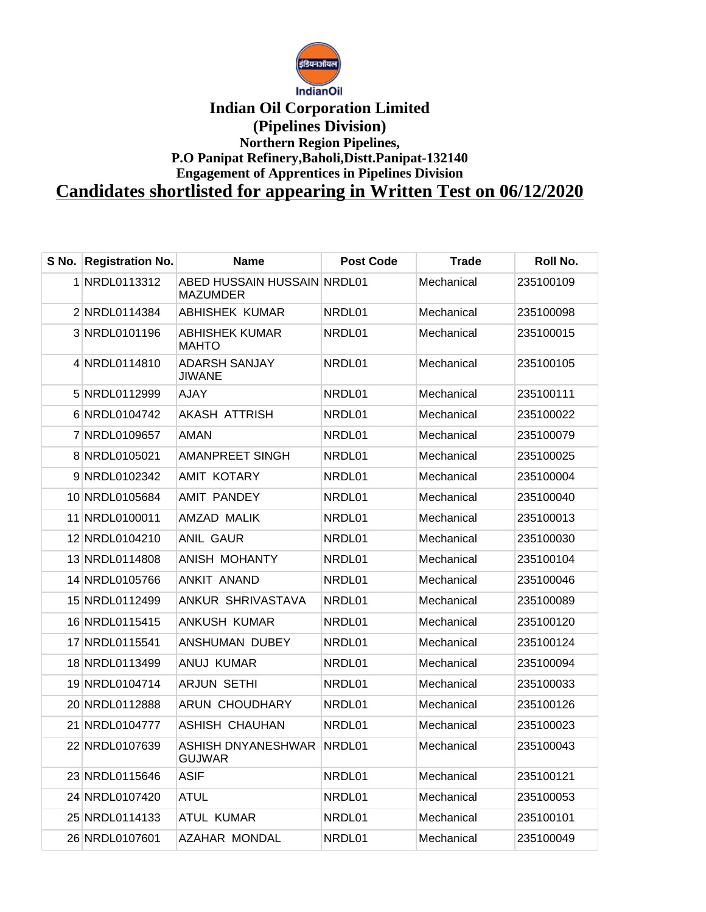

## **Indian Oil Corporation Limited (Pipelines Division) Northern Region Pipelines, P.O Panipat Refinery,Baholi,Distt.Panipat-132140 Engagement of Apprentices in Pipelines Division Candidates shortlisted for appearing in Written Test on 06/12/2020**

**S No. Registration No. Name Post Code Trade Roll No.** NRDL0113312 ABED HUSSAIN HUSSAIN **MAZUMDER** Mechanical 235100109 NRDL0114384 ABHISHEK KUMAR NRDL01 Mechanical 235100098 NRDL0101196 ABHISHEK KUMAR MAHTO NRDL01 Mechanical 235100015 NRDL0114810 ADARSH SANJAY JIWANE NRDL01 Mechanical 235100105 NRDL0112999 AJAY NRDL01 Mechanical 235100111 NRDL0104742 AKASH ATTRISH NRDL01 Mechanical 235100022 NRDL0109657 AMAN NRDL01 Mechanical 235100079 NRDL0105021 AMANPREET SINGH NRDL01 Mechanical 235100025 NRDL0102342 AMIT KOTARY NRDL01 Mechanical 235100004 NRDL0105684 AMIT PANDEY NRDL01 Mechanical 235100040 NRDL0100011 AMZAD MALIK NRDL01 Mechanical 235100013 NRDL0104210 ANIL GAUR NRDL01 Mechanical 235100030 NRDL0114808 ANISH MOHANTY NRDL01 Mechanical 235100104 NRDL0105766 ANKIT ANAND NRDL01 Mechanical 235100046 NRDL0112499 ANKUR SHRIVASTAVA NRDL01 Mechanical 235100089 NRDL0115415 ANKUSH KUMAR NRDL01 Mechanical 235100120 NRDL0115541 ANSHUMAN DUBEY NRDL01 Mechanical 235100124 NRDL0113499 ANUJ KUMAR NRDL01 Mechanical 235100094 NRDL0104714 ARJUN SETHI NRDL01 Mechanical 235100033 NRDL0112888 ARUN CHOUDHARY NRDL01 Mechanical 235100126 NRDL0104777 ASHISH CHAUHAN NRDL01 Mechanical 235100023 22 NRDL0107639 ASHISH DNYANESHWAR NRDL01 GUJWAR  $Mechanical$  235100043 NRDL0115646 ASIF NRDL01 Mechanical 235100121 NRDL0107420 ATUL NRDL01 Mechanical 235100053 NRDL0114133 ATUL KUMAR NRDL01 Mechanical 235100101 NRDL0107601 AZAHAR MONDAL NRDL01 Mechanical 235100049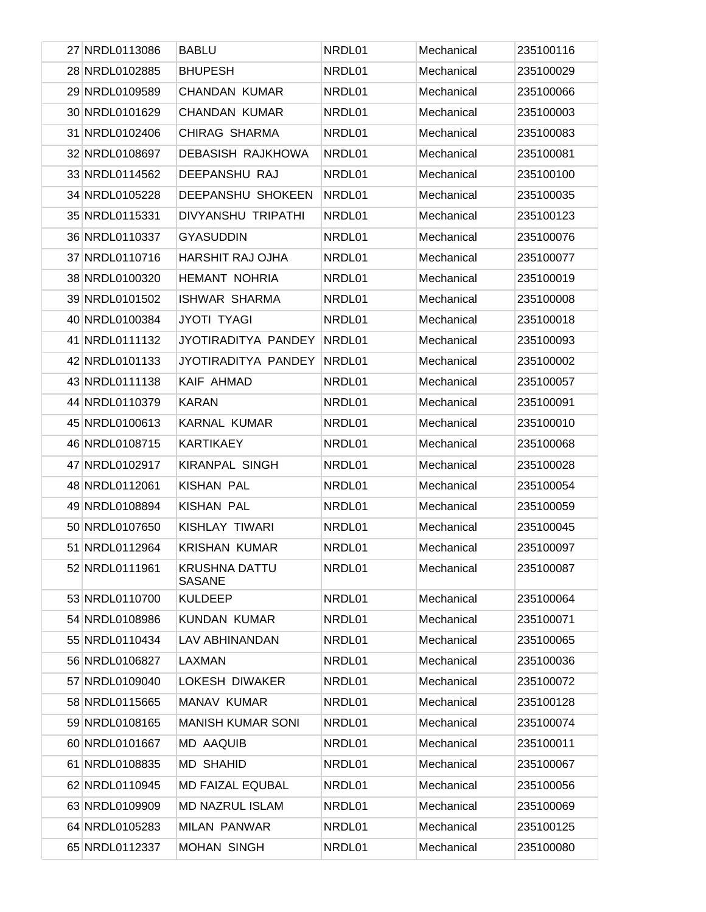| 27 NRDL0113086 | <b>BABLU</b>                          | NRDL01 | Mechanical | 235100116 |
|----------------|---------------------------------------|--------|------------|-----------|
| 28 NRDL0102885 | <b>BHUPESH</b>                        | NRDL01 | Mechanical | 235100029 |
| 29 NRDL0109589 | <b>CHANDAN KUMAR</b>                  | NRDL01 | Mechanical | 235100066 |
| 30 NRDL0101629 | <b>CHANDAN KUMAR</b>                  | NRDL01 | Mechanical | 235100003 |
| 31 NRDL0102406 | CHIRAG SHARMA                         | NRDL01 | Mechanical | 235100083 |
| 32 NRDL0108697 | <b>DEBASISH RAJKHOWA</b>              | NRDL01 | Mechanical | 235100081 |
| 33 NRDL0114562 | DEEPANSHU RAJ                         | NRDL01 | Mechanical | 235100100 |
| 34 NRDL0105228 | DEEPANSHU SHOKEEN                     | NRDL01 | Mechanical | 235100035 |
| 35 NRDL0115331 | DIVYANSHU TRIPATHI                    | NRDL01 | Mechanical | 235100123 |
| 36 NRDL0110337 | <b>GYASUDDIN</b>                      | NRDL01 | Mechanical | 235100076 |
| 37 NRDL0110716 | <b>HARSHIT RAJ OJHA</b>               | NRDL01 | Mechanical | 235100077 |
| 38 NRDL0100320 | <b>HEMANT NOHRIA</b>                  | NRDL01 | Mechanical | 235100019 |
| 39 NRDL0101502 | <b>ISHWAR SHARMA</b>                  | NRDL01 | Mechanical | 235100008 |
| 40 NRDL0100384 | <b>JYOTI TYAGI</b>                    | NRDL01 | Mechanical | 235100018 |
| 41 NRDL0111132 | JYOTIRADITYA PANDEY                   | NRDL01 | Mechanical | 235100093 |
| 42 NRDL0101133 | JYOTIRADITYA PANDEY                   | NRDL01 | Mechanical | 235100002 |
| 43 NRDL0111138 | KAIF AHMAD                            | NRDL01 | Mechanical | 235100057 |
| 44 NRDL0110379 | <b>KARAN</b>                          | NRDL01 | Mechanical | 235100091 |
| 45 NRDL0100613 | KARNAL KUMAR                          | NRDL01 | Mechanical | 235100010 |
| 46 NRDL0108715 | <b>KARTIKAEY</b>                      | NRDL01 | Mechanical | 235100068 |
| 47 NRDL0102917 | <b>KIRANPAL SINGH</b>                 | NRDL01 | Mechanical | 235100028 |
| 48 NRDL0112061 | <b>KISHAN PAL</b>                     | NRDL01 | Mechanical | 235100054 |
| 49 NRDL0108894 | <b>KISHAN PAL</b>                     | NRDL01 | Mechanical | 235100059 |
| 50 NRDL0107650 | KISHLAY TIWARI                        | NRDL01 | Mechanical | 235100045 |
| 51 NRDL0112964 | <b>KRISHAN KUMAR</b>                  | NRDL01 | Mechanical | 235100097 |
| 52 NRDL0111961 | <b>KRUSHNA DATTU</b><br><b>SASANE</b> | NRDL01 | Mechanical | 235100087 |
| 53 NRDL0110700 | <b>KULDEEP</b>                        | NRDL01 | Mechanical | 235100064 |
| 54 NRDL0108986 | <b>KUNDAN KUMAR</b>                   | NRDL01 | Mechanical | 235100071 |
| 55 NRDL0110434 | LAV ABHINANDAN                        | NRDL01 | Mechanical | 235100065 |
| 56 NRDL0106827 | LAXMAN                                | NRDL01 | Mechanical | 235100036 |
| 57 NRDL0109040 | LOKESH DIWAKER                        | NRDL01 | Mechanical | 235100072 |
| 58 NRDL0115665 | MANAV KUMAR                           | NRDL01 | Mechanical | 235100128 |
| 59 NRDL0108165 | <b>MANISH KUMAR SONI</b>              | NRDL01 | Mechanical | 235100074 |
| 60 NRDL0101667 | <b>MD AAQUIB</b>                      | NRDL01 | Mechanical | 235100011 |
| 61 NRDL0108835 | <b>MD SHAHID</b>                      | NRDL01 | Mechanical | 235100067 |
| 62 NRDL0110945 | <b>MD FAIZAL EQUBAL</b>               | NRDL01 | Mechanical | 235100056 |
| 63 NRDL0109909 | <b>MD NAZRUL ISLAM</b>                | NRDL01 | Mechanical | 235100069 |
| 64 NRDL0105283 | <b>MILAN PANWAR</b>                   | NRDL01 | Mechanical | 235100125 |
| 65 NRDL0112337 | <b>MOHAN SINGH</b>                    | NRDL01 | Mechanical | 235100080 |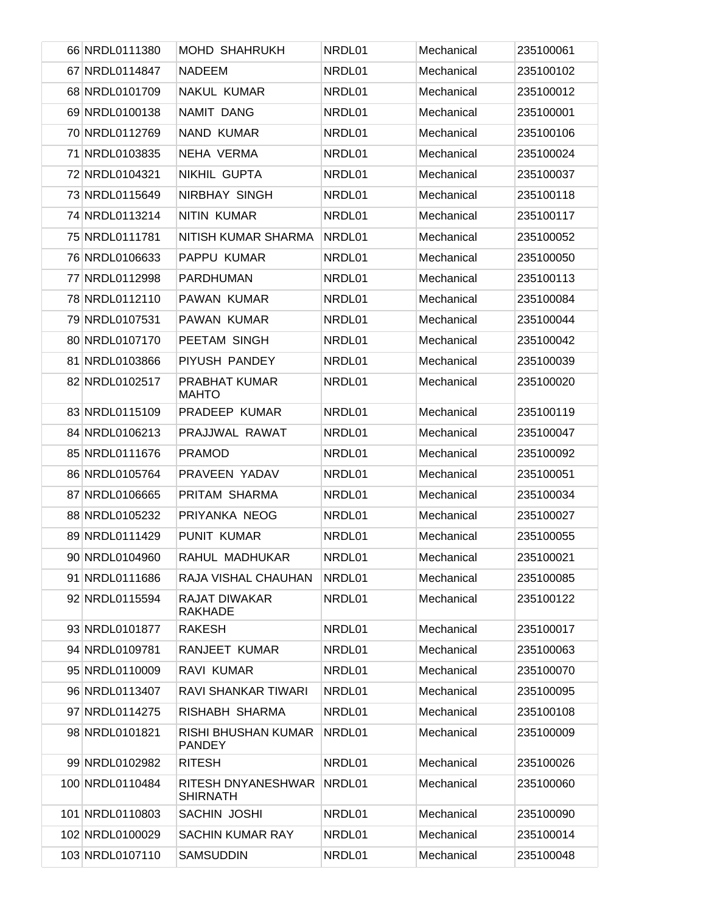| 66 NRDL0111380  | <b>MOHD SHAHRUKH</b>                        | NRDL01 | Mechanical | 235100061 |
|-----------------|---------------------------------------------|--------|------------|-----------|
| 67 NRDL0114847  | <b>NADEEM</b>                               | NRDL01 | Mechanical | 235100102 |
| 68 NRDL0101709  | NAKUL KUMAR                                 | NRDL01 | Mechanical | 235100012 |
| 69 NRDL0100138  | NAMIT DANG                                  | NRDL01 | Mechanical | 235100001 |
| 70 NRDL0112769  | <b>NAND KUMAR</b>                           | NRDL01 | Mechanical | 235100106 |
| 71 NRDL0103835  | NEHA VERMA                                  | NRDL01 | Mechanical | 235100024 |
| 72 NRDL0104321  | NIKHIL GUPTA                                | NRDL01 | Mechanical | 235100037 |
| 73 NRDL0115649  | NIRBHAY SINGH                               | NRDL01 | Mechanical | 235100118 |
| 74 NRDL0113214  | <b>NITIN KUMAR</b>                          | NRDL01 | Mechanical | 235100117 |
| 75 NRDL0111781  | NITISH KUMAR SHARMA                         | NRDL01 | Mechanical | 235100052 |
| 76 NRDL0106633  | PAPPU KUMAR                                 | NRDL01 | Mechanical | 235100050 |
| 77 NRDL0112998  | PARDHUMAN                                   | NRDL01 | Mechanical | 235100113 |
| 78 NRDL0112110  | PAWAN KUMAR                                 | NRDL01 | Mechanical | 235100084 |
| 79 NRDL0107531  | <b>PAWAN KUMAR</b>                          | NRDL01 | Mechanical | 235100044 |
| 80 NRDL0107170  | PEETAM SINGH                                | NRDL01 | Mechanical | 235100042 |
| 81 NRDL0103866  | PIYUSH PANDEY                               | NRDL01 | Mechanical | 235100039 |
| 82 NRDL0102517  | <b>PRABHAT KUMAR</b><br><b>MAHTO</b>        | NRDL01 | Mechanical | 235100020 |
| 83 NRDL0115109  | PRADEEP KUMAR                               | NRDL01 | Mechanical | 235100119 |
| 84 NRDL0106213  | PRAJJWAL RAWAT                              | NRDL01 | Mechanical | 235100047 |
| 85 NRDL0111676  | <b>PRAMOD</b>                               | NRDL01 | Mechanical | 235100092 |
| 86 NRDL0105764  | PRAVEEN YADAV                               | NRDL01 | Mechanical | 235100051 |
| 87 NRDL0106665  | PRITAM SHARMA                               | NRDL01 | Mechanical | 235100034 |
| 88 NRDL0105232  | PRIYANKA NEOG                               | NRDL01 | Mechanical | 235100027 |
| 89 NRDL0111429  | <b>PUNIT KUMAR</b>                          | NRDL01 | Mechanical | 235100055 |
| 90 NRDL0104960  | RAHUL MADHUKAR                              | NRDL01 | Mechanical | 235100021 |
| 91 NRDL0111686  | RAJA VISHAL CHAUHAN                         | NRDL01 | Mechanical | 235100085 |
| 92 NRDL0115594  | <b>RAJAT DIWAKAR</b><br><b>RAKHADE</b>      | NRDL01 | Mechanical | 235100122 |
| 93 NRDL0101877  | <b>RAKESH</b>                               | NRDL01 | Mechanical | 235100017 |
| 94 NRDL0109781  | RANJEET KUMAR                               | NRDL01 | Mechanical | 235100063 |
| 95 NRDL0110009  | RAVI KUMAR                                  | NRDL01 | Mechanical | 235100070 |
| 96 NRDL0113407  | RAVI SHANKAR TIWARI                         | NRDL01 | Mechanical | 235100095 |
| 97 NRDL0114275  | RISHABH SHARMA                              | NRDL01 | Mechanical | 235100108 |
| 98 NRDL0101821  | <b>RISHI BHUSHAN KUMAR</b><br><b>PANDEY</b> | NRDL01 | Mechanical | 235100009 |
| 99 NRDL0102982  | <b>RITESH</b>                               | NRDL01 | Mechanical | 235100026 |
| 100 NRDL0110484 | RITESH DNYANESHWAR<br><b>SHIRNATH</b>       | NRDL01 | Mechanical | 235100060 |
| 101 NRDL0110803 | SACHIN JOSHI                                | NRDL01 | Mechanical | 235100090 |
| 102 NRDL0100029 | <b>SACHIN KUMAR RAY</b>                     | NRDL01 | Mechanical | 235100014 |
| 103 NRDL0107110 | <b>SAMSUDDIN</b>                            | NRDL01 | Mechanical | 235100048 |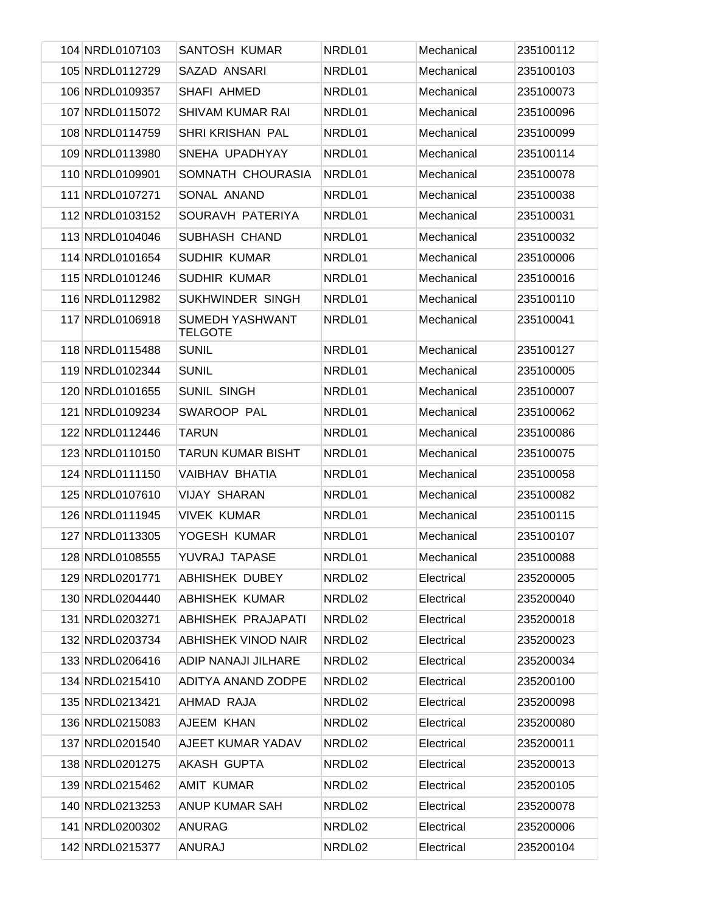| 104 NRDL0107103 | SANTOSH KUMAR                     | NRDL01 | Mechanical | 235100112 |
|-----------------|-----------------------------------|--------|------------|-----------|
| 105 NRDL0112729 | SAZAD ANSARI                      | NRDL01 | Mechanical | 235100103 |
| 106 NRDL0109357 | SHAFI AHMED                       | NRDL01 | Mechanical | 235100073 |
| 107 NRDL0115072 | <b>SHIVAM KUMAR RAI</b>           | NRDL01 | Mechanical | 235100096 |
| 108 NRDL0114759 | SHRI KRISHAN PAL                  | NRDL01 | Mechanical | 235100099 |
| 109 NRDL0113980 | SNEHA UPADHYAY                    | NRDL01 | Mechanical | 235100114 |
| 110 NRDL0109901 | SOMNATH CHOURASIA                 | NRDL01 | Mechanical | 235100078 |
| 111 NRDL0107271 | SONAL ANAND                       | NRDL01 | Mechanical | 235100038 |
| 112 NRDL0103152 | SOURAVH PATERIYA                  | NRDL01 | Mechanical | 235100031 |
| 113 NRDL0104046 | SUBHASH CHAND                     | NRDL01 | Mechanical | 235100032 |
| 114 NRDL0101654 | SUDHIR KUMAR                      | NRDL01 | Mechanical | 235100006 |
| 115 NRDL0101246 | SUDHIR KUMAR                      | NRDL01 | Mechanical | 235100016 |
| 116 NRDL0112982 | SUKHWINDER SINGH                  | NRDL01 | Mechanical | 235100110 |
| 117 NRDL0106918 | SUMEDH YASHWANT<br><b>TELGOTE</b> | NRDL01 | Mechanical | 235100041 |
| 118 NRDL0115488 | <b>SUNIL</b>                      | NRDL01 | Mechanical | 235100127 |
| 119 NRDL0102344 | <b>SUNIL</b>                      | NRDL01 | Mechanical | 235100005 |
| 120 NRDL0101655 | <b>SUNIL SINGH</b>                | NRDL01 | Mechanical | 235100007 |
| 121 NRDL0109234 | SWAROOP PAL                       | NRDL01 | Mechanical | 235100062 |
| 122 NRDL0112446 | <b>TARUN</b>                      | NRDL01 | Mechanical | 235100086 |
| 123 NRDL0110150 | <b>TARUN KUMAR BISHT</b>          | NRDL01 | Mechanical | 235100075 |
| 124 NRDL0111150 | <b>VAIBHAV BHATIA</b>             | NRDL01 | Mechanical | 235100058 |
| 125 NRDL0107610 | <b>VIJAY SHARAN</b>               | NRDL01 | Mechanical | 235100082 |
| 126 NRDL0111945 | <b>VIVEK KUMAR</b>                | NRDL01 | Mechanical | 235100115 |
| 127 NRDL0113305 | YOGESH KUMAR                      | NRDL01 | Mechanical | 235100107 |
| 128 NRDL0108555 | YUVRAJ TAPASE                     | NRDL01 | Mechanical | 235100088 |
| 129 NRDL0201771 | <b>ABHISHEK DUBEY</b>             | NRDL02 | Electrical | 235200005 |
| 130 NRDL0204440 | <b>ABHISHEK KUMAR</b>             | NRDL02 | Electrical | 235200040 |
| 131 NRDL0203271 | ABHISHEK PRAJAPATI                | NRDL02 | Electrical | 235200018 |
| 132 NRDL0203734 | <b>ABHISHEK VINOD NAIR</b>        | NRDL02 | Electrical | 235200023 |
| 133 NRDL0206416 | ADIP NANAJI JILHARE               | NRDL02 | Electrical | 235200034 |
| 134 NRDL0215410 | ADITYA ANAND ZODPE                | NRDL02 | Electrical | 235200100 |
| 135 NRDL0213421 | AHMAD RAJA                        | NRDL02 | Electrical | 235200098 |
| 136 NRDL0215083 | AJEEM KHAN                        | NRDL02 | Electrical | 235200080 |
| 137 NRDL0201540 | AJEET KUMAR YADAV                 | NRDL02 | Electrical | 235200011 |
| 138 NRDL0201275 | AKASH GUPTA                       | NRDL02 | Electrical | 235200013 |
| 139 NRDL0215462 | <b>AMIT KUMAR</b>                 | NRDL02 | Electrical | 235200105 |
| 140 NRDL0213253 | ANUP KUMAR SAH                    | NRDL02 | Electrical | 235200078 |
| 141 NRDL0200302 | <b>ANURAG</b>                     | NRDL02 | Electrical | 235200006 |
| 142 NRDL0215377 | ANURAJ                            | NRDL02 | Electrical | 235200104 |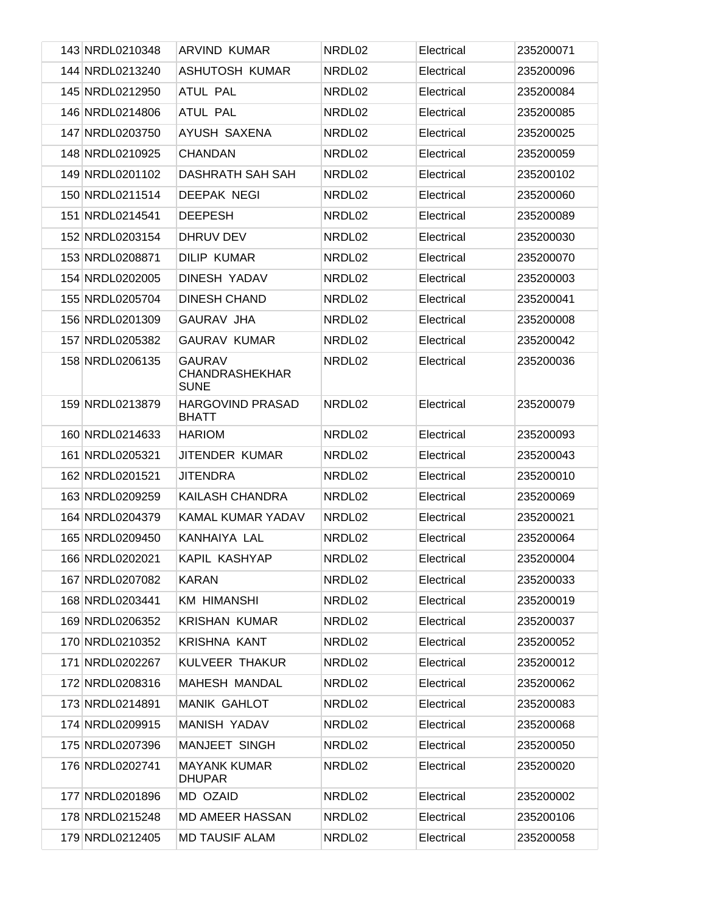| 143 NRDL0210348 | ARVIND KUMAR                                          | NRDL02 | Electrical | 235200071 |
|-----------------|-------------------------------------------------------|--------|------------|-----------|
| 144 NRDL0213240 | <b>ASHUTOSH KUMAR</b>                                 | NRDL02 | Electrical | 235200096 |
| 145 NRDL0212950 | <b>ATUL PAL</b>                                       | NRDL02 | Electrical | 235200084 |
| 146 NRDL0214806 | <b>ATUL PAL</b>                                       | NRDL02 | Electrical | 235200085 |
| 147 NRDL0203750 | AYUSH SAXENA                                          | NRDL02 | Electrical | 235200025 |
| 148 NRDL0210925 | <b>CHANDAN</b>                                        | NRDL02 | Electrical | 235200059 |
| 149 NRDL0201102 | DASHRATH SAH SAH                                      | NRDL02 | Electrical | 235200102 |
| 150 NRDL0211514 | DEEPAK NEGI                                           | NRDL02 | Electrical | 235200060 |
| 151 NRDL0214541 | <b>DEEPESH</b>                                        | NRDL02 | Electrical | 235200089 |
| 152 NRDL0203154 | DHRUV DEV                                             | NRDL02 | Electrical | 235200030 |
| 153 NRDL0208871 | <b>DILIP KUMAR</b>                                    | NRDL02 | Electrical | 235200070 |
| 154 NRDL0202005 | DINESH YADAV                                          | NRDL02 | Electrical | 235200003 |
| 155 NRDL0205704 | <b>DINESH CHAND</b>                                   | NRDL02 | Electrical | 235200041 |
| 156 NRDL0201309 | <b>GAURAV JHA</b>                                     | NRDL02 | Electrical | 235200008 |
| 157 NRDL0205382 | <b>GAURAV KUMAR</b>                                   | NRDL02 | Electrical | 235200042 |
| 158 NRDL0206135 | <b>GAURAV</b><br><b>CHANDRASHEKHAR</b><br><b>SUNE</b> | NRDL02 | Electrical | 235200036 |
| 159 NRDL0213879 | <b>HARGOVIND PRASAD</b><br><b>BHATT</b>               | NRDL02 | Electrical | 235200079 |
| 160 NRDL0214633 | <b>HARIOM</b>                                         | NRDL02 | Electrical | 235200093 |
| 161 NRDL0205321 | JITENDER KUMAR                                        | NRDL02 | Electrical | 235200043 |
| 162 NRDL0201521 | JITENDRA                                              | NRDL02 | Electrical | 235200010 |
| 163 NRDL0209259 | KAILASH CHANDRA                                       | NRDL02 | Electrical | 235200069 |
| 164 NRDL0204379 | KAMAL KUMAR YADAV                                     | NRDL02 | Electrical | 235200021 |
| 165 NRDL0209450 | KANHAIYA LAL                                          | NRDL02 | Electrical | 235200064 |
| 166 NRDL0202021 | KAPIL KASHYAP                                         | NRDL02 | Electrical | 235200004 |
| 167 NRDL0207082 | KARAN                                                 | NRDL02 | Electrical | 235200033 |
| 168 NRDL0203441 | <b>KM HIMANSHI</b>                                    | NRDL02 | Electrical | 235200019 |
| 169 NRDL0206352 | KRISHAN KUMAR                                         | NRDL02 | Electrical | 235200037 |
| 170 NRDL0210352 | <b>KRISHNA KANT</b>                                   | NRDL02 | Electrical | 235200052 |
| 171 NRDL0202267 | KULVEER THAKUR                                        | NRDL02 | Electrical | 235200012 |
| 172 NRDL0208316 | <b>MAHESH MANDAL</b>                                  | NRDL02 | Electrical | 235200062 |
| 173 NRDL0214891 | <b>MANIK GAHLOT</b>                                   | NRDL02 | Electrical | 235200083 |
| 174 NRDL0209915 | MANISH YADAV                                          | NRDL02 | Electrical | 235200068 |
| 175 NRDL0207396 | MANJEET SINGH                                         | NRDL02 | Electrical | 235200050 |
| 176 NRDL0202741 | <b>MAYANK KUMAR</b><br><b>DHUPAR</b>                  | NRDL02 | Electrical | 235200020 |
| 177 NRDL0201896 | MD OZAID                                              | NRDL02 | Electrical | 235200002 |
| 178 NRDL0215248 | <b>MD AMEER HASSAN</b>                                | NRDL02 | Electrical | 235200106 |
| 179 NRDL0212405 | <b>MD TAUSIF ALAM</b>                                 | NRDL02 | Electrical | 235200058 |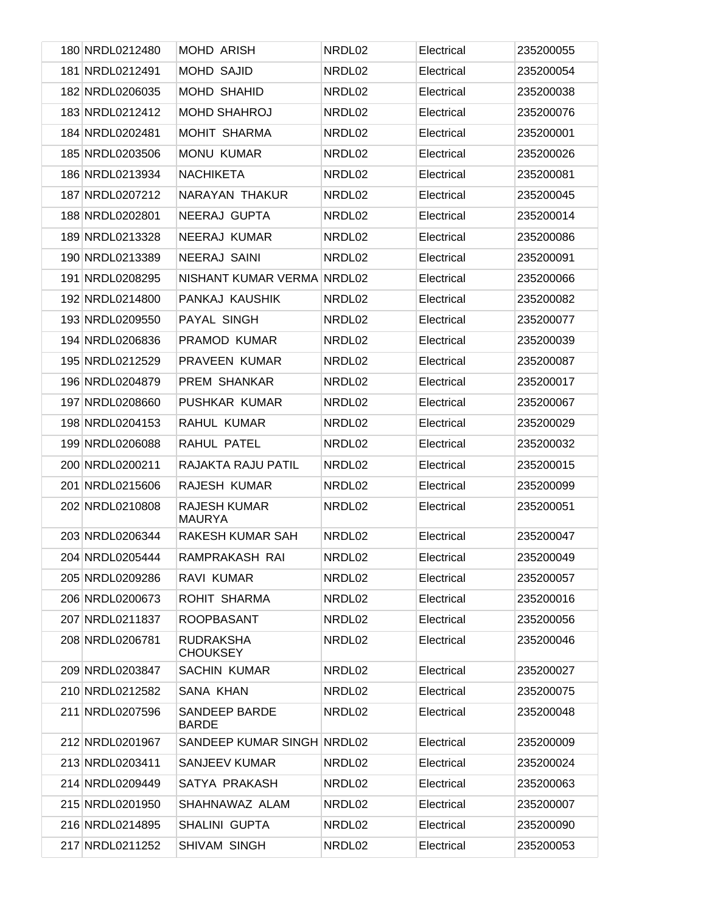| 180 NRDL0212480 | <b>MOHD ARISH</b>                    | NRDL02 | Electrical | 235200055 |
|-----------------|--------------------------------------|--------|------------|-----------|
| 181 NRDL0212491 | <b>MOHD SAJID</b>                    | NRDL02 | Electrical | 235200054 |
| 182 NRDL0206035 | <b>MOHD SHAHID</b>                   | NRDL02 | Electrical | 235200038 |
| 183 NRDL0212412 | <b>MOHD SHAHROJ</b>                  | NRDL02 | Electrical | 235200076 |
| 184 NRDL0202481 | <b>MOHIT SHARMA</b>                  | NRDL02 | Electrical | 235200001 |
| 185 NRDL0203506 | <b>MONU KUMAR</b>                    | NRDL02 | Electrical | 235200026 |
| 186 NRDL0213934 | <b>NACHIKETA</b>                     | NRDL02 | Electrical | 235200081 |
| 187 NRDL0207212 | NARAYAN THAKUR                       | NRDL02 | Electrical | 235200045 |
| 188 NRDL0202801 | NEERAJ GUPTA                         | NRDL02 | Electrical | 235200014 |
| 189 NRDL0213328 | <b>NEERAJ KUMAR</b>                  | NRDL02 | Electrical | 235200086 |
| 190 NRDL0213389 | NEERAJ SAINI                         | NRDL02 | Electrical | 235200091 |
| 191 NRDL0208295 | NISHANT KUMAR VERMA NRDL02           |        | Electrical | 235200066 |
| 192 NRDL0214800 | PANKAJ KAUSHIK                       | NRDL02 | Electrical | 235200082 |
| 193 NRDL0209550 | PAYAL SINGH                          | NRDL02 | Electrical | 235200077 |
| 194 NRDL0206836 | PRAMOD KUMAR                         | NRDL02 | Electrical | 235200039 |
| 195 NRDL0212529 | <b>PRAVEEN KUMAR</b>                 | NRDL02 | Electrical | 235200087 |
| 196 NRDL0204879 | PREM SHANKAR                         | NRDL02 | Electrical | 235200017 |
| 197 NRDL0208660 | PUSHKAR KUMAR                        | NRDL02 | Electrical | 235200067 |
| 198 NRDL0204153 | RAHUL KUMAR                          | NRDL02 | Electrical | 235200029 |
| 199 NRDL0206088 | RAHUL PATEL                          | NRDL02 | Electrical | 235200032 |
| 200 NRDL0200211 | RAJAKTA RAJU PATIL                   | NRDL02 | Electrical | 235200015 |
| 201 NRDL0215606 | RAJESH KUMAR                         | NRDL02 | Electrical | 235200099 |
| 202 NRDL0210808 | <b>RAJESH KUMAR</b><br><b>MAURYA</b> | NRDL02 | Electrical | 235200051 |
| 203 NRDL0206344 | <b>RAKESH KUMAR SAH</b>              | NRDL02 | Electrical | 235200047 |
| 204 NRDL0205444 | RAMPRAKASH RAI                       | NRDL02 | Electrical | 235200049 |
| 205 NRDL0209286 | <b>RAVI KUMAR</b>                    | NRDL02 | Electrical | 235200057 |
| 206 NRDL0200673 | ROHIT SHARMA                         | NRDL02 | Electrical | 235200016 |
| 207 NRDL0211837 | <b>ROOPBASANT</b>                    | NRDL02 | Electrical | 235200056 |
| 208 NRDL0206781 | <b>RUDRAKSHA</b><br><b>CHOUKSEY</b>  | NRDL02 | Electrical | 235200046 |
| 209 NRDL0203847 | <b>SACHIN KUMAR</b>                  | NRDL02 | Electrical | 235200027 |
| 210 NRDL0212582 | <b>SANA KHAN</b>                     | NRDL02 | Electrical | 235200075 |
| 211 NRDL0207596 | <b>SANDEEP BARDE</b><br><b>BARDE</b> | NRDL02 | Electrical | 235200048 |
| 212 NRDL0201967 | SANDEEP KUMAR SINGH NRDL02           |        | Electrical | 235200009 |
| 213 NRDL0203411 | SANJEEV KUMAR                        | NRDL02 | Electrical | 235200024 |
| 214 NRDL0209449 | SATYA PRAKASH                        | NRDL02 | Electrical | 235200063 |
| 215 NRDL0201950 | SHAHNAWAZ ALAM                       | NRDL02 | Electrical | 235200007 |
| 216 NRDL0214895 | <b>SHALINI GUPTA</b>                 | NRDL02 | Electrical | 235200090 |
| 217 NRDL0211252 | SHIVAM SINGH                         | NRDL02 | Electrical | 235200053 |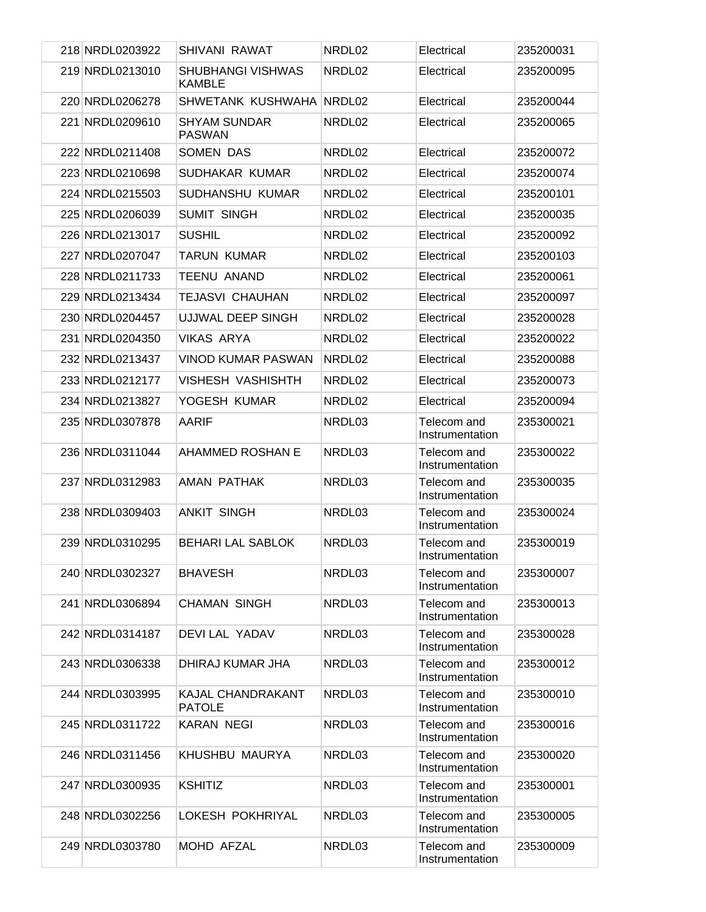| 218 NRDL0203922 | SHIVANI RAWAT                        | NRDL02 | Electrical                     | 235200031 |
|-----------------|--------------------------------------|--------|--------------------------------|-----------|
| 219 NRDL0213010 | SHUBHANGI VISHWAS<br><b>KAMBLE</b>   | NRDL02 | Electrical                     | 235200095 |
| 220 NRDL0206278 | SHWETANK KUSHWAHA NRDL02             |        | Electrical                     | 235200044 |
| 221 NRDL0209610 | <b>SHYAM SUNDAR</b><br><b>PASWAN</b> | NRDL02 | Electrical                     | 235200065 |
| 222 NRDL0211408 | SOMEN DAS                            | NRDL02 | Electrical                     | 235200072 |
| 223 NRDL0210698 | SUDHAKAR KUMAR                       | NRDL02 | Electrical                     | 235200074 |
| 224 NRDL0215503 | SUDHANSHU KUMAR                      | NRDL02 | Electrical                     | 235200101 |
| 225 NRDL0206039 | <b>SUMIT SINGH</b>                   | NRDL02 | Electrical                     | 235200035 |
| 226 NRDL0213017 | <b>SUSHIL</b>                        | NRDL02 | Electrical                     | 235200092 |
| 227 NRDL0207047 | <b>TARUN KUMAR</b>                   | NRDL02 | Electrical                     | 235200103 |
| 228 NRDL0211733 | <b>TEENU ANAND</b>                   | NRDL02 | Electrical                     | 235200061 |
| 229 NRDL0213434 | <b>TEJASVI CHAUHAN</b>               | NRDL02 | Electrical                     | 235200097 |
| 230 NRDL0204457 | UJJWAL DEEP SINGH                    | NRDL02 | Electrical                     | 235200028 |
| 231 NRDL0204350 | <b>VIKAS ARYA</b>                    | NRDL02 | Electrical                     | 235200022 |
| 232 NRDL0213437 | <b>VINOD KUMAR PASWAN</b>            | NRDL02 | Electrical                     | 235200088 |
| 233 NRDL0212177 | <b>VISHESH VASHISHTH</b>             | NRDL02 | Electrical                     | 235200073 |
| 234 NRDL0213827 | YOGESH KUMAR                         | NRDL02 | Electrical                     | 235200094 |
| 235 NRDL0307878 | AARIF                                | NRDL03 | Telecom and<br>Instrumentation | 235300021 |
| 236 NRDL0311044 | AHAMMED ROSHAN E                     | NRDL03 | Telecom and<br>Instrumentation | 235300022 |
| 237 NRDL0312983 | AMAN PATHAK                          | NRDL03 | Telecom and<br>Instrumentation | 235300035 |
| 238 NRDL0309403 | <b>ANKIT SINGH</b>                   | NRDL03 | Telecom and<br>Instrumentation | 235300024 |
| 239 NRDL0310295 | <b>BEHARI LAL SABLOK</b>             | NRDL03 | Telecom and<br>Instrumentation | 235300019 |
| 240 NRDL0302327 | <b>BHAVESH</b>                       | NRDL03 | Telecom and<br>Instrumentation | 235300007 |
| 241 NRDL0306894 | <b>CHAMAN SINGH</b>                  | NRDL03 | Telecom and<br>Instrumentation | 235300013 |
| 242 NRDL0314187 | DEVILAL YADAV                        | NRDL03 | Telecom and<br>Instrumentation | 235300028 |
| 243 NRDL0306338 | DHIRAJ KUMAR JHA                     | NRDL03 | Telecom and<br>Instrumentation | 235300012 |
| 244 NRDL0303995 | KAJAL CHANDRAKANT<br><b>PATOLE</b>   | NRDL03 | Telecom and<br>Instrumentation | 235300010 |
| 245 NRDL0311722 | <b>KARAN NEGI</b>                    | NRDL03 | Telecom and<br>Instrumentation | 235300016 |
| 246 NRDL0311456 | KHUSHBU MAURYA                       | NRDL03 | Telecom and<br>Instrumentation | 235300020 |
| 247 NRDL0300935 | <b>KSHITIZ</b>                       | NRDL03 | Telecom and<br>Instrumentation | 235300001 |
| 248 NRDL0302256 | LOKESH POKHRIYAL                     | NRDL03 | Telecom and<br>Instrumentation | 235300005 |
| 249 NRDL0303780 | MOHD AFZAL                           | NRDL03 | Telecom and<br>Instrumentation | 235300009 |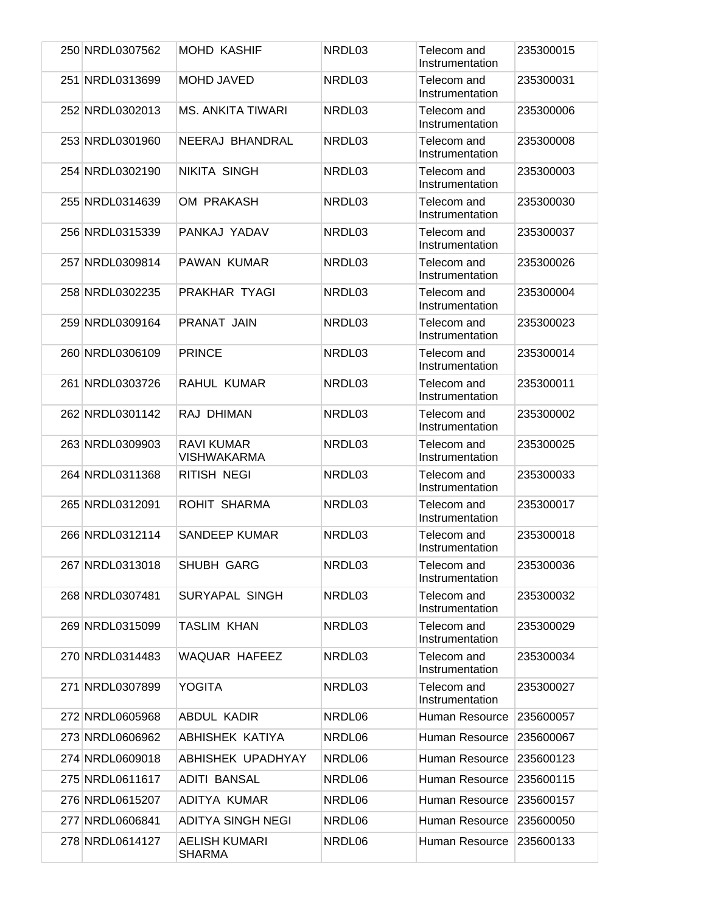| 250 NRDL0307562 | <b>MOHD KASHIF</b>                      | NRDL03 | Telecom and<br>Instrumentation | 235300015 |
|-----------------|-----------------------------------------|--------|--------------------------------|-----------|
| 251 NRDL0313699 | <b>MOHD JAVED</b>                       | NRDL03 | Telecom and<br>Instrumentation | 235300031 |
| 252 NRDL0302013 | <b>MS. ANKITA TIWARI</b>                | NRDL03 | Telecom and<br>Instrumentation | 235300006 |
| 253 NRDL0301960 | NEERAJ BHANDRAL                         | NRDL03 | Telecom and<br>Instrumentation | 235300008 |
| 254 NRDL0302190 | <b>NIKITA SINGH</b>                     | NRDL03 | Telecom and<br>Instrumentation | 235300003 |
| 255 NRDL0314639 | <b>OM PRAKASH</b>                       | NRDL03 | Telecom and<br>Instrumentation | 235300030 |
| 256 NRDL0315339 | PANKAJ YADAV                            | NRDL03 | Telecom and<br>Instrumentation | 235300037 |
| 257 NRDL0309814 | PAWAN KUMAR                             | NRDL03 | Telecom and<br>Instrumentation | 235300026 |
| 258 NRDL0302235 | PRAKHAR TYAGI                           | NRDL03 | Telecom and<br>Instrumentation | 235300004 |
| 259 NRDL0309164 | PRANAT JAIN                             | NRDL03 | Telecom and<br>Instrumentation | 235300023 |
| 260 NRDL0306109 | <b>PRINCE</b>                           | NRDL03 | Telecom and<br>Instrumentation | 235300014 |
| 261 NRDL0303726 | RAHUL KUMAR                             | NRDL03 | Telecom and<br>Instrumentation | 235300011 |
| 262 NRDL0301142 | RAJ DHIMAN                              | NRDL03 | Telecom and<br>Instrumentation | 235300002 |
| 263 NRDL0309903 | <b>RAVI KUMAR</b><br><b>VISHWAKARMA</b> | NRDL03 | Telecom and<br>Instrumentation | 235300025 |
| 264 NRDL0311368 | RITISH NEGI                             | NRDL03 | Telecom and<br>Instrumentation | 235300033 |
| 265 NRDL0312091 | ROHIT SHARMA                            | NRDL03 | Telecom and<br>Instrumentation | 235300017 |
| 266 NRDL0312114 | <b>SANDEEP KUMAR</b>                    | NRDL03 | Telecom and<br>Instrumentation | 235300018 |
| 267 NRDL0313018 | SHUBH GARG                              | NRDL03 | Telecom and<br>Instrumentation | 235300036 |
| 268 NRDL0307481 | SURYAPAL SINGH                          | NRDL03 | Telecom and<br>Instrumentation | 235300032 |
| 269 NRDL0315099 | <b>TASLIM KHAN</b>                      | NRDL03 | Telecom and<br>Instrumentation | 235300029 |
| 270 NRDL0314483 | <b>WAQUAR HAFEEZ</b>                    | NRDL03 | Telecom and<br>Instrumentation | 235300034 |
| 271 NRDL0307899 | <b>YOGITA</b>                           | NRDL03 | Telecom and<br>Instrumentation | 235300027 |
| 272 NRDL0605968 | ABDUL KADIR                             | NRDL06 | Human Resource                 | 235600057 |
| 273 NRDL0606962 | ABHISHEK KATIYA                         | NRDL06 | Human Resource                 | 235600067 |
| 274 NRDL0609018 | ABHISHEK UPADHYAY                       | NRDL06 | Human Resource                 | 235600123 |
| 275 NRDL0611617 | <b>ADITI BANSAL</b>                     | NRDL06 | Human Resource                 | 235600115 |
| 276 NRDL0615207 | ADITYA KUMAR                            | NRDL06 | Human Resource                 | 235600157 |
| 277 NRDL0606841 | <b>ADITYA SINGH NEGI</b>                | NRDL06 | Human Resource                 | 235600050 |
| 278 NRDL0614127 | <b>AELISH KUMARI</b><br><b>SHARMA</b>   | NRDL06 | Human Resource                 | 235600133 |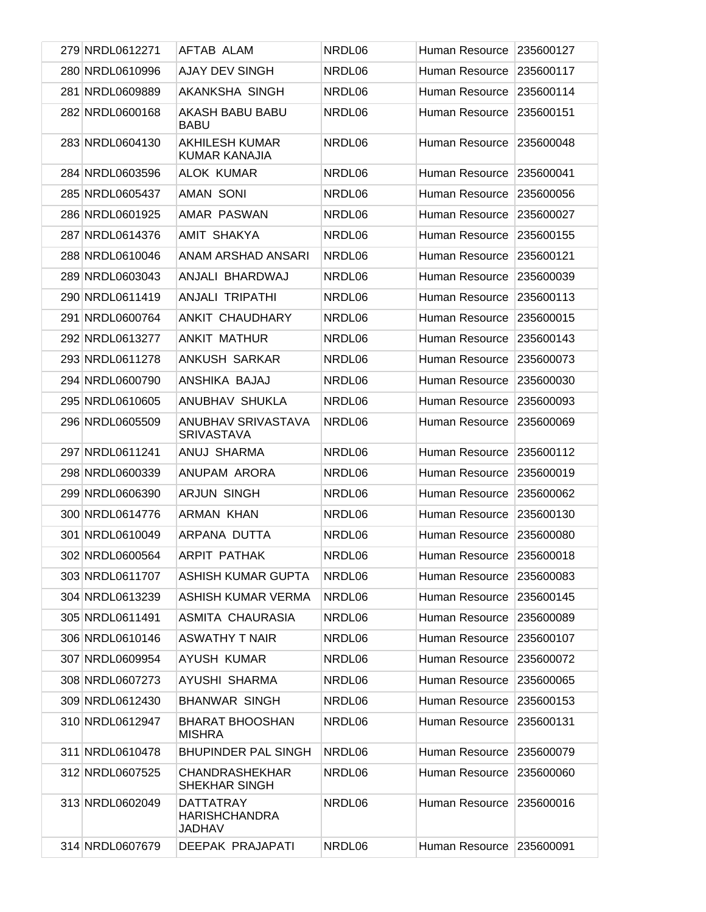| 279 NRDL0612271 | AFTAB ALAM                                                | NRDL06 | Human Resource | 235600127 |
|-----------------|-----------------------------------------------------------|--------|----------------|-----------|
| 280 NRDL0610996 | <b>AJAY DEV SINGH</b>                                     | NRDL06 | Human Resource | 235600117 |
| 281 NRDL0609889 | AKANKSHA SINGH                                            | NRDL06 | Human Resource | 235600114 |
| 282 NRDL0600168 | AKASH BABU BABU<br><b>BABU</b>                            | NRDL06 | Human Resource | 235600151 |
| 283 NRDL0604130 | <b>AKHILESH KUMAR</b><br><b>KUMAR KANAJIA</b>             | NRDL06 | Human Resource | 235600048 |
| 284 NRDL0603596 | <b>ALOK KUMAR</b>                                         | NRDL06 | Human Resource | 235600041 |
| 285 NRDL0605437 | <b>AMAN SONI</b>                                          | NRDL06 | Human Resource | 235600056 |
| 286 NRDL0601925 | AMAR PASWAN                                               | NRDL06 | Human Resource | 235600027 |
| 287 NRDL0614376 | AMIT SHAKYA                                               | NRDL06 | Human Resource | 235600155 |
| 288 NRDL0610046 | ANAM ARSHAD ANSARI                                        | NRDL06 | Human Resource | 235600121 |
| 289 NRDL0603043 | ANJALI BHARDWAJ                                           | NRDL06 | Human Resource | 235600039 |
| 290 NRDL0611419 | ANJALI TRIPATHI                                           | NRDL06 | Human Resource | 235600113 |
| 291 NRDL0600764 | ANKIT CHAUDHARY                                           | NRDL06 | Human Resource | 235600015 |
| 292 NRDL0613277 | <b>ANKIT MATHUR</b>                                       | NRDL06 | Human Resource | 235600143 |
| 293 NRDL0611278 | ANKUSH SARKAR                                             | NRDL06 | Human Resource | 235600073 |
| 294 NRDL0600790 | ANSHIKA BAJAJ                                             | NRDL06 | Human Resource | 235600030 |
| 295 NRDL0610605 | ANUBHAV SHUKLA                                            | NRDL06 | Human Resource | 235600093 |
| 296 NRDL0605509 | ANUBHAV SRIVASTAVA<br><b>SRIVASTAVA</b>                   | NRDL06 | Human Resource | 235600069 |
| 297 NRDL0611241 | ANUJ SHARMA                                               | NRDL06 | Human Resource | 235600112 |
| 298 NRDL0600339 | ANUPAM ARORA                                              | NRDL06 | Human Resource | 235600019 |
| 299 NRDL0606390 | <b>ARJUN SINGH</b>                                        | NRDL06 | Human Resource | 235600062 |
| 300 NRDL0614776 | ARMAN KHAN                                                | NRDL06 | Human Resource | 235600130 |
| 301 NRDL0610049 | ARPANA DUTTA                                              | NRDL06 | Human Resource | 235600080 |
| 302 NRDL0600564 | ARPIT PATHAK                                              | NRDL06 | Human Resource | 235600018 |
| 303 NRDL0611707 | ASHISH KUMAR GUPTA                                        | NRDL06 | Human Resource | 235600083 |
| 304 NRDL0613239 | ASHISH KUMAR VERMA                                        | NRDL06 | Human Resource | 235600145 |
| 305 NRDL0611491 | ASMITA CHAURASIA                                          | NRDL06 | Human Resource | 235600089 |
| 306 NRDL0610146 | <b>ASWATHY T NAIR</b>                                     | NRDL06 | Human Resource | 235600107 |
| 307 NRDL0609954 | AYUSH KUMAR                                               | NRDL06 | Human Resource | 235600072 |
| 308 NRDL0607273 | AYUSHI SHARMA                                             | NRDL06 | Human Resource | 235600065 |
| 309 NRDL0612430 | <b>BHANWAR SINGH</b>                                      | NRDL06 | Human Resource | 235600153 |
| 310 NRDL0612947 | <b>BHARAT BHOOSHAN</b><br><b>MISHRA</b>                   | NRDL06 | Human Resource | 235600131 |
| 311 NRDL0610478 | <b>BHUPINDER PAL SINGH</b>                                | NRDL06 | Human Resource | 235600079 |
| 312 NRDL0607525 | <b>CHANDRASHEKHAR</b><br><b>SHEKHAR SINGH</b>             | NRDL06 | Human Resource | 235600060 |
| 313 NRDL0602049 | <b>DATTATRAY</b><br><b>HARISHCHANDRA</b><br><b>JADHAV</b> | NRDL06 | Human Resource | 235600016 |
| 314 NRDL0607679 | <b>DEEPAK PRAJAPATI</b>                                   | NRDL06 | Human Resource | 235600091 |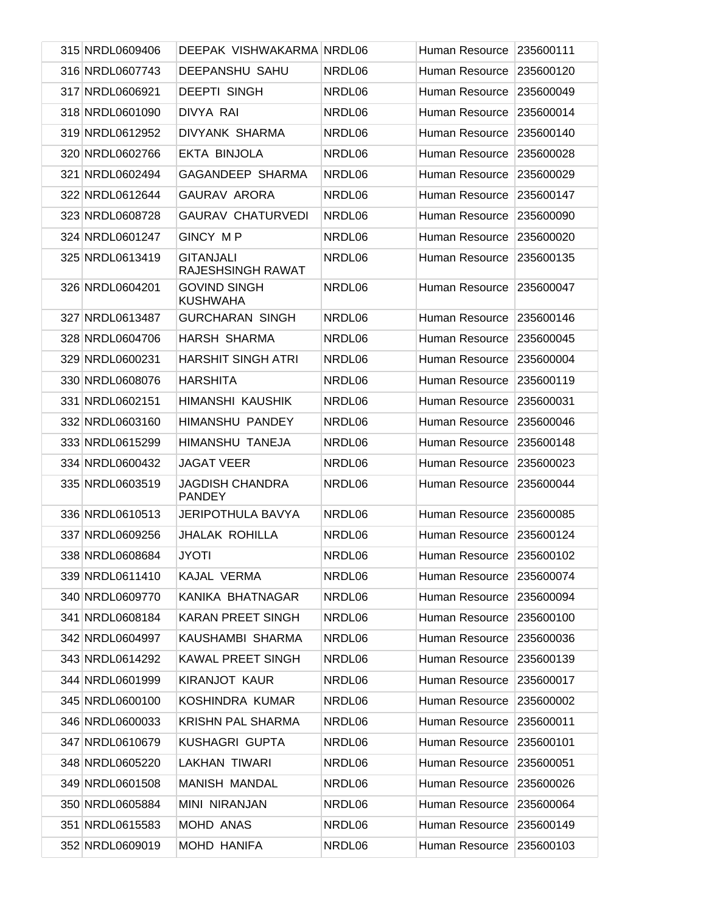| 315 NRDL0609406 | DEEPAK VISHWAKARMA NRDL06               |        | Human Resource | 235600111 |
|-----------------|-----------------------------------------|--------|----------------|-----------|
| 316 NRDL0607743 | <b>DEEPANSHU SAHU</b>                   | NRDL06 | Human Resource | 235600120 |
| 317 NRDL0606921 | <b>DEEPTI SINGH</b>                     | NRDL06 | Human Resource | 235600049 |
| 318 NRDL0601090 | DIVYA RAI                               | NRDL06 | Human Resource | 235600014 |
| 319 NRDL0612952 | DIVYANK SHARMA                          | NRDL06 | Human Resource | 235600140 |
| 320 NRDL0602766 | EKTA BINJOLA                            | NRDL06 | Human Resource | 235600028 |
| 321 NRDL0602494 | GAGANDEEP SHARMA                        | NRDL06 | Human Resource | 235600029 |
| 322 NRDL0612644 | <b>GAURAV ARORA</b>                     | NRDL06 | Human Resource | 235600147 |
| 323 NRDL0608728 | <b>GAURAV CHATURVEDI</b>                | NRDL06 | Human Resource | 235600090 |
| 324 NRDL0601247 | GINCY MP                                | NRDL06 | Human Resource | 235600020 |
| 325 NRDL0613419 | <b>GITANJALI</b><br>RAJESHSINGH RAWAT   | NRDL06 | Human Resource | 235600135 |
| 326 NRDL0604201 | <b>GOVIND SINGH</b><br><b>KUSHWAHA</b>  | NRDL06 | Human Resource | 235600047 |
| 327 NRDL0613487 | <b>GURCHARAN SINGH</b>                  | NRDL06 | Human Resource | 235600146 |
| 328 NRDL0604706 | HARSH SHARMA                            | NRDL06 | Human Resource | 235600045 |
| 329 NRDL0600231 | <b>HARSHIT SINGH ATRI</b>               | NRDL06 | Human Resource | 235600004 |
| 330 NRDL0608076 | <b>HARSHITA</b>                         | NRDL06 | Human Resource | 235600119 |
| 331 NRDL0602151 | HIMANSHI KAUSHIK                        | NRDL06 | Human Resource | 235600031 |
| 332 NRDL0603160 | HIMANSHU PANDEY                         | NRDL06 | Human Resource | 235600046 |
| 333 NRDL0615299 | HIMANSHU TANEJA                         | NRDL06 | Human Resource | 235600148 |
| 334 NRDL0600432 | <b>JAGAT VEER</b>                       | NRDL06 | Human Resource | 235600023 |
| 335 NRDL0603519 | <b>JAGDISH CHANDRA</b><br><b>PANDEY</b> | NRDL06 | Human Resource | 235600044 |
| 336 NRDL0610513 | <b>JERIPOTHULA BAVYA</b>                | NRDL06 | Human Resource | 235600085 |
| 337 NRDL0609256 | <b>JHALAK ROHILLA</b>                   | NRDL06 | Human Resource | 235600124 |
| 338 NRDL0608684 | JYOTI                                   | NRDL06 | Human Resource | 235600102 |
| 339 NRDL0611410 | KAJAL VERMA                             | NRDL06 | Human Resource | 235600074 |
| 340 NRDL0609770 | KANIKA BHATNAGAR                        | NRDL06 | Human Resource | 235600094 |
| 341 NRDL0608184 | <b>KARAN PREET SINGH</b>                | NRDL06 | Human Resource | 235600100 |
| 342 NRDL0604997 | KAUSHAMBI SHARMA                        | NRDL06 | Human Resource | 235600036 |
| 343 NRDL0614292 | KAWAL PREET SINGH                       | NRDL06 | Human Resource | 235600139 |
| 344 NRDL0601999 | <b>KIRANJOT KAUR</b>                    | NRDL06 | Human Resource | 235600017 |
| 345 NRDL0600100 | KOSHINDRA KUMAR                         | NRDL06 | Human Resource | 235600002 |
| 346 NRDL0600033 | <b>KRISHN PAL SHARMA</b>                | NRDL06 | Human Resource | 235600011 |
| 347 NRDL0610679 | KUSHAGRI GUPTA                          | NRDL06 | Human Resource | 235600101 |
| 348 NRDL0605220 | LAKHAN TIWARI                           | NRDL06 | Human Resource | 235600051 |
| 349 NRDL0601508 | MANISH MANDAL                           | NRDL06 | Human Resource | 235600026 |
| 350 NRDL0605884 | <b>MINI NIRANJAN</b>                    | NRDL06 | Human Resource | 235600064 |
| 351 NRDL0615583 | MOHD ANAS                               | NRDL06 | Human Resource | 235600149 |
| 352 NRDL0609019 | MOHD HANIFA                             | NRDL06 | Human Resource | 235600103 |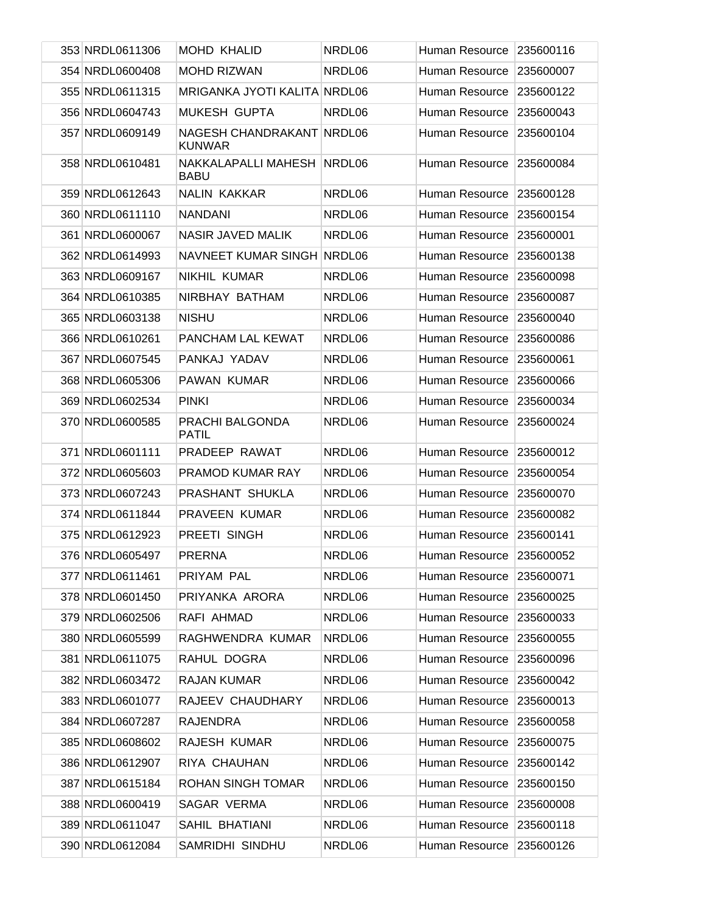| 353 NRDL0611306 | <b>MOHD KHALID</b>                         | NRDL06 | Human Resource | 235600116 |
|-----------------|--------------------------------------------|--------|----------------|-----------|
| 354 NRDL0600408 | <b>MOHD RIZWAN</b>                         | NRDL06 | Human Resource | 235600007 |
| 355 NRDL0611315 | MRIGANKA JYOTI KALITA NRDL06               |        | Human Resource | 235600122 |
| 356 NRDL0604743 | <b>MUKESH GUPTA</b>                        | NRDL06 | Human Resource | 235600043 |
| 357 NRDL0609149 | NAGESH CHANDRAKANT NRDL06<br><b>KUNWAR</b> |        | Human Resource | 235600104 |
| 358 NRDL0610481 | NAKKALAPALLI MAHESH<br><b>BABU</b>         | NRDL06 | Human Resource | 235600084 |
| 359 NRDL0612643 | <b>NALIN KAKKAR</b>                        | NRDL06 | Human Resource | 235600128 |
| 360 NRDL0611110 | <b>NANDANI</b>                             | NRDL06 | Human Resource | 235600154 |
| 361 NRDL0600067 | NASIR JAVED MALIK                          | NRDL06 | Human Resource | 235600001 |
| 362 NRDL0614993 | NAVNEET KUMAR SINGH NRDL06                 |        | Human Resource | 235600138 |
| 363 NRDL0609167 | NIKHIL KUMAR                               | NRDL06 | Human Resource | 235600098 |
| 364 NRDL0610385 | NIRBHAY BATHAM                             | NRDL06 | Human Resource | 235600087 |
| 365 NRDL0603138 | <b>NISHU</b>                               | NRDL06 | Human Resource | 235600040 |
| 366 NRDL0610261 | PANCHAM LAL KEWAT                          | NRDL06 | Human Resource | 235600086 |
| 367 NRDL0607545 | PANKAJ YADAV                               | NRDL06 | Human Resource | 235600061 |
| 368 NRDL0605306 | PAWAN KUMAR                                | NRDL06 | Human Resource | 235600066 |
| 369 NRDL0602534 | <b>PINKI</b>                               | NRDL06 | Human Resource | 235600034 |
| 370 NRDL0600585 | PRACHI BALGONDA<br><b>PATIL</b>            | NRDL06 | Human Resource | 235600024 |
| 371 NRDL0601111 | PRADEEP RAWAT                              | NRDL06 | Human Resource | 235600012 |
| 372 NRDL0605603 | PRAMOD KUMAR RAY                           | NRDL06 | Human Resource | 235600054 |
| 373 NRDL0607243 | PRASHANT SHUKLA                            | NRDL06 | Human Resource | 235600070 |
| 374 NRDL0611844 | <b>PRAVEEN KUMAR</b>                       | NRDL06 | Human Resource | 235600082 |
| 375 NRDL0612923 | PREETI SINGH                               | NRDL06 | Human Resource | 235600141 |
| 376 NRDL0605497 | <b>PRERNA</b>                              | NRDL06 | Human Resource | 235600052 |
| 377 NRDL0611461 | PRIYAM PAL                                 | NRDL06 | Human Resource | 235600071 |
| 378 NRDL0601450 | PRIYANKA ARORA                             | NRDL06 | Human Resource | 235600025 |
| 379 NRDL0602506 | RAFI AHMAD                                 | NRDL06 | Human Resource | 235600033 |
| 380 NRDL0605599 | RAGHWENDRA KUMAR                           | NRDL06 | Human Resource | 235600055 |
| 381 NRDL0611075 | RAHUL DOGRA                                | NRDL06 | Human Resource | 235600096 |
| 382 NRDL0603472 | <b>RAJAN KUMAR</b>                         | NRDL06 | Human Resource | 235600042 |
| 383 NRDL0601077 | RAJEEV CHAUDHARY                           | NRDL06 | Human Resource | 235600013 |
| 384 NRDL0607287 | <b>RAJENDRA</b>                            | NRDL06 | Human Resource | 235600058 |
| 385 NRDL0608602 | RAJESH KUMAR                               | NRDL06 | Human Resource | 235600075 |
| 386 NRDL0612907 | RIYA CHAUHAN                               | NRDL06 | Human Resource | 235600142 |
| 387 NRDL0615184 | <b>ROHAN SINGH TOMAR</b>                   | NRDL06 | Human Resource | 235600150 |
| 388 NRDL0600419 | SAGAR VERMA                                | NRDL06 | Human Resource | 235600008 |
| 389 NRDL0611047 | SAHIL BHATIANI                             | NRDL06 | Human Resource | 235600118 |
| 390 NRDL0612084 | SAMRIDHI SINDHU                            | NRDL06 | Human Resource | 235600126 |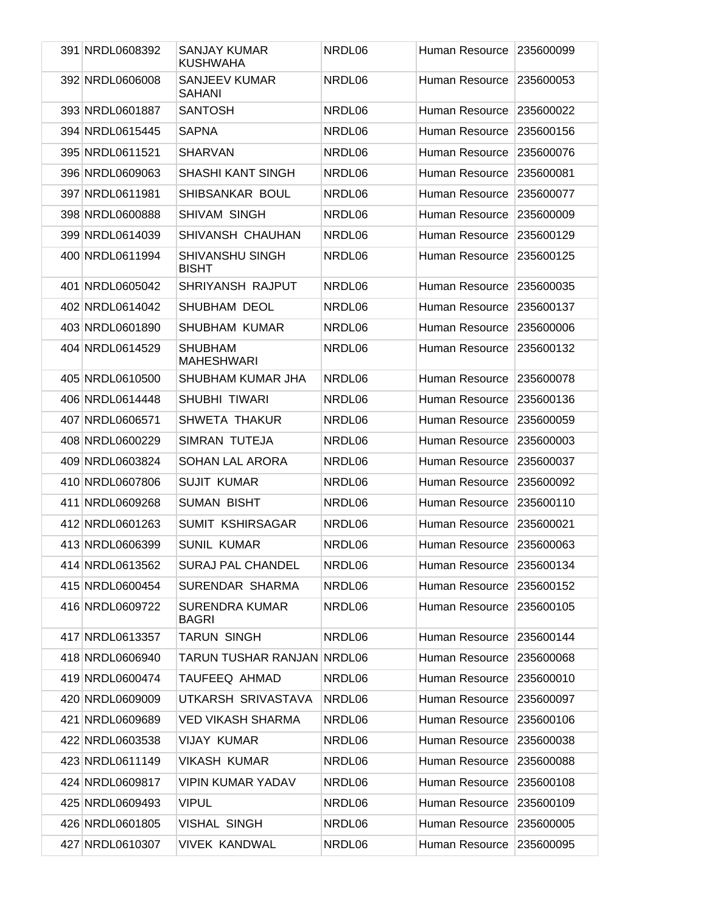| 391 NRDL0608392 | SANJAY KUMAR<br><b>KUSHWAHA</b>        | NRDL06 | Human Resource        | 235600099 |
|-----------------|----------------------------------------|--------|-----------------------|-----------|
| 392 NRDL0606008 | <b>SANJEEV KUMAR</b><br><b>SAHANI</b>  | NRDL06 | Human Resource        | 235600053 |
| 393 NRDL0601887 | <b>SANTOSH</b>                         | NRDL06 | <b>Human Resource</b> | 235600022 |
| 394 NRDL0615445 | <b>SAPNA</b>                           | NRDL06 | Human Resource        | 235600156 |
| 395 NRDL0611521 | <b>SHARVAN</b>                         | NRDL06 | Human Resource        | 235600076 |
| 396 NRDL0609063 | <b>SHASHI KANT SINGH</b>               | NRDL06 | Human Resource        | 235600081 |
| 397 NRDL0611981 | SHIBSANKAR BOUL                        | NRDL06 | Human Resource        | 235600077 |
| 398 NRDL0600888 | SHIVAM SINGH                           | NRDL06 | Human Resource        | 235600009 |
| 399 NRDL0614039 | SHIVANSH CHAUHAN                       | NRDL06 | Human Resource        | 235600129 |
| 400 NRDL0611994 | <b>SHIVANSHU SINGH</b><br><b>BISHT</b> | NRDL06 | Human Resource        | 235600125 |
| 401 NRDL0605042 | SHRIYANSH RAJPUT                       | NRDL06 | Human Resource        | 235600035 |
| 402 NRDL0614042 | SHUBHAM DEOL                           | NRDL06 | Human Resource        | 235600137 |
| 403 NRDL0601890 | SHUBHAM KUMAR                          | NRDL06 | Human Resource        | 235600006 |
| 404 NRDL0614529 | <b>SHUBHAM</b><br><b>MAHESHWARI</b>    | NRDL06 | Human Resource        | 235600132 |
| 405 NRDL0610500 | SHUBHAM KUMAR JHA                      | NRDL06 | Human Resource        | 235600078 |
| 406 NRDL0614448 | <b>SHUBHI TIWARI</b>                   | NRDL06 | Human Resource        | 235600136 |
| 407 NRDL0606571 | <b>SHWETA THAKUR</b>                   | NRDL06 | Human Resource        | 235600059 |
| 408 NRDL0600229 | SIMRAN TUTEJA                          | NRDL06 | Human Resource        | 235600003 |
| 409 NRDL0603824 | <b>SOHAN LAL ARORA</b>                 | NRDL06 | Human Resource        | 235600037 |
| 410 NRDL0607806 | <b>SUJIT KUMAR</b>                     | NRDL06 | Human Resource        | 235600092 |
| 411 NRDL0609268 | <b>SUMAN BISHT</b>                     | NRDL06 | Human Resource        | 235600110 |
| 412 NRDL0601263 | <b>SUMIT KSHIRSAGAR</b>                | NRDL06 | Human Resource        | 235600021 |
| 413 NRDL0606399 | <b>SUNIL KUMAR</b>                     | NRDL06 | Human Resource        | 235600063 |
| 414 NRDL0613562 | SURAJ PAL CHANDEL                      | NRDL06 | Human Resource        | 235600134 |
| 415 NRDL0600454 | SURENDAR SHARMA                        | NRDL06 | Human Resource        | 235600152 |
| 416 NRDL0609722 | <b>SURENDRA KUMAR</b><br>BAGRI         | NRDL06 | Human Resource        | 235600105 |
| 417 NRDL0613357 | <b>TARUN SINGH</b>                     | NRDL06 | Human Resource        | 235600144 |
| 418 NRDL0606940 | TARUN TUSHAR RANJAN NRDL06             |        | Human Resource        | 235600068 |
| 419 NRDL0600474 | TAUFEEQ AHMAD                          | NRDL06 | Human Resource        | 235600010 |
| 420 NRDL0609009 | UTKARSH SRIVASTAVA                     | NRDL06 | Human Resource        | 235600097 |
| 421 NRDL0609689 | <b>VED VIKASH SHARMA</b>               | NRDL06 | Human Resource        | 235600106 |
| 422 NRDL0603538 | VIJAY KUMAR                            | NRDL06 | Human Resource        | 235600038 |
| 423 NRDL0611149 | <b>VIKASH KUMAR</b>                    | NRDL06 | Human Resource        | 235600088 |
| 424 NRDL0609817 | <b>VIPIN KUMAR YADAV</b>               | NRDL06 | Human Resource        | 235600108 |
| 425 NRDL0609493 | <b>VIPUL</b>                           | NRDL06 | Human Resource        | 235600109 |
| 426 NRDL0601805 | <b>VISHAL SINGH</b>                    | NRDL06 | Human Resource        | 235600005 |
| 427 NRDL0610307 | <b>VIVEK KANDWAL</b>                   | NRDL06 | Human Resource        | 235600095 |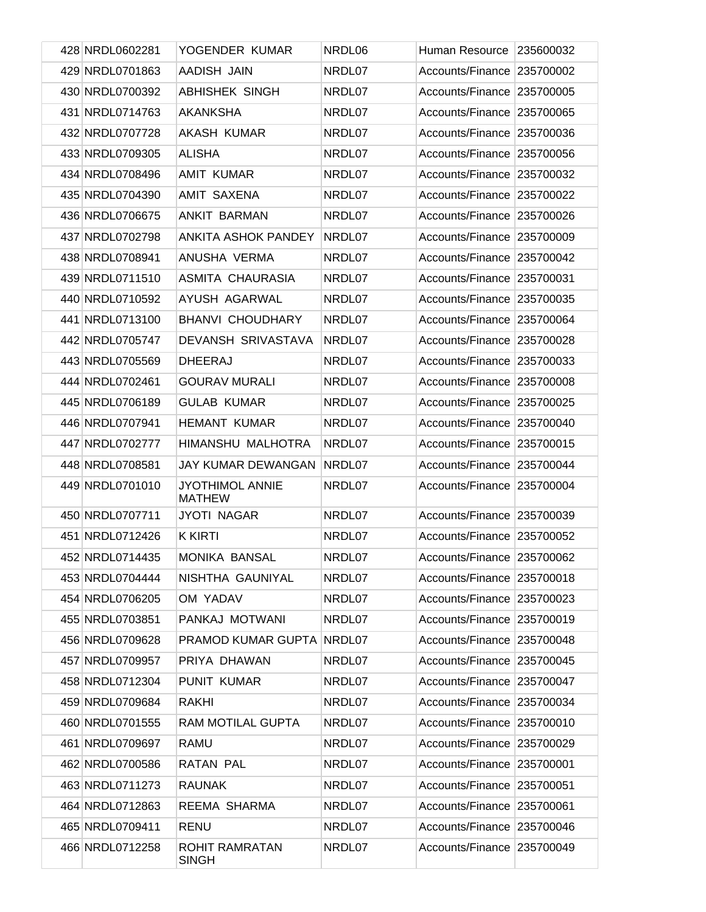| 428 NRDL0602281 | YOGENDER KUMAR                          | NRDL06 | Human Resource             | 235600032 |
|-----------------|-----------------------------------------|--------|----------------------------|-----------|
| 429 NRDL0701863 | AADISH JAIN                             | NRDL07 | Accounts/Finance 235700002 |           |
| 430 NRDL0700392 | <b>ABHISHEK SINGH</b>                   | NRDL07 | Accounts/Finance 235700005 |           |
| 431 NRDL0714763 | <b>AKANKSHA</b>                         | NRDL07 | Accounts/Finance           | 235700065 |
| 432 NRDL0707728 | AKASH KUMAR                             | NRDL07 | Accounts/Finance 235700036 |           |
| 433 NRDL0709305 | <b>ALISHA</b>                           | NRDL07 | Accounts/Finance           | 235700056 |
| 434 NRDL0708496 | <b>AMIT KUMAR</b>                       | NRDL07 | Accounts/Finance 235700032 |           |
| 435 NRDL0704390 | <b>AMIT SAXENA</b>                      | NRDL07 | Accounts/Finance           | 235700022 |
| 436 NRDL0706675 | ANKIT BARMAN                            | NRDL07 | Accounts/Finance 235700026 |           |
| 437 NRDL0702798 | <b>ANKITA ASHOK PANDEY</b>              | NRDL07 | Accounts/Finance           | 235700009 |
| 438 NRDL0708941 | ANUSHA VERMA                            | NRDL07 | Accounts/Finance 235700042 |           |
| 439 NRDL0711510 | ASMITA CHAURASIA                        | NRDL07 | Accounts/Finance           | 235700031 |
| 440 NRDL0710592 | AYUSH AGARWAL                           | NRDL07 | Accounts/Finance 235700035 |           |
| 441 NRDL0713100 | <b>BHANVI CHOUDHARY</b>                 | NRDL07 | Accounts/Finance           | 235700064 |
| 442 NRDL0705747 | DEVANSH SRIVASTAVA                      | NRDL07 | Accounts/Finance 235700028 |           |
| 443 NRDL0705569 | <b>DHEERAJ</b>                          | NRDL07 | Accounts/Finance           | 235700033 |
| 444 NRDL0702461 | <b>GOURAV MURALI</b>                    | NRDL07 | Accounts/Finance           | 235700008 |
| 445 NRDL0706189 | <b>GULAB KUMAR</b>                      | NRDL07 | Accounts/Finance           | 235700025 |
| 446 NRDL0707941 | <b>HEMANT KUMAR</b>                     | NRDL07 | Accounts/Finance           | 235700040 |
| 447 NRDL0702777 | HIMANSHU MALHOTRA                       | NRDL07 | Accounts/Finance           | 235700015 |
| 448 NRDL0708581 | <b>JAY KUMAR DEWANGAN</b>               | NRDL07 | Accounts/Finance           | 235700044 |
| 449 NRDL0701010 | <b>JYOTHIMOL ANNIE</b><br><b>MATHEW</b> | NRDL07 | Accounts/Finance 235700004 |           |
| 450 NRDL0707711 | <b>JYOTI NAGAR</b>                      | NRDL07 | Accounts/Finance 235700039 |           |
| 451 NRDL0712426 | <b>K KIRTI</b>                          | NRDL07 | Accounts/Finance 235700052 |           |
| 452 NRDL0714435 | MONIKA BANSAL                           | NRDL07 | Accounts/Finance 235700062 |           |
| 453 NRDL0704444 | NISHTHA GAUNIYAL                        | NRDL07 | Accounts/Finance 235700018 |           |
| 454 NRDL0706205 | OM YADAV                                | NRDL07 | Accounts/Finance 235700023 |           |
| 455 NRDL0703851 | PANKAJ MOTWANI                          | NRDL07 | Accounts/Finance 235700019 |           |
| 456 NRDL0709628 | PRAMOD KUMAR GUPTA                      | NRDL07 | Accounts/Finance           | 235700048 |
| 457 NRDL0709957 | PRIYA DHAWAN                            | NRDL07 | Accounts/Finance           | 235700045 |
| 458 NRDL0712304 | PUNIT KUMAR                             | NRDL07 | Accounts/Finance           | 235700047 |
| 459 NRDL0709684 | <b>RAKHI</b>                            | NRDL07 | Accounts/Finance           | 235700034 |
| 460 NRDL0701555 | RAM MOTILAL GUPTA                       | NRDL07 | Accounts/Finance           | 235700010 |
| 461 NRDL0709697 | RAMU                                    | NRDL07 | Accounts/Finance           | 235700029 |
| 462 NRDL0700586 | RATAN PAL                               | NRDL07 | Accounts/Finance           | 235700001 |
| 463 NRDL0711273 | <b>RAUNAK</b>                           | NRDL07 | Accounts/Finance           | 235700051 |
| 464 NRDL0712863 | REEMA SHARMA                            | NRDL07 | Accounts/Finance           | 235700061 |
| 465 NRDL0709411 | <b>RENU</b>                             | NRDL07 | Accounts/Finance           | 235700046 |
| 466 NRDL0712258 | ROHIT RAMRATAN<br><b>SINGH</b>          | NRDL07 | Accounts/Finance           | 235700049 |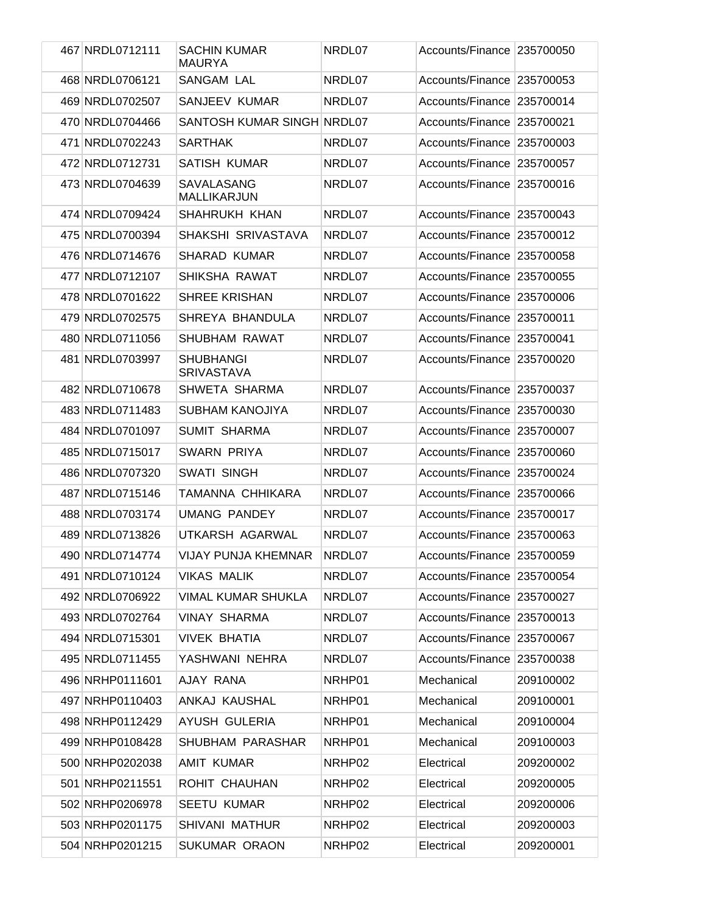| 467 NRDL0712111 | <b>SACHIN KUMAR</b><br><b>MAURYA</b>  | NRDL07 | Accounts/Finance   235700050 |           |
|-----------------|---------------------------------------|--------|------------------------------|-----------|
| 468 NRDL0706121 | <b>SANGAM LAL</b>                     | NRDL07 | Accounts/Finance             | 235700053 |
| 469 NRDL0702507 | SANJEEV KUMAR                         | NRDL07 | Accounts/Finance             | 235700014 |
| 470 NRDL0704466 | SANTOSH KUMAR SINGH NRDL07            |        | Accounts/Finance             | 235700021 |
| 471 NRDL0702243 | <b>SARTHAK</b>                        | NRDL07 | Accounts/Finance             | 235700003 |
| 472 NRDL0712731 | <b>SATISH KUMAR</b>                   | NRDL07 | Accounts/Finance             | 235700057 |
| 473 NRDL0704639 | SAVALASANG<br><b>MALLIKARJUN</b>      | NRDL07 | Accounts/Finance             | 235700016 |
| 474 NRDL0709424 | SHAHRUKH KHAN                         | NRDL07 | Accounts/Finance             | 235700043 |
| 475 NRDL0700394 | SHAKSHI SRIVASTAVA                    | NRDL07 | <b>Accounts/Finance</b>      | 235700012 |
| 476 NRDL0714676 | <b>SHARAD KUMAR</b>                   | NRDL07 | Accounts/Finance             | 235700058 |
| 477 NRDL0712107 | SHIKSHA RAWAT                         | NRDL07 | <b>Accounts/Finance</b>      | 235700055 |
| 478 NRDL0701622 | <b>SHREE KRISHAN</b>                  | NRDL07 | Accounts/Finance             | 235700006 |
| 479 NRDL0702575 | SHREYA BHANDULA                       | NRDL07 | <b>Accounts/Finance</b>      | 235700011 |
| 480 NRDL0711056 | SHUBHAM RAWAT                         | NRDL07 | Accounts/Finance             | 235700041 |
| 481 NRDL0703997 | <b>SHUBHANGI</b><br><b>SRIVASTAVA</b> | NRDL07 | Accounts/Finance             | 235700020 |
| 482 NRDL0710678 | SHWETA SHARMA                         | NRDL07 | Accounts/Finance             | 235700037 |
| 483 NRDL0711483 | <b>SUBHAM KANOJIYA</b>                | NRDL07 | Accounts/Finance             | 235700030 |
| 484 NRDL0701097 | <b>SUMIT SHARMA</b>                   | NRDL07 | Accounts/Finance             | 235700007 |
| 485 NRDL0715017 | SWARN PRIYA                           | NRDL07 | Accounts/Finance             | 235700060 |
| 486 NRDL0707320 | <b>SWATI SINGH</b>                    | NRDL07 | Accounts/Finance             | 235700024 |
| 487 NRDL0715146 | <b>TAMANNA CHHIKARA</b>               | NRDL07 | Accounts/Finance             | 235700066 |
| 488 NRDL0703174 | <b>UMANG PANDEY</b>                   | NRDL07 | Accounts/Finance             | 235700017 |
| 489 NRDL0713826 | UTKARSH AGARWAL                       | NRDL07 | Accounts/Finance 235700063   |           |
| 490 NRDL0714774 | VIJAY PUNJA KHEMNAR                   | NRDL07 | Accounts/Finance 235700059   |           |
| 491 NRDL0710124 | <b>VIKAS MALIK</b>                    | NRDL07 | Accounts/Finance 235700054   |           |
| 492 NRDL0706922 | <b>VIMAL KUMAR SHUKLA</b>             | NRDL07 | Accounts/Finance 235700027   |           |
| 493 NRDL0702764 | <b>VINAY SHARMA</b>                   | NRDL07 | Accounts/Finance 235700013   |           |
| 494 NRDL0715301 | <b>VIVEK BHATIA</b>                   | NRDL07 | Accounts/Finance 235700067   |           |
| 495 NRDL0711455 | YASHWANI NEHRA                        | NRDL07 | Accounts/Finance 235700038   |           |
| 496 NRHP0111601 | AJAY RANA                             | NRHP01 | Mechanical                   | 209100002 |
| 497 NRHP0110403 | ANKAJ KAUSHAL                         | NRHP01 | Mechanical                   | 209100001 |
| 498 NRHP0112429 | AYUSH GULERIA                         | NRHP01 | Mechanical                   | 209100004 |
| 499 NRHP0108428 | SHUBHAM PARASHAR                      | NRHP01 | Mechanical                   | 209100003 |
| 500 NRHP0202038 | AMIT KUMAR                            | NRHP02 | Electrical                   | 209200002 |
| 501 NRHP0211551 | ROHIT CHAUHAN                         | NRHP02 | Electrical                   | 209200005 |
| 502 NRHP0206978 | <b>SEETU KUMAR</b>                    | NRHP02 | Electrical                   | 209200006 |
| 503 NRHP0201175 | SHIVANI MATHUR                        | NRHP02 | Electrical                   | 209200003 |
| 504 NRHP0201215 | SUKUMAR ORAON                         | NRHP02 | Electrical                   | 209200001 |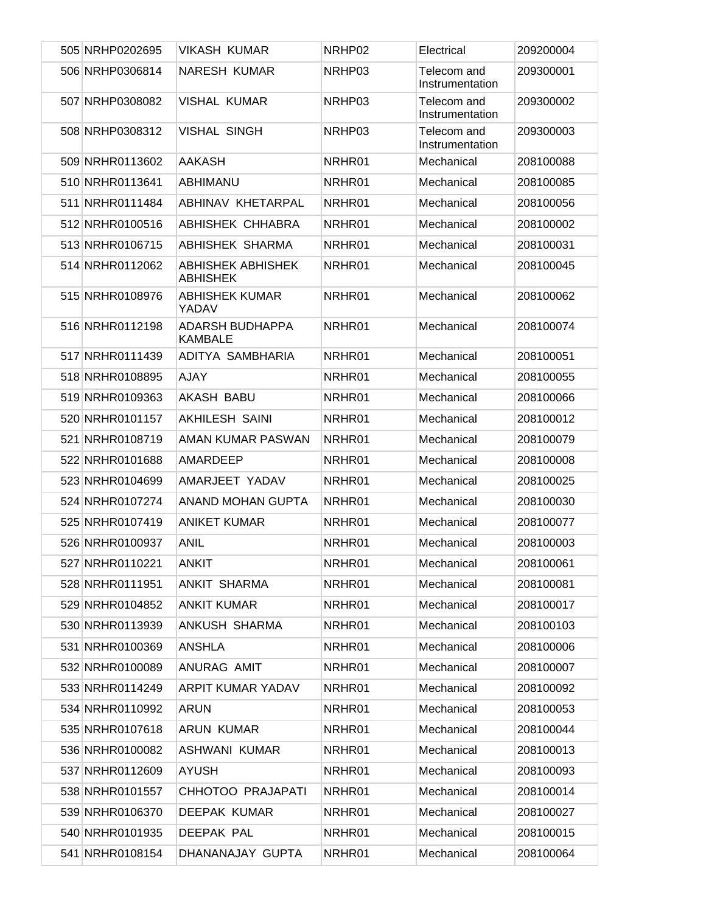| 505 NRHP0202695 | <b>VIKASH KUMAR</b>                      | NRHP02 | Electrical                     | 209200004 |
|-----------------|------------------------------------------|--------|--------------------------------|-----------|
| 506 NRHP0306814 | <b>NARESH KUMAR</b>                      | NRHP03 | Telecom and<br>Instrumentation | 209300001 |
| 507 NRHP0308082 | <b>VISHAL KUMAR</b>                      | NRHP03 | Telecom and<br>Instrumentation | 209300002 |
| 508 NRHP0308312 | <b>VISHAL SINGH</b>                      | NRHP03 | Telecom and<br>Instrumentation | 209300003 |
| 509 NRHR0113602 | <b>AAKASH</b>                            | NRHR01 | Mechanical                     | 208100088 |
| 510 NRHR0113641 | ABHIMANU                                 | NRHR01 | Mechanical                     | 208100085 |
| 511 NRHR0111484 | ABHINAV KHETARPAL                        | NRHR01 | Mechanical                     | 208100056 |
| 512 NRHR0100516 | <b>ABHISHEK CHHABRA</b>                  | NRHR01 | Mechanical                     | 208100002 |
| 513 NRHR0106715 | ABHISHEK SHARMA                          | NRHR01 | Mechanical                     | 208100031 |
| 514 NRHR0112062 | ABHISHEK ABHISHEK<br><b>ABHISHEK</b>     | NRHR01 | Mechanical                     | 208100045 |
| 515 NRHR0108976 | <b>ABHISHEK KUMAR</b><br>YADAV           | NRHR01 | Mechanical                     | 208100062 |
| 516 NRHR0112198 | <b>ADARSH BUDHAPPA</b><br><b>KAMBALE</b> | NRHR01 | Mechanical                     | 208100074 |
| 517 NRHR0111439 | ADITYA SAMBHARIA                         | NRHR01 | Mechanical                     | 208100051 |
| 518 NRHR0108895 | <b>AJAY</b>                              | NRHR01 | Mechanical                     | 208100055 |
| 519 NRHR0109363 | <b>AKASH BABU</b>                        | NRHR01 | Mechanical                     | 208100066 |
| 520 NRHR0101157 | <b>AKHILESH SAINI</b>                    | NRHR01 | Mechanical                     | 208100012 |
| 521 NRHR0108719 | AMAN KUMAR PASWAN                        | NRHR01 | Mechanical                     | 208100079 |
| 522 NRHR0101688 | AMARDEEP                                 | NRHR01 | Mechanical                     | 208100008 |
| 523 NRHR0104699 | AMARJEET YADAV                           | NRHR01 | Mechanical                     | 208100025 |
| 524 NRHR0107274 | ANAND MOHAN GUPTA                        | NRHR01 | Mechanical                     | 208100030 |
| 525 NRHR0107419 | <b>ANIKET KUMAR</b>                      | NRHR01 | Mechanical                     | 208100077 |
| 526 NRHR0100937 | <b>ANIL</b>                              | NRHR01 | Mechanical                     | 208100003 |
| 527 NRHR0110221 | <b>ANKIT</b>                             | NRHR01 | Mechanical                     | 208100061 |
| 528 NRHR0111951 | <b>ANKIT SHARMA</b>                      | NRHR01 | Mechanical                     | 208100081 |
| 529 NRHR0104852 | <b>ANKIT KUMAR</b>                       | NRHR01 | Mechanical                     | 208100017 |
| 530 NRHR0113939 | ANKUSH SHARMA                            | NRHR01 | Mechanical                     | 208100103 |
| 531 NRHR0100369 | <b>ANSHLA</b>                            | NRHR01 | Mechanical                     | 208100006 |
| 532 NRHR0100089 | ANURAG AMIT                              | NRHR01 | Mechanical                     | 208100007 |
| 533 NRHR0114249 | ARPIT KUMAR YADAV                        | NRHR01 | Mechanical                     | 208100092 |
| 534 NRHR0110992 | <b>ARUN</b>                              | NRHR01 | Mechanical                     | 208100053 |
| 535 NRHR0107618 | <b>ARUN KUMAR</b>                        | NRHR01 | Mechanical                     | 208100044 |
| 536 NRHR0100082 | <b>ASHWANI KUMAR</b>                     | NRHR01 | Mechanical                     | 208100013 |
| 537 NRHR0112609 | <b>AYUSH</b>                             | NRHR01 | Mechanical                     | 208100093 |
| 538 NRHR0101557 | CHHOTOO PRAJAPATI                        | NRHR01 | Mechanical                     | 208100014 |
| 539 NRHR0106370 | DEEPAK KUMAR                             | NRHR01 | Mechanical                     | 208100027 |
| 540 NRHR0101935 | DEEPAK PAL                               | NRHR01 | Mechanical                     | 208100015 |
| 541 NRHR0108154 | DHANANAJAY GUPTA                         | NRHR01 | Mechanical                     | 208100064 |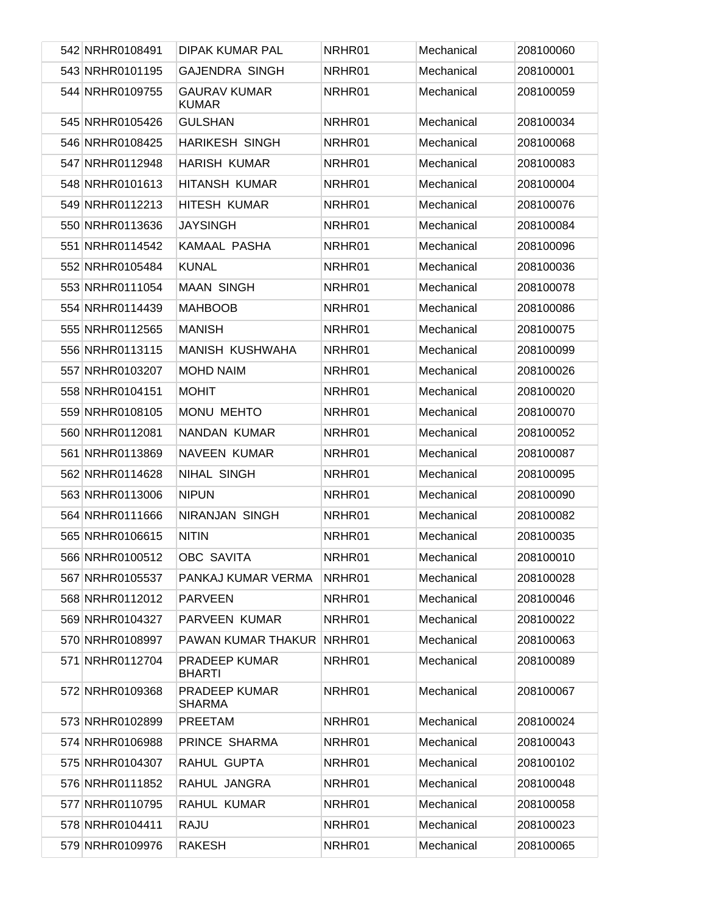| 542 NRHR0108491 | <b>DIPAK KUMAR PAL</b>                | NRHR01 | Mechanical | 208100060 |
|-----------------|---------------------------------------|--------|------------|-----------|
| 543 NRHR0101195 | <b>GAJENDRA SINGH</b>                 | NRHR01 | Mechanical | 208100001 |
| 544 NRHR0109755 | <b>GAURAV KUMAR</b><br><b>KUMAR</b>   | NRHR01 | Mechanical | 208100059 |
| 545 NRHR0105426 | <b>GULSHAN</b>                        | NRHR01 | Mechanical | 208100034 |
| 546 NRHR0108425 | <b>HARIKESH SINGH</b>                 | NRHR01 | Mechanical | 208100068 |
| 547 NRHR0112948 | <b>HARISH KUMAR</b>                   | NRHR01 | Mechanical | 208100083 |
| 548 NRHR0101613 | HITANSH KUMAR                         | NRHR01 | Mechanical | 208100004 |
| 549 NRHR0112213 | HITESH KUMAR                          | NRHR01 | Mechanical | 208100076 |
| 550 NRHR0113636 | <b>JAYSINGH</b>                       | NRHR01 | Mechanical | 208100084 |
| 551 NRHR0114542 | KAMAAL PASHA                          | NRHR01 | Mechanical | 208100096 |
| 552 NRHR0105484 | <b>KUNAL</b>                          | NRHR01 | Mechanical | 208100036 |
| 553 NRHR0111054 | <b>MAAN SINGH</b>                     | NRHR01 | Mechanical | 208100078 |
| 554 NRHR0114439 | <b>MAHBOOB</b>                        | NRHR01 | Mechanical | 208100086 |
| 555 NRHR0112565 | <b>MANISH</b>                         | NRHR01 | Mechanical | 208100075 |
| 556 NRHR0113115 | MANISH KUSHWAHA                       | NRHR01 | Mechanical | 208100099 |
| 557 NRHR0103207 | <b>MOHD NAIM</b>                      | NRHR01 | Mechanical | 208100026 |
| 558 NRHR0104151 | <b>MOHIT</b>                          | NRHR01 | Mechanical | 208100020 |
| 559 NRHR0108105 | MONU MEHTO                            | NRHR01 | Mechanical | 208100070 |
| 560 NRHR0112081 | NANDAN KUMAR                          | NRHR01 | Mechanical | 208100052 |
| 561 NRHR0113869 | NAVEEN KUMAR                          | NRHR01 | Mechanical | 208100087 |
| 562 NRHR0114628 | NIHAL SINGH                           | NRHR01 | Mechanical | 208100095 |
| 563 NRHR0113006 | <b>NIPUN</b>                          | NRHR01 | Mechanical | 208100090 |
| 564 NRHR0111666 | NIRANJAN SINGH                        | NRHR01 | Mechanical | 208100082 |
| 565 NRHR0106615 | <b>NITIN</b>                          | NRHR01 | Mechanical | 208100035 |
| 566 NRHR0100512 | OBC SAVITA                            | NRHR01 | Mechanical | 208100010 |
| 567 NRHR0105537 | PANKAJ KUMAR VERMA                    | NRHR01 | Mechanical | 208100028 |
| 568 NRHR0112012 | <b>PARVEEN</b>                        | NRHR01 | Mechanical | 208100046 |
| 569 NRHR0104327 | PARVEEN KUMAR                         | NRHR01 | Mechanical | 208100022 |
| 570 NRHR0108997 | PAWAN KUMAR THAKUR                    | NRHR01 | Mechanical | 208100063 |
| 571 NRHR0112704 | PRADEEP KUMAR<br><b>BHARTI</b>        | NRHR01 | Mechanical | 208100089 |
| 572 NRHR0109368 | <b>PRADEEP KUMAR</b><br><b>SHARMA</b> | NRHR01 | Mechanical | 208100067 |
| 573 NRHR0102899 | PREETAM                               | NRHR01 | Mechanical | 208100024 |
| 574 NRHR0106988 | PRINCE SHARMA                         | NRHR01 | Mechanical | 208100043 |
| 575 NRHR0104307 | RAHUL GUPTA                           | NRHR01 | Mechanical | 208100102 |
| 576 NRHR0111852 | RAHUL JANGRA                          | NRHR01 | Mechanical | 208100048 |
| 577 NRHR0110795 | RAHUL KUMAR                           | NRHR01 | Mechanical | 208100058 |
| 578 NRHR0104411 | RAJU                                  | NRHR01 | Mechanical | 208100023 |
| 579 NRHR0109976 | <b>RAKESH</b>                         | NRHR01 | Mechanical | 208100065 |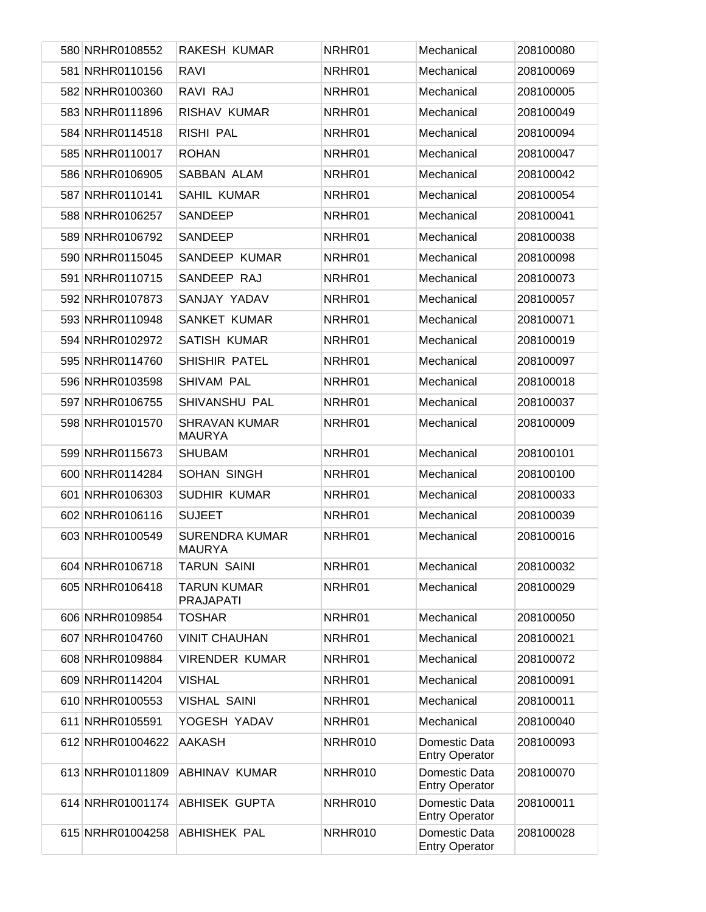| 580 NRHR0108552  | RAKESH KUMAR                           | NRHR01  | Mechanical                             | 208100080 |
|------------------|----------------------------------------|---------|----------------------------------------|-----------|
| 581 NRHR0110156  | <b>RAVI</b>                            | NRHR01  | Mechanical                             | 208100069 |
| 582 NRHR0100360  | RAVI RAJ                               | NRHR01  | Mechanical                             | 208100005 |
| 583 NRHR0111896  | <b>RISHAV KUMAR</b>                    | NRHR01  | Mechanical                             | 208100049 |
| 584 NRHR0114518  | RISHI PAL                              | NRHR01  | Mechanical                             | 208100094 |
| 585 NRHR0110017  | <b>ROHAN</b>                           | NRHR01  | Mechanical                             | 208100047 |
| 586 NRHR0106905  | SABBAN ALAM                            | NRHR01  | Mechanical                             | 208100042 |
| 587 NRHR0110141  | SAHIL KUMAR                            | NRHR01  | Mechanical                             | 208100054 |
| 588 NRHR0106257  | SANDEEP                                | NRHR01  | Mechanical                             | 208100041 |
| 589 NRHR0106792  | SANDEEP                                | NRHR01  | Mechanical                             | 208100038 |
| 590 NRHR0115045  | SANDEEP KUMAR                          | NRHR01  | Mechanical                             | 208100098 |
| 591 NRHR0110715  | SANDEEP RAJ                            | NRHR01  | Mechanical                             | 208100073 |
| 592 NRHR0107873  | SANJAY YADAV                           | NRHR01  | Mechanical                             | 208100057 |
| 593 NRHR0110948  | <b>SANKET KUMAR</b>                    | NRHR01  | Mechanical                             | 208100071 |
| 594 NRHR0102972  | <b>SATISH KUMAR</b>                    | NRHR01  | Mechanical                             | 208100019 |
| 595 NRHR0114760  | SHISHIR PATEL                          | NRHR01  | Mechanical                             | 208100097 |
| 596 NRHR0103598  | SHIVAM PAL                             | NRHR01  | Mechanical                             | 208100018 |
| 597 NRHR0106755  | SHIVANSHU PAL                          | NRHR01  | Mechanical                             | 208100037 |
| 598 NRHR0101570  | <b>SHRAVAN KUMAR</b><br><b>MAURYA</b>  | NRHR01  | Mechanical                             | 208100009 |
| 599 NRHR0115673  | <b>SHUBAM</b>                          | NRHR01  | Mechanical                             | 208100101 |
| 600 NRHR0114284  | SOHAN SINGH                            | NRHR01  | Mechanical                             | 208100100 |
| 601 NRHR0106303  | <b>SUDHIR KUMAR</b>                    | NRHR01  | Mechanical                             | 208100033 |
| 602 NRHR0106116  | <b>SUJEET</b>                          | NRHR01  | Mechanical                             | 208100039 |
| 603 NRHR0100549  | <b>SURENDRA KUMAR</b><br><b>MAURYA</b> | NRHR01  | Mechanical                             | 208100016 |
| 604 NRHR0106718  | <b>TARUN SAINI</b>                     | NRHR01  | Mechanical                             | 208100032 |
| 605 NRHR0106418  | <b>TARUN KUMAR</b><br><b>PRAJAPATI</b> | NRHR01  | Mechanical                             | 208100029 |
| 606 NRHR0109854  | <b>TOSHAR</b>                          | NRHR01  | Mechanical                             | 208100050 |
| 607 NRHR0104760  | <b>VINIT CHAUHAN</b>                   | NRHR01  | Mechanical                             | 208100021 |
| 608 NRHR0109884  | <b>VIRENDER KUMAR</b>                  | NRHR01  | Mechanical                             | 208100072 |
| 609 NRHR0114204  | <b>VISHAL</b>                          | NRHR01  | Mechanical                             | 208100091 |
| 610 NRHR0100553  | <b>VISHAL SAINI</b>                    | NRHR01  | Mechanical                             | 208100011 |
| 611 NRHR0105591  | YOGESH YADAV                           | NRHR01  | Mechanical                             | 208100040 |
| 612 NRHR01004622 | <b>AAKASH</b>                          | NRHR010 | Domestic Data<br><b>Entry Operator</b> | 208100093 |
| 613 NRHR01011809 | <b>ABHINAV KUMAR</b>                   | NRHR010 | Domestic Data<br><b>Entry Operator</b> | 208100070 |
| 614 NRHR01001174 | <b>ABHISEK GUPTA</b>                   | NRHR010 | Domestic Data<br><b>Entry Operator</b> | 208100011 |
| 615 NRHR01004258 | <b>ABHISHEK PAL</b>                    | NRHR010 | Domestic Data<br><b>Entry Operator</b> | 208100028 |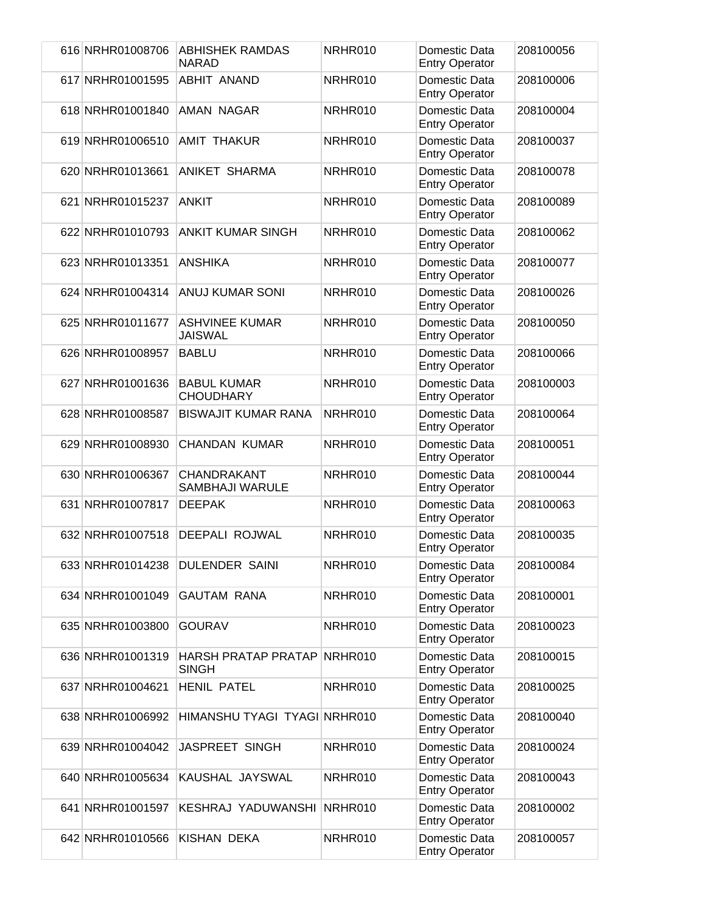| 616 NRHR01008706 | <b>ABHISHEK RAMDAS</b><br><b>NARAD</b>     | NRHR010 | Domestic Data<br><b>Entry Operator</b> | 208100056 |
|------------------|--------------------------------------------|---------|----------------------------------------|-----------|
| 617 NRHR01001595 | <b>ABHIT ANAND</b>                         | NRHR010 | Domestic Data<br><b>Entry Operator</b> | 208100006 |
| 618 NRHR01001840 | AMAN NAGAR                                 | NRHR010 | Domestic Data<br><b>Entry Operator</b> | 208100004 |
| 619 NRHR01006510 | <b>AMIT THAKUR</b>                         | NRHR010 | Domestic Data<br><b>Entry Operator</b> | 208100037 |
| 620 NRHR01013661 | ANIKET SHARMA                              | NRHR010 | Domestic Data<br><b>Entry Operator</b> | 208100078 |
| 621 NRHR01015237 | <b>ANKIT</b>                               | NRHR010 | Domestic Data<br><b>Entry Operator</b> | 208100089 |
| 622 NRHR01010793 | <b>ANKIT KUMAR SINGH</b>                   | NRHR010 | Domestic Data<br><b>Entry Operator</b> | 208100062 |
| 623 NRHR01013351 | <b>ANSHIKA</b>                             | NRHR010 | Domestic Data<br><b>Entry Operator</b> | 208100077 |
| 624 NRHR01004314 | <b>ANUJ KUMAR SONI</b>                     | NRHR010 | Domestic Data<br><b>Entry Operator</b> | 208100026 |
| 625 NRHR01011677 | <b>ASHVINEE KUMAR</b><br><b>JAISWAL</b>    | NRHR010 | Domestic Data<br><b>Entry Operator</b> | 208100050 |
| 626 NRHR01008957 | <b>BABLU</b>                               | NRHR010 | Domestic Data<br><b>Entry Operator</b> | 208100066 |
| 627 NRHR01001636 | <b>BABUL KUMAR</b><br><b>CHOUDHARY</b>     | NRHR010 | Domestic Data<br><b>Entry Operator</b> | 208100003 |
| 628 NRHR01008587 | <b>BISWAJIT KUMAR RANA</b>                 | NRHR010 | Domestic Data<br><b>Entry Operator</b> | 208100064 |
| 629 NRHR01008930 | <b>CHANDAN KUMAR</b>                       | NRHR010 | Domestic Data<br><b>Entry Operator</b> | 208100051 |
| 630 NRHR01006367 | CHANDRAKANT<br>SAMBHAJI WARULE             | NRHR010 | Domestic Data<br><b>Entry Operator</b> | 208100044 |
| 631 NRHR01007817 | <b>DEEPAK</b>                              | NRHR010 | Domestic Data<br><b>Entry Operator</b> | 208100063 |
| 632 NRHR01007518 | <b>DEEPALI ROJWAL</b>                      | NRHR010 | Domestic Data<br><b>Entry Operator</b> | 208100035 |
| 633 NRHR01014238 | <b>DULENDER SAINI</b>                      | NRHR010 | Domestic Data<br><b>Entry Operator</b> | 208100084 |
| 634 NRHR01001049 | <b>GAUTAM RANA</b>                         | NRHR010 | Domestic Data<br><b>Entry Operator</b> | 208100001 |
| 635 NRHR01003800 | <b>GOURAV</b>                              | NRHR010 | Domestic Data<br><b>Entry Operator</b> | 208100023 |
| 636 NRHR01001319 | <b>HARSH PRATAP PRATAP</b><br><b>SINGH</b> | NRHR010 | Domestic Data<br><b>Entry Operator</b> | 208100015 |
| 637 NRHR01004621 | <b>HENIL PATEL</b>                         | NRHR010 | Domestic Data<br><b>Entry Operator</b> | 208100025 |
| 638 NRHR01006992 | HIMANSHU TYAGI TYAGI NRHR010               |         | Domestic Data<br><b>Entry Operator</b> | 208100040 |
| 639 NRHR01004042 | JASPREET SINGH                             | NRHR010 | Domestic Data<br><b>Entry Operator</b> | 208100024 |
| 640 NRHR01005634 | KAUSHAL JAYSWAL                            | NRHR010 | Domestic Data<br><b>Entry Operator</b> | 208100043 |
| 641 NRHR01001597 | KESHRAJ YADUWANSHI                         | NRHR010 | Domestic Data<br><b>Entry Operator</b> | 208100002 |
| 642 NRHR01010566 | <b>KISHAN DEKA</b>                         | NRHR010 | Domestic Data<br><b>Entry Operator</b> | 208100057 |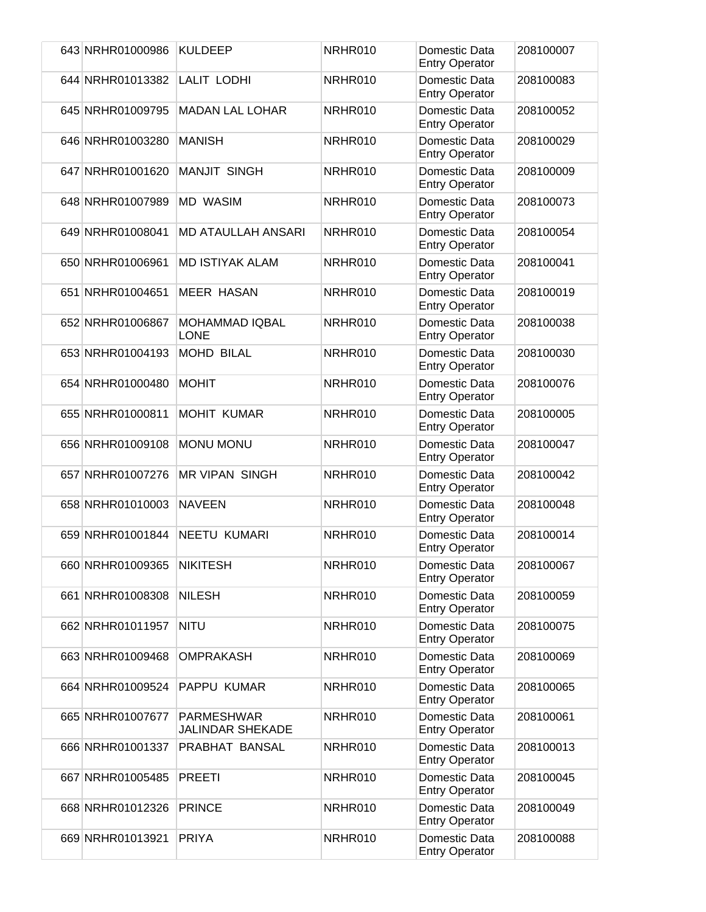| 643 NRHR01000986 | <b>KULDEEP</b>                        | NRHR010 | Domestic Data<br><b>Entry Operator</b> | 208100007 |
|------------------|---------------------------------------|---------|----------------------------------------|-----------|
| 644 NRHR01013382 | <b>LALIT LODHI</b>                    | NRHR010 | Domestic Data<br><b>Entry Operator</b> | 208100083 |
| 645 NRHR01009795 | <b>MADAN LAL LOHAR</b>                | NRHR010 | Domestic Data<br><b>Entry Operator</b> | 208100052 |
| 646 NRHR01003280 | <b>MANISH</b>                         | NRHR010 | Domestic Data<br><b>Entry Operator</b> | 208100029 |
| 647 NRHR01001620 | <b>MANJIT SINGH</b>                   | NRHR010 | Domestic Data<br><b>Entry Operator</b> | 208100009 |
| 648 NRHR01007989 | <b>MD WASIM</b>                       | NRHR010 | Domestic Data<br><b>Entry Operator</b> | 208100073 |
| 649 NRHR01008041 | <b>MD ATAULLAH ANSARI</b>             | NRHR010 | Domestic Data<br><b>Entry Operator</b> | 208100054 |
| 650 NRHR01006961 | <b>MD ISTIYAK ALAM</b>                | NRHR010 | Domestic Data<br><b>Entry Operator</b> | 208100041 |
| 651 NRHR01004651 | <b>MEER HASAN</b>                     | NRHR010 | Domestic Data<br><b>Entry Operator</b> | 208100019 |
| 652 NRHR01006867 | MOHAMMAD IQBAL<br><b>LONE</b>         | NRHR010 | Domestic Data<br><b>Entry Operator</b> | 208100038 |
| 653 NRHR01004193 | <b>MOHD BILAL</b>                     | NRHR010 | Domestic Data<br><b>Entry Operator</b> | 208100030 |
| 654 NRHR01000480 | <b>MOHIT</b>                          | NRHR010 | Domestic Data<br><b>Entry Operator</b> | 208100076 |
| 655 NRHR01000811 | <b>MOHIT KUMAR</b>                    | NRHR010 | Domestic Data<br><b>Entry Operator</b> | 208100005 |
| 656 NRHR01009108 | <b>MONU MONU</b>                      | NRHR010 | Domestic Data<br><b>Entry Operator</b> | 208100047 |
| 657 NRHR01007276 | <b>MR VIPAN SINGH</b>                 | NRHR010 | Domestic Data<br><b>Entry Operator</b> | 208100042 |
| 658 NRHR01010003 | <b>NAVEEN</b>                         | NRHR010 | Domestic Data<br><b>Entry Operator</b> | 208100048 |
| 659 NRHR01001844 | <b>NEETU KUMARI</b>                   | NRHR010 | Domestic Data<br><b>Entry Operator</b> | 208100014 |
| 660 NRHR01009365 | <b>NIKITESH</b>                       | NRHR010 | Domestic Data<br><b>Entry Operator</b> | 208100067 |
| 661 NRHR01008308 | <b>NILESH</b>                         | NRHR010 | Domestic Data<br><b>Entry Operator</b> | 208100059 |
| 662 NRHR01011957 | <b>NITU</b>                           | NRHR010 | Domestic Data<br><b>Entry Operator</b> | 208100075 |
| 663 NRHR01009468 | <b>OMPRAKASH</b>                      | NRHR010 | Domestic Data<br><b>Entry Operator</b> | 208100069 |
| 664 NRHR01009524 | PAPPU KUMAR                           | NRHR010 | Domestic Data<br><b>Entry Operator</b> | 208100065 |
| 665 NRHR01007677 | <b>PARMESHWAR</b><br>JALINDAR SHEKADE | NRHR010 | Domestic Data<br><b>Entry Operator</b> | 208100061 |
| 666 NRHR01001337 | PRABHAT BANSAL                        | NRHR010 | Domestic Data<br><b>Entry Operator</b> | 208100013 |
| 667 NRHR01005485 | <b>PREETI</b>                         | NRHR010 | Domestic Data<br><b>Entry Operator</b> | 208100045 |
| 668 NRHR01012326 | <b>PRINCE</b>                         | NRHR010 | Domestic Data<br><b>Entry Operator</b> | 208100049 |
| 669 NRHR01013921 | <b>PRIYA</b>                          | NRHR010 | Domestic Data<br><b>Entry Operator</b> | 208100088 |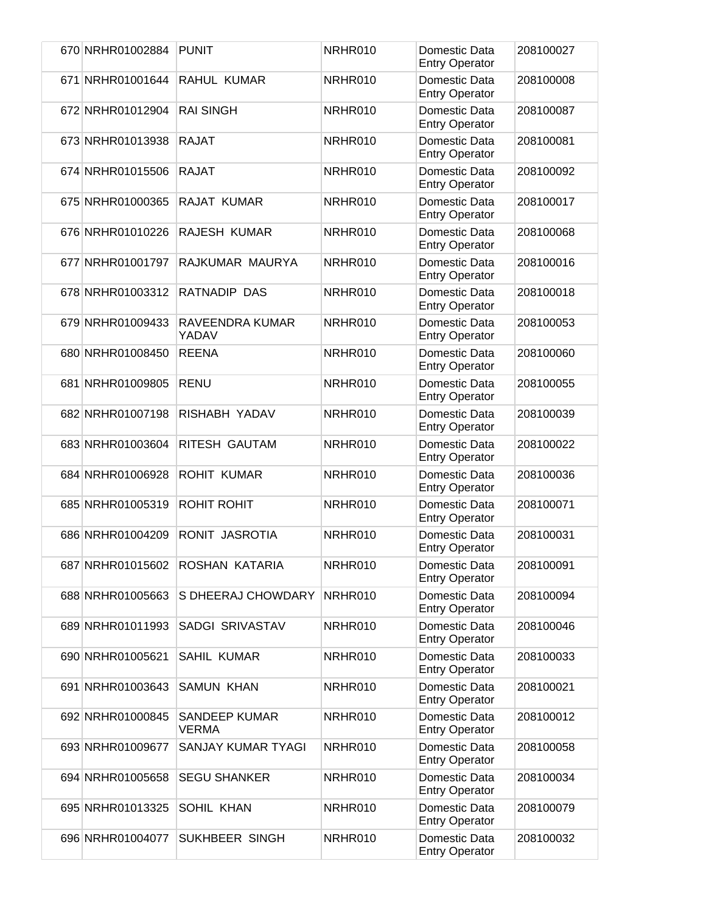| 670 NRHR01002884 | <b>PUNIT</b>                  | NRHR010 | Domestic Data<br><b>Entry Operator</b> | 208100027 |
|------------------|-------------------------------|---------|----------------------------------------|-----------|
| 671 NRHR01001644 | RAHUL KUMAR                   | NRHR010 | Domestic Data<br><b>Entry Operator</b> | 208100008 |
| 672 NRHR01012904 | <b>RAI SINGH</b>              | NRHR010 | Domestic Data<br><b>Entry Operator</b> | 208100087 |
| 673 NRHR01013938 | <b>RAJAT</b>                  | NRHR010 | Domestic Data<br><b>Entry Operator</b> | 208100081 |
| 674 NRHR01015506 | <b>RAJAT</b>                  | NRHR010 | Domestic Data<br><b>Entry Operator</b> | 208100092 |
| 675 NRHR01000365 | RAJAT KUMAR                   | NRHR010 | Domestic Data<br><b>Entry Operator</b> | 208100017 |
| 676 NRHR01010226 | RAJESH KUMAR                  | NRHR010 | Domestic Data<br><b>Entry Operator</b> | 208100068 |
| 677 NRHR01001797 | RAJKUMAR MAURYA               | NRHR010 | Domestic Data<br><b>Entry Operator</b> | 208100016 |
| 678 NRHR01003312 | RATNADIP DAS                  | NRHR010 | Domestic Data<br><b>Entry Operator</b> | 208100018 |
| 679 NRHR01009433 | RAVEENDRA KUMAR<br>YADAV      | NRHR010 | Domestic Data<br><b>Entry Operator</b> | 208100053 |
| 680 NRHR01008450 | <b>REENA</b>                  | NRHR010 | Domestic Data<br><b>Entry Operator</b> | 208100060 |
| 681 NRHR01009805 | <b>RENU</b>                   | NRHR010 | Domestic Data<br><b>Entry Operator</b> | 208100055 |
| 682 NRHR01007198 | RISHABH YADAV                 | NRHR010 | Domestic Data<br><b>Entry Operator</b> | 208100039 |
| 683 NRHR01003604 | RITESH GAUTAM                 | NRHR010 | Domestic Data<br><b>Entry Operator</b> | 208100022 |
| 684 NRHR01006928 | <b>ROHIT KUMAR</b>            | NRHR010 | Domestic Data<br><b>Entry Operator</b> | 208100036 |
| 685 NRHR01005319 | <b>ROHIT ROHIT</b>            | NRHR010 | Domestic Data<br><b>Entry Operator</b> | 208100071 |
| 686 NRHR01004209 | RONIT JASROTIA                | NRHR010 | Domestic Data<br><b>Entry Operator</b> | 208100031 |
| 687 NRHR01015602 | ROSHAN KATARIA                | NRHR010 | Domestic Data<br><b>Entry Operator</b> | 208100091 |
| 688 NRHR01005663 | S DHEERAJ CHOWDARY            | NRHR010 | Domestic Data<br><b>Entry Operator</b> | 208100094 |
| 689 NRHR01011993 | SADGI SRIVASTAV               | NRHR010 | Domestic Data<br><b>Entry Operator</b> | 208100046 |
| 690 NRHR01005621 | <b>SAHIL KUMAR</b>            | NRHR010 | Domestic Data<br><b>Entry Operator</b> | 208100033 |
| 691 NRHR01003643 | <b>SAMUN KHAN</b>             | NRHR010 | Domestic Data<br><b>Entry Operator</b> | 208100021 |
| 692 NRHR01000845 | SANDEEP KUMAR<br><b>VERMA</b> | NRHR010 | Domestic Data<br><b>Entry Operator</b> | 208100012 |
| 693 NRHR01009677 | SANJAY KUMAR TYAGI            | NRHR010 | Domestic Data<br><b>Entry Operator</b> | 208100058 |
| 694 NRHR01005658 | <b>SEGU SHANKER</b>           | NRHR010 | Domestic Data<br><b>Entry Operator</b> | 208100034 |
| 695 NRHR01013325 | SOHIL KHAN                    | NRHR010 | Domestic Data<br><b>Entry Operator</b> | 208100079 |
| 696 NRHR01004077 | SUKHBEER SINGH                | NRHR010 | Domestic Data<br><b>Entry Operator</b> | 208100032 |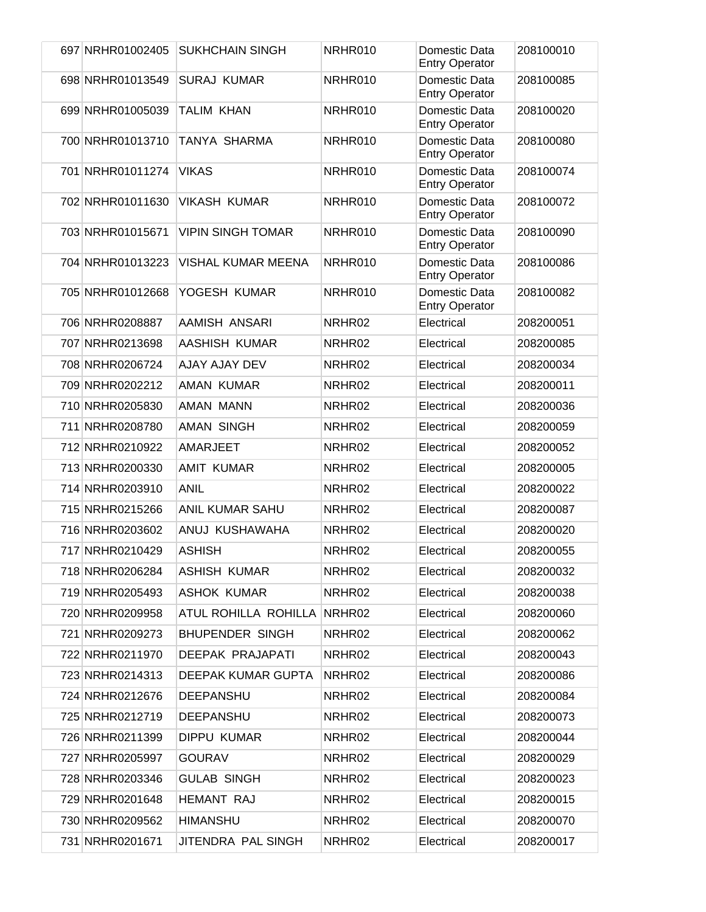| 697 NRHR01002405 | <b>SUKHCHAIN SINGH</b>      | NRHR010            | Domestic Data<br><b>Entry Operator</b> | 208100010 |
|------------------|-----------------------------|--------------------|----------------------------------------|-----------|
| 698 NRHR01013549 | <b>SURAJ KUMAR</b>          | NRHR010            | Domestic Data<br><b>Entry Operator</b> | 208100085 |
| 699 NRHR01005039 | <b>TALIM KHAN</b>           | NRHR010            | Domestic Data<br><b>Entry Operator</b> | 208100020 |
| 700 NRHR01013710 | TANYA SHARMA                | NRHR010            | Domestic Data<br><b>Entry Operator</b> | 208100080 |
| 701 NRHR01011274 | <b>VIKAS</b>                | NRHR010            | Domestic Data<br><b>Entry Operator</b> | 208100074 |
| 702 NRHR01011630 | <b>VIKASH KUMAR</b>         | NRHR010            | Domestic Data<br><b>Entry Operator</b> | 208100072 |
| 703 NRHR01015671 | <b>VIPIN SINGH TOMAR</b>    | NRHR010            | Domestic Data<br><b>Entry Operator</b> | 208100090 |
| 704 NRHR01013223 | <b>VISHAL KUMAR MEENA</b>   | NRHR010            | Domestic Data<br><b>Entry Operator</b> | 208100086 |
| 705 NRHR01012668 | YOGESH KUMAR                | NRHR010            | Domestic Data<br><b>Entry Operator</b> | 208100082 |
| 706 NRHR0208887  | AAMISH ANSARI               | NRHR02             | Electrical                             | 208200051 |
| 707 NRHR0213698  | AASHISH KUMAR               | NRHR02             | Electrical                             | 208200085 |
| 708 NRHR0206724  | AJAY AJAY DEV               | NRHR02             | Electrical                             | 208200034 |
| 709 NRHR0202212  | AMAN KUMAR                  | NRHR02             | Electrical                             | 208200011 |
| 710 NRHR0205830  | AMAN MANN                   | NRHR02             | Electrical                             | 208200036 |
| 711 NRHR0208780  | <b>AMAN SINGH</b>           | NRHR02             | Electrical                             | 208200059 |
| 712 NRHR0210922  | AMARJEET                    | NRHR02             | Electrical                             | 208200052 |
| 713 NRHR0200330  | <b>AMIT KUMAR</b>           | NRHR02             | Electrical                             | 208200005 |
| 714 NRHR0203910  | <b>ANIL</b>                 | NRHR02             | Electrical                             | 208200022 |
| 715 NRHR0215266  | <b>ANIL KUMAR SAHU</b>      | NRHR02             | Electrical                             | 208200087 |
| 716 NRHR0203602  | ANUJ KUSHAWAHA              | NRHR02             | Electrical                             | 208200020 |
| 717 NRHR0210429  | <b>ASHISH</b>               | NRHR <sub>02</sub> | Electrical                             | 208200055 |
| 718 NRHR0206284  | <b>ASHISH KUMAR</b>         | NRHR02             | Electrical                             | 208200032 |
| 719 NRHR0205493  | <b>ASHOK KUMAR</b>          | NRHR02             | Electrical                             | 208200038 |
| 720 NRHR0209958  | ATUL ROHILLA ROHILLA NRHR02 |                    | Electrical                             | 208200060 |
| 721 NRHR0209273  | <b>BHUPENDER SINGH</b>      | NRHR02             | Electrical                             | 208200062 |
| 722 NRHR0211970  | <b>DEEPAK PRAJAPATI</b>     | NRHR02             | Electrical                             | 208200043 |
| 723 NRHR0214313  | DEEPAK KUMAR GUPTA          | NRHR02             | Electrical                             | 208200086 |
| 724 NRHR0212676  | <b>DEEPANSHU</b>            | NRHR02             | Electrical                             | 208200084 |
| 725 NRHR0212719  | <b>DEEPANSHU</b>            | NRHR02             | Electrical                             | 208200073 |
| 726 NRHR0211399  | <b>DIPPU KUMAR</b>          | NRHR02             | Electrical                             | 208200044 |
| 727 NRHR0205997  | <b>GOURAV</b>               | NRHR02             | Electrical                             | 208200029 |
| 728 NRHR0203346  | <b>GULAB SINGH</b>          | NRHR02             | Electrical                             | 208200023 |
| 729 NRHR0201648  | <b>HEMANT RAJ</b>           | NRHR02             | Electrical                             | 208200015 |
| 730 NRHR0209562  | <b>HIMANSHU</b>             | NRHR02             | Electrical                             | 208200070 |
| 731 NRHR0201671  | JITENDRA PAL SINGH          | NRHR02             | Electrical                             | 208200017 |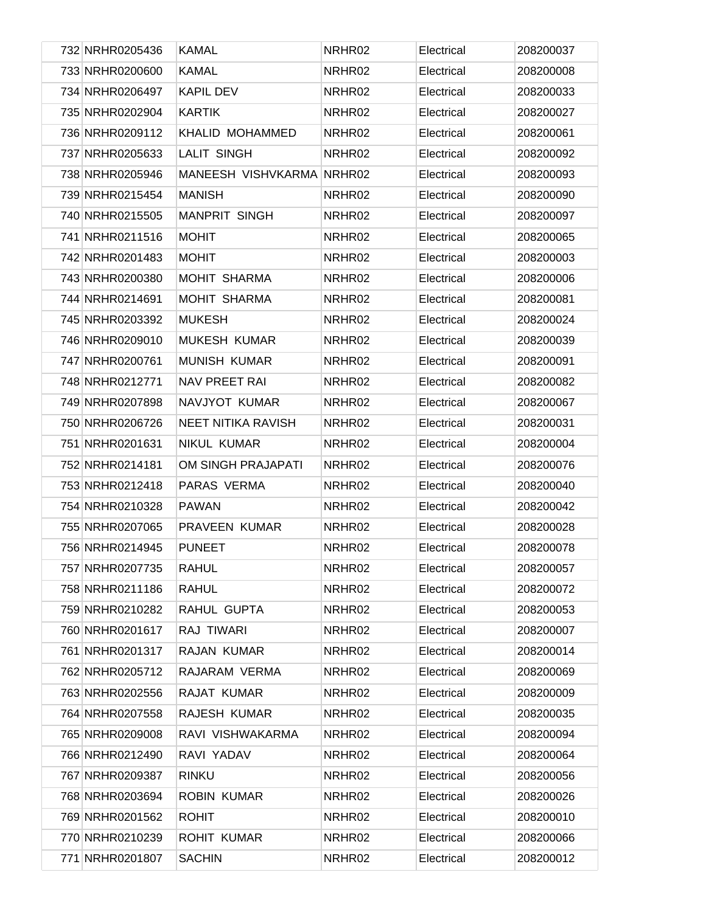| 732 NRHR0205436 | <b>KAMAL</b>              | NRHR02 | Electrical | 208200037 |
|-----------------|---------------------------|--------|------------|-----------|
| 733 NRHR0200600 | <b>KAMAL</b>              | NRHR02 | Electrical | 208200008 |
| 734 NRHR0206497 | <b>KAPIL DEV</b>          | NRHR02 | Electrical | 208200033 |
| 735 NRHR0202904 | <b>KARTIK</b>             | NRHR02 | Electrical | 208200027 |
| 736 NRHR0209112 | KHALID MOHAMMED           | NRHR02 | Electrical | 208200061 |
| 737 NRHR0205633 | <b>LALIT SINGH</b>        | NRHR02 | Electrical | 208200092 |
| 738 NRHR0205946 | MANEESH VISHVKARMA NRHR02 |        | Electrical | 208200093 |
| 739 NRHR0215454 | <b>MANISH</b>             | NRHR02 | Electrical | 208200090 |
| 740 NRHR0215505 | <b>MANPRIT SINGH</b>      | NRHR02 | Electrical | 208200097 |
| 741 NRHR0211516 | <b>MOHIT</b>              | NRHR02 | Electrical | 208200065 |
| 742 NRHR0201483 | <b>MOHIT</b>              | NRHR02 | Electrical | 208200003 |
| 743 NRHR0200380 | <b>MOHIT SHARMA</b>       | NRHR02 | Electrical | 208200006 |
| 744 NRHR0214691 | <b>MOHIT SHARMA</b>       | NRHR02 | Electrical | 208200081 |
| 745 NRHR0203392 | <b>MUKESH</b>             | NRHR02 | Electrical | 208200024 |
| 746 NRHR0209010 | <b>MUKESH KUMAR</b>       | NRHR02 | Electrical | 208200039 |
| 747 NRHR0200761 | <b>MUNISH KUMAR</b>       | NRHR02 | Electrical | 208200091 |
| 748 NRHR0212771 | <b>NAV PREET RAI</b>      | NRHR02 | Electrical | 208200082 |
| 749 NRHR0207898 | NAVJYOT KUMAR             | NRHR02 | Electrical | 208200067 |
| 750 NRHR0206726 | <b>NEET NITIKA RAVISH</b> | NRHR02 | Electrical | 208200031 |
| 751 NRHR0201631 | NIKUL KUMAR               | NRHR02 | Electrical | 208200004 |
| 752 NRHR0214181 | OM SINGH PRAJAPATI        | NRHR02 | Electrical | 208200076 |
| 753 NRHR0212418 | PARAS VERMA               | NRHR02 | Electrical | 208200040 |
| 754 NRHR0210328 | <b>PAWAN</b>              | NRHR02 | Electrical | 208200042 |
| 755 NRHR0207065 | PRAVEEN KUMAR             | NRHR02 | Electrical | 208200028 |
| 756 NRHR0214945 | <b>PUNEET</b>             | NRHR02 | Electrical | 208200078 |
| 757 NRHR0207735 | <b>RAHUL</b>              | NRHR02 | Electrical | 208200057 |
| 758 NRHR0211186 | <b>RAHUL</b>              | NRHR02 | Electrical | 208200072 |
| 759 NRHR0210282 | RAHUL GUPTA               | NRHR02 | Electrical | 208200053 |
| 760 NRHR0201617 | RAJ TIWARI                | NRHR02 | Electrical | 208200007 |
| 761 NRHR0201317 | RAJAN KUMAR               | NRHR02 | Electrical | 208200014 |
| 762 NRHR0205712 | RAJARAM VERMA             | NRHR02 | Electrical | 208200069 |
| 763 NRHR0202556 | RAJAT KUMAR               | NRHR02 | Electrical | 208200009 |
| 764 NRHR0207558 | RAJESH KUMAR              | NRHR02 | Electrical | 208200035 |
| 765 NRHR0209008 | RAVI VISHWAKARMA          | NRHR02 | Electrical | 208200094 |
| 766 NRHR0212490 | RAVI YADAV                | NRHR02 | Electrical | 208200064 |
| 767 NRHR0209387 | <b>RINKU</b>              | NRHR02 | Electrical | 208200056 |
| 768 NRHR0203694 | <b>ROBIN KUMAR</b>        | NRHR02 | Electrical | 208200026 |
| 769 NRHR0201562 | <b>ROHIT</b>              | NRHR02 | Electrical | 208200010 |
| 770 NRHR0210239 | <b>ROHIT KUMAR</b>        | NRHR02 | Electrical | 208200066 |
| 771 NRHR0201807 | <b>SACHIN</b>             | NRHR02 | Electrical | 208200012 |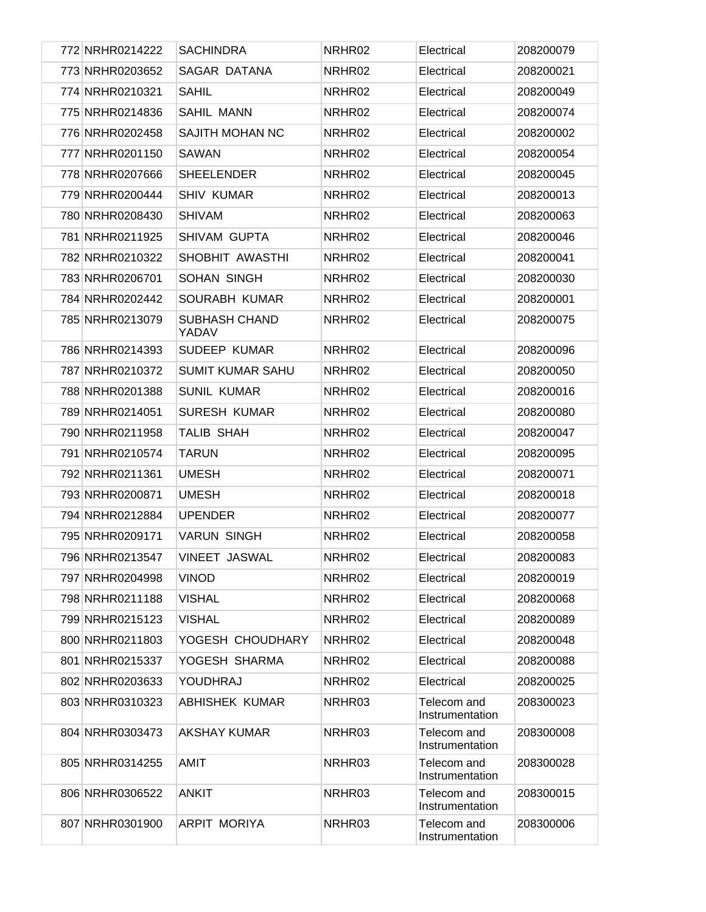| 772 NRHR0214222 | <b>SACHINDRA</b>              | NRHR02 | Electrical                     | 208200079 |
|-----------------|-------------------------------|--------|--------------------------------|-----------|
| 773 NRHR0203652 | SAGAR DATANA                  | NRHR02 | Electrical                     | 208200021 |
| 774 NRHR0210321 | <b>SAHIL</b>                  | NRHR02 | Electrical                     | 208200049 |
| 775 NRHR0214836 | <b>SAHIL MANN</b>             | NRHR02 | Electrical                     | 208200074 |
| 776 NRHR0202458 | SAJITH MOHAN NC               | NRHR02 | Electrical                     | 208200002 |
| 777 NRHR0201150 | <b>SAWAN</b>                  | NRHR02 | Electrical                     | 208200054 |
| 778 NRHR0207666 | <b>SHEELENDER</b>             | NRHR02 | Electrical                     | 208200045 |
| 779 NRHR0200444 | <b>SHIV KUMAR</b>             | NRHR02 | Electrical                     | 208200013 |
| 780 NRHR0208430 | <b>SHIVAM</b>                 | NRHR02 | Electrical                     | 208200063 |
| 781 NRHR0211925 | SHIVAM GUPTA                  | NRHR02 | Electrical                     | 208200046 |
| 782 NRHR0210322 | SHOBHIT AWASTHI               | NRHR02 | Electrical                     | 208200041 |
| 783 NRHR0206701 | SOHAN SINGH                   | NRHR02 | Electrical                     | 208200030 |
| 784 NRHR0202442 | SOURABH KUMAR                 | NRHR02 | Electrical                     | 208200001 |
| 785 NRHR0213079 | <b>SUBHASH CHAND</b><br>YADAV | NRHR02 | Electrical                     | 208200075 |
| 786 NRHR0214393 | <b>SUDEEP KUMAR</b>           | NRHR02 | Electrical                     | 208200096 |
| 787 NRHR0210372 | <b>SUMIT KUMAR SAHU</b>       | NRHR02 | Electrical                     | 208200050 |
| 788 NRHR0201388 | <b>SUNIL KUMAR</b>            | NRHR02 | Electrical                     | 208200016 |
| 789 NRHR0214051 | <b>SURESH KUMAR</b>           | NRHR02 | Electrical                     | 208200080 |
| 790 NRHR0211958 | <b>TALIB SHAH</b>             | NRHR02 | Electrical                     | 208200047 |
| 791 NRHR0210574 | <b>TARUN</b>                  | NRHR02 | Electrical                     | 208200095 |
| 792 NRHR0211361 | <b>UMESH</b>                  | NRHR02 | Electrical                     | 208200071 |
| 793 NRHR0200871 | <b>UMESH</b>                  | NRHR02 | Electrical                     | 208200018 |
| 794 NRHR0212884 | <b>UPENDER</b>                | NRHR02 | Electrical                     | 208200077 |
| 795 NRHR0209171 | <b>VARUN SINGH</b>            | NRHR02 | Electrical                     | 208200058 |
| 796 NRHR0213547 | <b>VINEET JASWAL</b>          | NRHR02 | Electrical                     | 208200083 |
| 797 NRHR0204998 | <b>VINOD</b>                  | NRHR02 | Electrical                     | 208200019 |
| 798 NRHR0211188 | <b>VISHAL</b>                 | NRHR02 | Electrical                     | 208200068 |
| 799 NRHR0215123 | <b>VISHAL</b>                 | NRHR02 | Electrical                     | 208200089 |
| 800 NRHR0211803 | YOGESH CHOUDHARY              | NRHR02 | Electrical                     | 208200048 |
| 801 NRHR0215337 | YOGESH SHARMA                 | NRHR02 | Electrical                     | 208200088 |
| 802 NRHR0203633 | YOUDHRAJ                      | NRHR02 | Electrical                     | 208200025 |
| 803 NRHR0310323 | <b>ABHISHEK KUMAR</b>         | NRHR03 | Telecom and<br>Instrumentation | 208300023 |
| 804 NRHR0303473 | <b>AKSHAY KUMAR</b>           | NRHR03 | Telecom and<br>Instrumentation | 208300008 |
| 805 NRHR0314255 | <b>AMIT</b>                   | NRHR03 | Telecom and<br>Instrumentation | 208300028 |
| 806 NRHR0306522 | <b>ANKIT</b>                  | NRHR03 | Telecom and<br>Instrumentation | 208300015 |
| 807 NRHR0301900 | ARPIT MORIYA                  | NRHR03 | Telecom and<br>Instrumentation | 208300006 |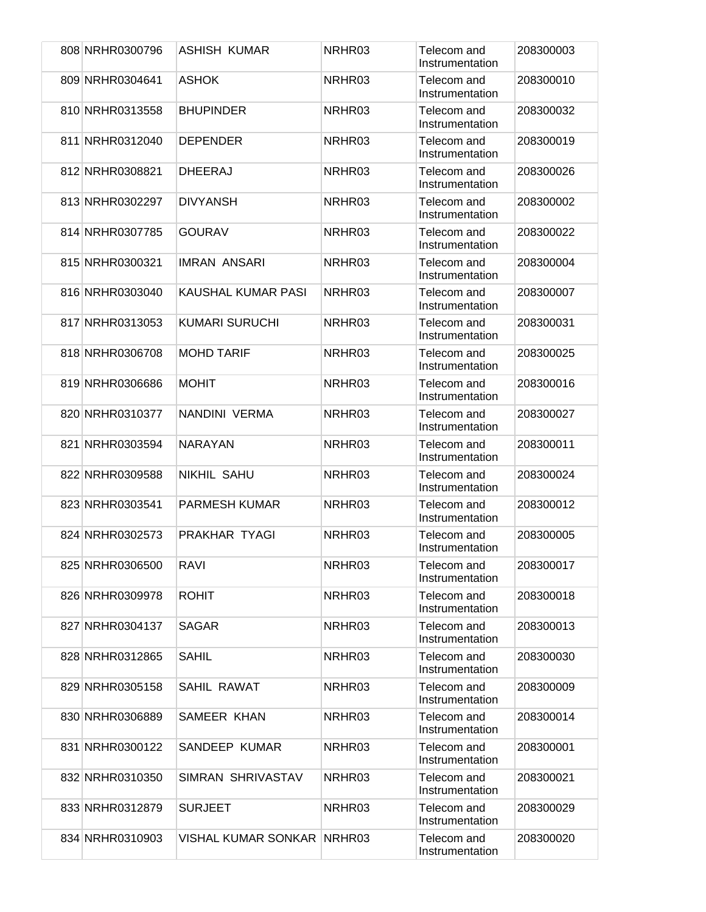|  | 808 NRHR0300796 | ASHISH KUMAR               | NRHR03 | Telecom and<br>Instrumentation | 208300003 |
|--|-----------------|----------------------------|--------|--------------------------------|-----------|
|  | 809 NRHR0304641 | <b>ASHOK</b>               | NRHR03 | Telecom and<br>Instrumentation | 208300010 |
|  | 810 NRHR0313558 | <b>BHUPINDER</b>           | NRHR03 | Telecom and<br>Instrumentation | 208300032 |
|  | 811 NRHR0312040 | <b>DEPENDER</b>            | NRHR03 | Telecom and<br>Instrumentation | 208300019 |
|  | 812 NRHR0308821 | <b>DHEERAJ</b>             | NRHR03 | Telecom and<br>Instrumentation | 208300026 |
|  | 813 NRHR0302297 | <b>DIVYANSH</b>            | NRHR03 | Telecom and<br>Instrumentation | 208300002 |
|  | 814 NRHR0307785 | <b>GOURAV</b>              | NRHR03 | Telecom and<br>Instrumentation | 208300022 |
|  | 815 NRHR0300321 | <b>IMRAN ANSARI</b>        | NRHR03 | Telecom and<br>Instrumentation | 208300004 |
|  | 816 NRHR0303040 | <b>KAUSHAL KUMAR PASI</b>  | NRHR03 | Telecom and<br>Instrumentation | 208300007 |
|  | 817 NRHR0313053 | <b>KUMARI SURUCHI</b>      | NRHR03 | Telecom and<br>Instrumentation | 208300031 |
|  | 818 NRHR0306708 | <b>MOHD TARIF</b>          | NRHR03 | Telecom and<br>Instrumentation | 208300025 |
|  | 819 NRHR0306686 | <b>MOHIT</b>               | NRHR03 | Telecom and<br>Instrumentation | 208300016 |
|  | 820 NRHR0310377 | NANDINI VERMA              | NRHR03 | Telecom and<br>Instrumentation | 208300027 |
|  | 821 NRHR0303594 | <b>NARAYAN</b>             | NRHR03 | Telecom and<br>Instrumentation | 208300011 |
|  | 822 NRHR0309588 | <b>NIKHIL SAHU</b>         | NRHR03 | Telecom and<br>Instrumentation | 208300024 |
|  | 823 NRHR0303541 | <b>PARMESH KUMAR</b>       | NRHR03 | Telecom and<br>Instrumentation | 208300012 |
|  | 824 NRHR0302573 | PRAKHAR TYAGI              | NRHR03 | Telecom and<br>Instrumentation | 208300005 |
|  | 825 NRHR0306500 | <b>RAVI</b>                | NRHR03 | Telecom and<br>Instrumentation | 208300017 |
|  | 826 NRHR0309978 | <b>ROHIT</b>               | NRHR03 | Telecom and<br>Instrumentation | 208300018 |
|  | 827 NRHR0304137 | <b>SAGAR</b>               | NRHR03 | Telecom and<br>Instrumentation | 208300013 |
|  | 828 NRHR0312865 | SAHIL                      | NRHR03 | Telecom and<br>Instrumentation | 208300030 |
|  | 829 NRHR0305158 | SAHIL RAWAT                | NRHR03 | Telecom and<br>Instrumentation | 208300009 |
|  | 830 NRHR0306889 | SAMEER KHAN                | NRHR03 | Telecom and<br>Instrumentation | 208300014 |
|  | 831 NRHR0300122 | SANDEEP KUMAR              | NRHR03 | Telecom and<br>Instrumentation | 208300001 |
|  | 832 NRHR0310350 | SIMRAN SHRIVASTAV          | NRHR03 | Telecom and<br>Instrumentation | 208300021 |
|  | 833 NRHR0312879 | <b>SURJEET</b>             | NRHR03 | Telecom and<br>Instrumentation | 208300029 |
|  | 834 NRHR0310903 | VISHAL KUMAR SONKAR NRHR03 |        | Telecom and<br>Instrumentation | 208300020 |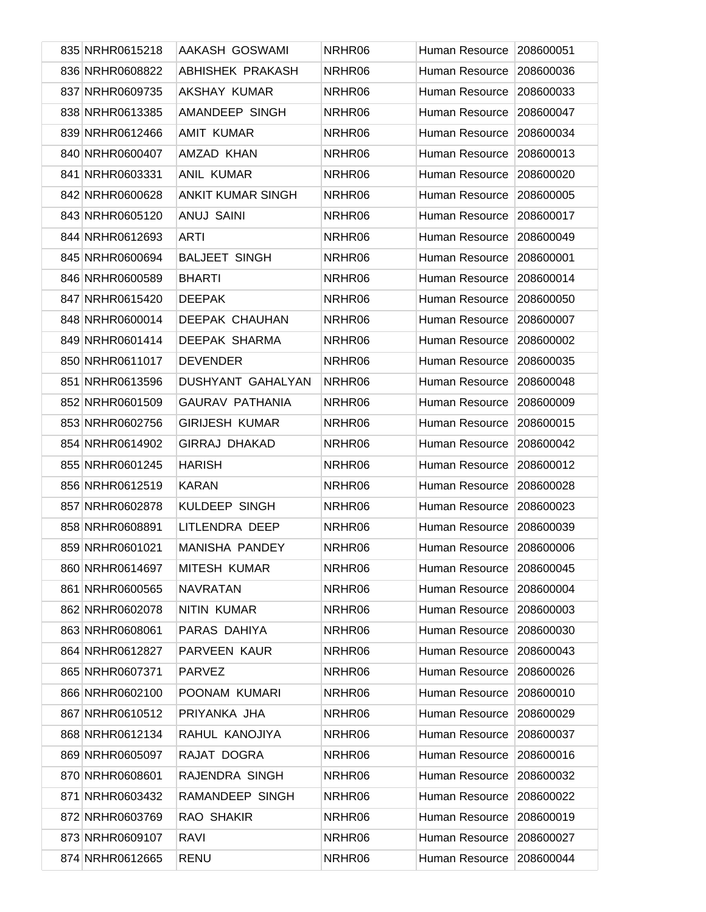| 835 NRHR0615218 | AAKASH GOSWAMI           | NRHR06 | Human Resource        | 208600051 |
|-----------------|--------------------------|--------|-----------------------|-----------|
| 836 NRHR0608822 | <b>ABHISHEK PRAKASH</b>  | NRHR06 | Human Resource        | 208600036 |
| 837 NRHR0609735 | AKSHAY KUMAR             | NRHR06 | Human Resource        | 208600033 |
| 838 NRHR0613385 | AMANDEEP SINGH           | NRHR06 | Human Resource        | 208600047 |
| 839 NRHR0612466 | <b>AMIT KUMAR</b>        | NRHR06 | Human Resource        | 208600034 |
| 840 NRHR0600407 | AMZAD KHAN               | NRHR06 | Human Resource        | 208600013 |
| 841 NRHR0603331 | <b>ANIL KUMAR</b>        | NRHR06 | Human Resource        | 208600020 |
| 842 NRHR0600628 | <b>ANKIT KUMAR SINGH</b> | NRHR06 | Human Resource        | 208600005 |
| 843 NRHR0605120 | <b>ANUJ SAINI</b>        | NRHR06 | Human Resource        | 208600017 |
| 844 NRHR0612693 | <b>ARTI</b>              | NRHR06 | Human Resource        | 208600049 |
| 845 NRHR0600694 | <b>BALJEET SINGH</b>     | NRHR06 | Human Resource        | 208600001 |
| 846 NRHR0600589 | <b>BHARTI</b>            | NRHR06 | Human Resource        | 208600014 |
| 847 NRHR0615420 | <b>DEEPAK</b>            | NRHR06 | Human Resource        | 208600050 |
| 848 NRHR0600014 | <b>DEEPAK CHAUHAN</b>    | NRHR06 | <b>Human Resource</b> | 208600007 |
| 849 NRHR0601414 | DEEPAK SHARMA            | NRHR06 | Human Resource        | 208600002 |
| 850 NRHR0611017 | <b>DEVENDER</b>          | NRHR06 | Human Resource        | 208600035 |
| 851 NRHR0613596 | DUSHYANT GAHALYAN        | NRHR06 | Human Resource        | 208600048 |
| 852 NRHR0601509 | <b>GAURAV PATHANIA</b>   | NRHR06 | Human Resource        | 208600009 |
| 853 NRHR0602756 | <b>GIRIJESH KUMAR</b>    | NRHR06 | Human Resource        | 208600015 |
| 854 NRHR0614902 | <b>GIRRAJ DHAKAD</b>     | NRHR06 | Human Resource        | 208600042 |
| 855 NRHR0601245 | <b>HARISH</b>            | NRHR06 | Human Resource        | 208600012 |
| 856 NRHR0612519 | <b>KARAN</b>             | NRHR06 | Human Resource        | 208600028 |
| 857 NRHR0602878 | KULDEEP SINGH            | NRHR06 | Human Resource        | 208600023 |
| 858 NRHR0608891 | LITLENDRA DEEP           | NRHR06 | Human Resource        | 208600039 |
| 859 NRHR0601021 | <b>MANISHA PANDEY</b>    | NRHR06 | Human Resource        | 208600006 |
| 860 NRHR0614697 | <b>MITESH KUMAR</b>      | NRHR06 | Human Resource        | 208600045 |
| 861 NRHR0600565 | <b>NAVRATAN</b>          | NRHR06 | Human Resource        | 208600004 |
| 862 NRHR0602078 | NITIN KUMAR              | NRHR06 | Human Resource        | 208600003 |
| 863 NRHR0608061 | PARAS DAHIYA             | NRHR06 | Human Resource        | 208600030 |
| 864 NRHR0612827 | PARVEEN KAUR             | NRHR06 | Human Resource        | 208600043 |
| 865 NRHR0607371 | <b>PARVEZ</b>            | NRHR06 | Human Resource        | 208600026 |
| 866 NRHR0602100 | POONAM KUMARI            | NRHR06 | Human Resource        | 208600010 |
| 867 NRHR0610512 | PRIYANKA JHA             | NRHR06 | Human Resource        | 208600029 |
| 868 NRHR0612134 | RAHUL KANOJIYA           | NRHR06 | Human Resource        | 208600037 |
| 869 NRHR0605097 | RAJAT DOGRA              | NRHR06 | Human Resource        | 208600016 |
| 870 NRHR0608601 | RAJENDRA SINGH           | NRHR06 | Human Resource        | 208600032 |
| 871 NRHR0603432 | RAMANDEEP SINGH          | NRHR06 | Human Resource        | 208600022 |
| 872 NRHR0603769 | RAO SHAKIR               | NRHR06 | Human Resource        | 208600019 |
| 873 NRHR0609107 | <b>RAVI</b>              | NRHR06 | Human Resource        | 208600027 |
| 874 NRHR0612665 | <b>RENU</b>              | NRHR06 | Human Resource        | 208600044 |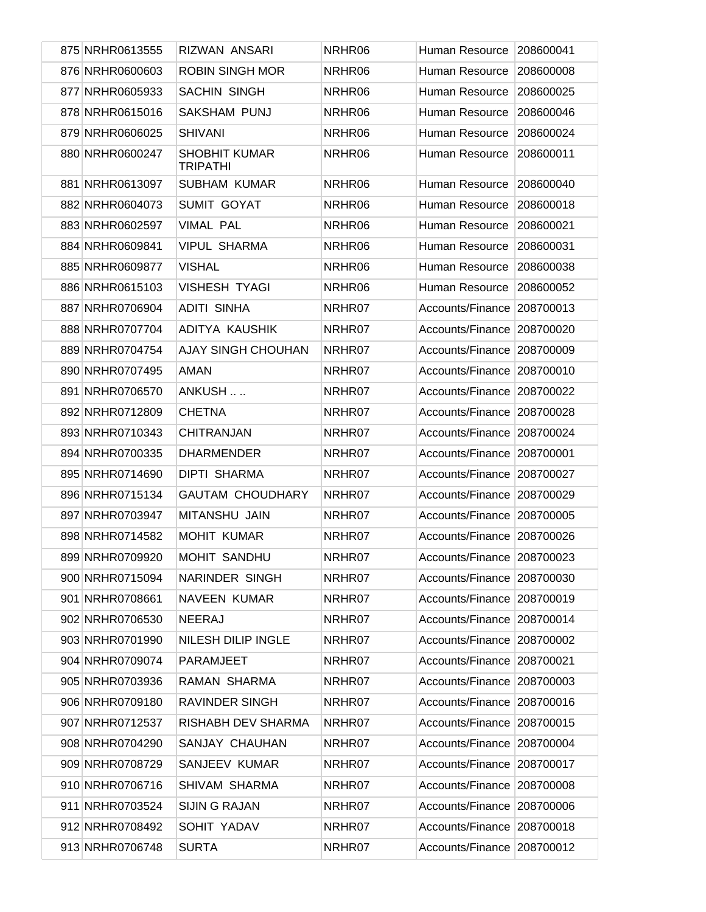| 875 NRHR0613555 | <b>RIZWAN ANSARI</b>                    | NRHR06 | Human Resource             | 208600041 |
|-----------------|-----------------------------------------|--------|----------------------------|-----------|
| 876 NRHR0600603 | <b>ROBIN SINGH MOR</b>                  | NRHR06 | Human Resource             | 208600008 |
| 877 NRHR0605933 | <b>SACHIN SINGH</b>                     | NRHR06 | Human Resource             | 208600025 |
| 878 NRHR0615016 | <b>SAKSHAM PUNJ</b>                     | NRHR06 | Human Resource             | 208600046 |
| 879 NRHR0606025 | <b>SHIVANI</b>                          | NRHR06 | Human Resource             | 208600024 |
| 880 NRHR0600247 | <b>SHOBHIT KUMAR</b><br><b>TRIPATHI</b> | NRHR06 | Human Resource             | 208600011 |
| 881 NRHR0613097 | <b>SUBHAM KUMAR</b>                     | NRHR06 | Human Resource             | 208600040 |
| 882 NRHR0604073 | <b>SUMIT GOYAT</b>                      | NRHR06 | Human Resource             | 208600018 |
| 883 NRHR0602597 | <b>VIMAL PAL</b>                        | NRHR06 | Human Resource             | 208600021 |
| 884 NRHR0609841 | <b>VIPUL SHARMA</b>                     | NRHR06 | Human Resource             | 208600031 |
| 885 NRHR0609877 | <b>VISHAL</b>                           | NRHR06 | Human Resource             | 208600038 |
| 886 NRHR0615103 | <b>VISHESH TYAGI</b>                    | NRHR06 | Human Resource             | 208600052 |
| 887 NRHR0706904 | <b>ADITI SINHA</b>                      | NRHR07 | Accounts/Finance           | 208700013 |
| 888 NRHR0707704 | ADITYA KAUSHIK                          | NRHR07 | Accounts/Finance           | 208700020 |
| 889 NRHR0704754 | <b>AJAY SINGH CHOUHAN</b>               | NRHR07 | Accounts/Finance           | 208700009 |
| 890 NRHR0707495 | AMAN                                    | NRHR07 | Accounts/Finance           | 208700010 |
| 891 NRHR0706570 | ANKUSH                                  | NRHR07 | Accounts/Finance           | 208700022 |
| 892 NRHR0712809 | <b>CHETNA</b>                           | NRHR07 | Accounts/Finance           | 208700028 |
| 893 NRHR0710343 | <b>CHITRANJAN</b>                       | NRHR07 | Accounts/Finance           | 208700024 |
| 894 NRHR0700335 | <b>DHARMENDER</b>                       | NRHR07 | Accounts/Finance           | 208700001 |
| 895 NRHR0714690 | <b>DIPTI SHARMA</b>                     | NRHR07 | Accounts/Finance           | 208700027 |
| 896 NRHR0715134 | <b>GAUTAM CHOUDHARY</b>                 | NRHR07 | Accounts/Finance           | 208700029 |
| 897 NRHR0703947 | <b>MITANSHU JAIN</b>                    | NRHR07 | Accounts/Finance 208700005 |           |
| 898 NRHR0714582 | <b>MOHIT KUMAR</b>                      | NRHR07 | Accounts/Finance 208700026 |           |
| 899 NRHR0709920 | MOHIT SANDHU                            | NRHR07 | Accounts/Finance 208700023 |           |
| 900 NRHR0715094 | <b>NARINDER SINGH</b>                   | NRHR07 | Accounts/Finance 208700030 |           |
| 901 NRHR0708661 | <b>NAVEEN KUMAR</b>                     | NRHR07 | Accounts/Finance 208700019 |           |
| 902 NRHR0706530 | <b>NEERAJ</b>                           | NRHR07 | Accounts/Finance 208700014 |           |
| 903 NRHR0701990 | NILESH DILIP INGLE                      | NRHR07 | Accounts/Finance 208700002 |           |
| 904 NRHR0709074 | PARAMJEET                               | NRHR07 | Accounts/Finance 208700021 |           |
| 905 NRHR0703936 | RAMAN SHARMA                            | NRHR07 | Accounts/Finance 208700003 |           |
| 906 NRHR0709180 | <b>RAVINDER SINGH</b>                   | NRHR07 | Accounts/Finance 208700016 |           |
| 907 NRHR0712537 | RISHABH DEV SHARMA                      | NRHR07 | Accounts/Finance 208700015 |           |
| 908 NRHR0704290 | SANJAY CHAUHAN                          | NRHR07 | Accounts/Finance 208700004 |           |
| 909 NRHR0708729 | SANJEEV KUMAR                           | NRHR07 | Accounts/Finance 208700017 |           |
| 910 NRHR0706716 | SHIVAM SHARMA                           | NRHR07 | Accounts/Finance 208700008 |           |
| 911 NRHR0703524 | <b>SIJIN G RAJAN</b>                    | NRHR07 | Accounts/Finance 208700006 |           |
| 912 NRHR0708492 | SOHIT YADAV                             | NRHR07 | Accounts/Finance 208700018 |           |
| 913 NRHR0706748 | <b>SURTA</b>                            | NRHR07 | Accounts/Finance 208700012 |           |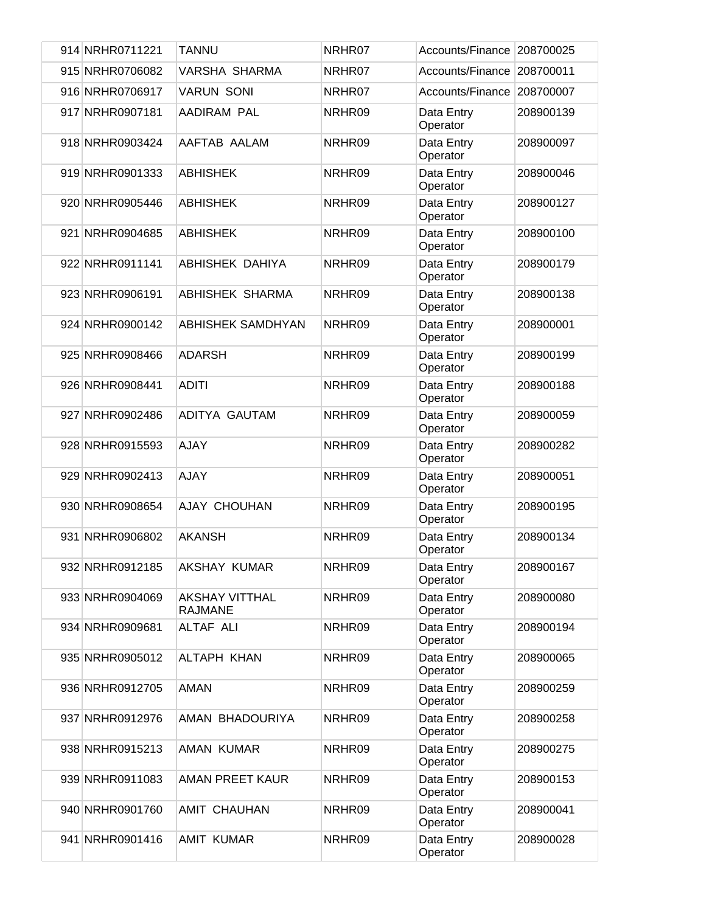| 914 NRHR0711221 | <b>TANNU</b>                     | NRHR07 | Accounts/Finance       | 208700025 |
|-----------------|----------------------------------|--------|------------------------|-----------|
| 915 NRHR0706082 | VARSHA SHARMA                    | NRHR07 | Accounts/Finance       | 208700011 |
| 916 NRHR0706917 | <b>VARUN SONI</b>                | NRHR07 | Accounts/Finance       | 208700007 |
| 917 NRHR0907181 | AADIRAM PAL                      | NRHR09 | Data Entry<br>Operator | 208900139 |
| 918 NRHR0903424 | AAFTAB AALAM                     | NRHR09 | Data Entry<br>Operator | 208900097 |
| 919 NRHR0901333 | <b>ABHISHEK</b>                  | NRHR09 | Data Entry<br>Operator | 208900046 |
| 920 NRHR0905446 | <b>ABHISHEK</b>                  | NRHR09 | Data Entry<br>Operator | 208900127 |
| 921 NRHR0904685 | <b>ABHISHEK</b>                  | NRHR09 | Data Entry<br>Operator | 208900100 |
| 922 NRHR0911141 | <b>ABHISHEK DAHIYA</b>           | NRHR09 | Data Entry<br>Operator | 208900179 |
| 923 NRHR0906191 | <b>ABHISHEK SHARMA</b>           | NRHR09 | Data Entry<br>Operator | 208900138 |
| 924 NRHR0900142 | ABHISHEK SAMDHYAN                | NRHR09 | Data Entry<br>Operator | 208900001 |
| 925 NRHR0908466 | <b>ADARSH</b>                    | NRHR09 | Data Entry<br>Operator | 208900199 |
| 926 NRHR0908441 | <b>ADITI</b>                     | NRHR09 | Data Entry<br>Operator | 208900188 |
| 927 NRHR0902486 | ADITYA GAUTAM                    | NRHR09 | Data Entry<br>Operator | 208900059 |
| 928 NRHR0915593 | <b>AJAY</b>                      | NRHR09 | Data Entry<br>Operator | 208900282 |
| 929 NRHR0902413 | AJAY                             | NRHR09 | Data Entry<br>Operator | 208900051 |
| 930 NRHR0908654 | AJAY CHOUHAN                     | NRHR09 | Data Entry<br>Operator | 208900195 |
| 931 NRHR0906802 | <b>AKANSH</b>                    | NRHR09 | Data Entry<br>Operator | 208900134 |
| 932 NRHR0912185 | AKSHAY KUMAR                     | NRHR09 | Data Entry<br>Operator | 208900167 |
| 933 NRHR0904069 | <b>AKSHAY VITTHAL</b><br>RAJMANE | NRHR09 | Data Entry<br>Operator | 208900080 |
| 934 NRHR0909681 | ALTAF ALI                        | NRHR09 | Data Entry<br>Operator | 208900194 |
| 935 NRHR0905012 | ALTAPH KHAN                      | NRHR09 | Data Entry<br>Operator | 208900065 |
| 936 NRHR0912705 | AMAN                             | NRHR09 | Data Entry<br>Operator | 208900259 |
| 937 NRHR0912976 | AMAN BHADOURIYA                  | NRHR09 | Data Entry<br>Operator | 208900258 |
| 938 NRHR0915213 | <b>AMAN KUMAR</b>                | NRHR09 | Data Entry<br>Operator | 208900275 |
| 939 NRHR0911083 | AMAN PREET KAUR                  | NRHR09 | Data Entry<br>Operator | 208900153 |
| 940 NRHR0901760 | AMIT CHAUHAN                     | NRHR09 | Data Entry<br>Operator | 208900041 |
| 941 NRHR0901416 | <b>AMIT KUMAR</b>                | NRHR09 | Data Entry<br>Operator | 208900028 |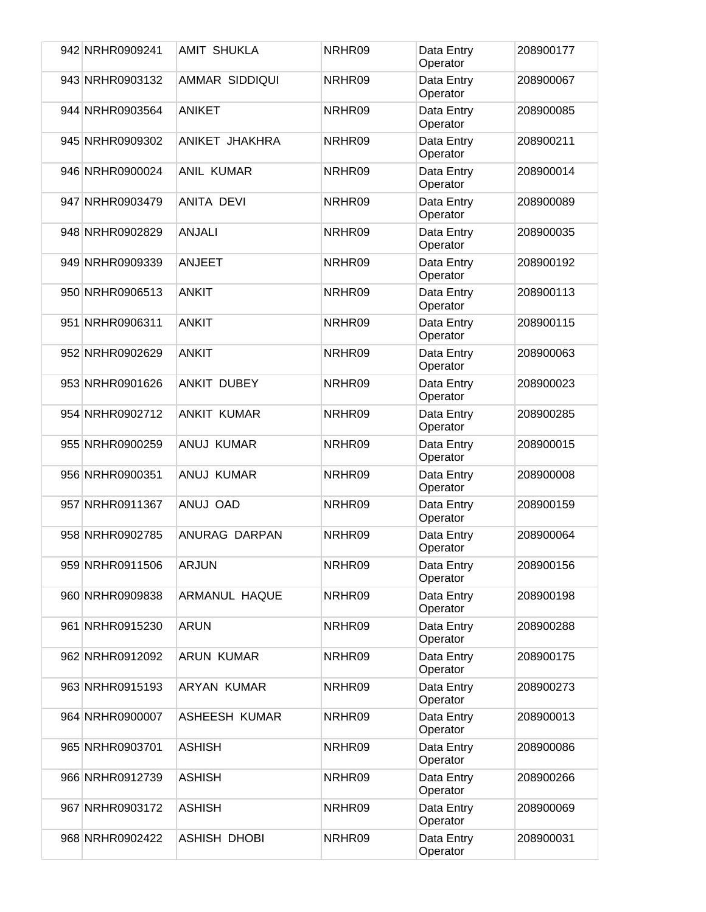| 942 NRHR0909241 | <b>AMIT SHUKLA</b>   | NRHR09 | Data Entry<br>Operator | 208900177 |
|-----------------|----------------------|--------|------------------------|-----------|
| 943 NRHR0903132 | AMMAR SIDDIQUI       | NRHR09 | Data Entry<br>Operator | 208900067 |
| 944 NRHR0903564 | <b>ANIKET</b>        | NRHR09 | Data Entry<br>Operator | 208900085 |
| 945 NRHR0909302 | ANIKET JHAKHRA       | NRHR09 | Data Entry<br>Operator | 208900211 |
| 946 NRHR0900024 | <b>ANIL KUMAR</b>    | NRHR09 | Data Entry<br>Operator | 208900014 |
| 947 NRHR0903479 | <b>ANITA DEVI</b>    | NRHR09 | Data Entry<br>Operator | 208900089 |
| 948 NRHR0902829 | <b>ANJALI</b>        | NRHR09 | Data Entry<br>Operator | 208900035 |
| 949 NRHR0909339 | <b>ANJEET</b>        | NRHR09 | Data Entry<br>Operator | 208900192 |
| 950 NRHR0906513 | <b>ANKIT</b>         | NRHR09 | Data Entry<br>Operator | 208900113 |
| 951 NRHR0906311 | <b>ANKIT</b>         | NRHR09 | Data Entry<br>Operator | 208900115 |
| 952 NRHR0902629 | <b>ANKIT</b>         | NRHR09 | Data Entry<br>Operator | 208900063 |
| 953 NRHR0901626 | <b>ANKIT DUBEY</b>   | NRHR09 | Data Entry<br>Operator | 208900023 |
| 954 NRHR0902712 | <b>ANKIT KUMAR</b>   | NRHR09 | Data Entry<br>Operator | 208900285 |
| 955 NRHR0900259 | ANUJ KUMAR           | NRHR09 | Data Entry<br>Operator | 208900015 |
| 956 NRHR0900351 | ANUJ KUMAR           | NRHR09 | Data Entry<br>Operator | 208900008 |
| 957 NRHR0911367 | ANUJ OAD             | NRHR09 | Data Entry<br>Operator | 208900159 |
| 958 NRHR0902785 | ANURAG DARPAN        | NRHR09 | Data Entry<br>Operator | 208900064 |
| 959 NRHR0911506 | <b>ARJUN</b>         | NRHR09 | Data Entry<br>Operator | 208900156 |
| 960 NRHR0909838 | ARMANUL HAQUE        | NRHR09 | Data Entry<br>Operator | 208900198 |
| 961 NRHR0915230 | <b>ARUN</b>          | NRHR09 | Data Entry<br>Operator | 208900288 |
| 962 NRHR0912092 | ARUN KUMAR           | NRHR09 | Data Entry<br>Operator | 208900175 |
| 963 NRHR0915193 | ARYAN KUMAR          | NRHR09 | Data Entry<br>Operator | 208900273 |
| 964 NRHR0900007 | <b>ASHEESH KUMAR</b> | NRHR09 | Data Entry<br>Operator | 208900013 |
| 965 NRHR0903701 | <b>ASHISH</b>        | NRHR09 | Data Entry<br>Operator | 208900086 |
| 966 NRHR0912739 | <b>ASHISH</b>        | NRHR09 | Data Entry<br>Operator | 208900266 |
| 967 NRHR0903172 | <b>ASHISH</b>        | NRHR09 | Data Entry<br>Operator | 208900069 |
| 968 NRHR0902422 | <b>ASHISH DHOBI</b>  | NRHR09 | Data Entry<br>Operator | 208900031 |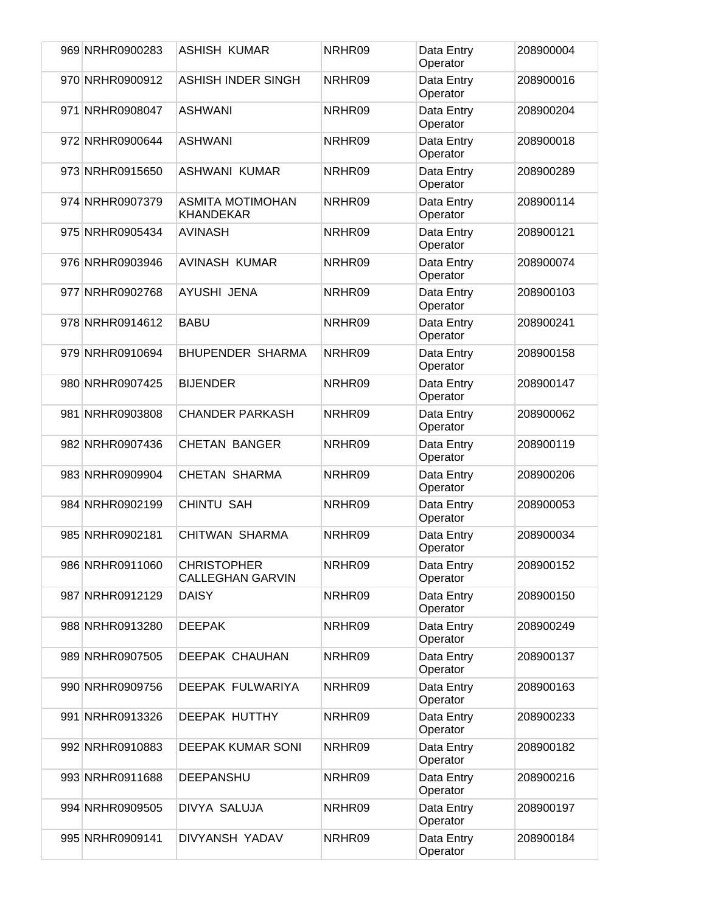| 969 NRHR0900283 | ASHISH KUMAR                                  | NRHR09 | Data Entry<br>Operator | 208900004 |
|-----------------|-----------------------------------------------|--------|------------------------|-----------|
| 970 NRHR0900912 | <b>ASHISH INDER SINGH</b>                     | NRHR09 | Data Entry<br>Operator | 208900016 |
| 971 NRHR0908047 | <b>ASHWANI</b>                                | NRHR09 | Data Entry<br>Operator | 208900204 |
| 972 NRHR0900644 | <b>ASHWANI</b>                                | NRHR09 | Data Entry<br>Operator | 208900018 |
| 973 NRHR0915650 | <b>ASHWANI KUMAR</b>                          | NRHR09 | Data Entry<br>Operator | 208900289 |
| 974 NRHR0907379 | <b>ASMITA MOTIMOHAN</b><br><b>KHANDEKAR</b>   | NRHR09 | Data Entry<br>Operator | 208900114 |
| 975 NRHR0905434 | <b>AVINASH</b>                                | NRHR09 | Data Entry<br>Operator | 208900121 |
| 976 NRHR0903946 | <b>AVINASH KUMAR</b>                          | NRHR09 | Data Entry<br>Operator | 208900074 |
| 977 NRHR0902768 | AYUSHI JENA                                   | NRHR09 | Data Entry<br>Operator | 208900103 |
| 978 NRHR0914612 | <b>BABU</b>                                   | NRHR09 | Data Entry<br>Operator | 208900241 |
| 979 NRHR0910694 | <b>BHUPENDER SHARMA</b>                       | NRHR09 | Data Entry<br>Operator | 208900158 |
| 980 NRHR0907425 | <b>BIJENDER</b>                               | NRHR09 | Data Entry<br>Operator | 208900147 |
| 981 NRHR0903808 | <b>CHANDER PARKASH</b>                        | NRHR09 | Data Entry<br>Operator | 208900062 |
| 982 NRHR0907436 | <b>CHETAN BANGER</b>                          | NRHR09 | Data Entry<br>Operator | 208900119 |
| 983 NRHR0909904 | <b>CHETAN SHARMA</b>                          | NRHR09 | Data Entry<br>Operator | 208900206 |
| 984 NRHR0902199 | <b>CHINTU SAH</b>                             | NRHR09 | Data Entry<br>Operator | 208900053 |
| 985 NRHR0902181 | <b>CHITWAN SHARMA</b>                         | NRHR09 | Data Entry<br>Operator | 208900034 |
| 986 NRHR0911060 | <b>CHRISTOPHER</b><br><b>CALLEGHAN GARVIN</b> | NRHR09 | Data Entry<br>Operator | 208900152 |
| 987 NRHR0912129 | <b>DAISY</b>                                  | NRHR09 | Data Entry<br>Operator | 208900150 |
| 988 NRHR0913280 | <b>DEEPAK</b>                                 | NRHR09 | Data Entry<br>Operator | 208900249 |
| 989 NRHR0907505 | <b>DEEPAK CHAUHAN</b>                         | NRHR09 | Data Entry<br>Operator | 208900137 |
| 990 NRHR0909756 | DEEPAK FULWARIYA                              | NRHR09 | Data Entry<br>Operator | 208900163 |
| 991 NRHR0913326 | DEEPAK HUTTHY                                 | NRHR09 | Data Entry<br>Operator | 208900233 |
| 992 NRHR0910883 | DEEPAK KUMAR SONI                             | NRHR09 | Data Entry<br>Operator | 208900182 |
| 993 NRHR0911688 | <b>DEEPANSHU</b>                              | NRHR09 | Data Entry<br>Operator | 208900216 |
| 994 NRHR0909505 | DIVYA SALUJA                                  | NRHR09 | Data Entry<br>Operator | 208900197 |
| 995 NRHR0909141 | DIVYANSH YADAV                                | NRHR09 | Data Entry<br>Operator | 208900184 |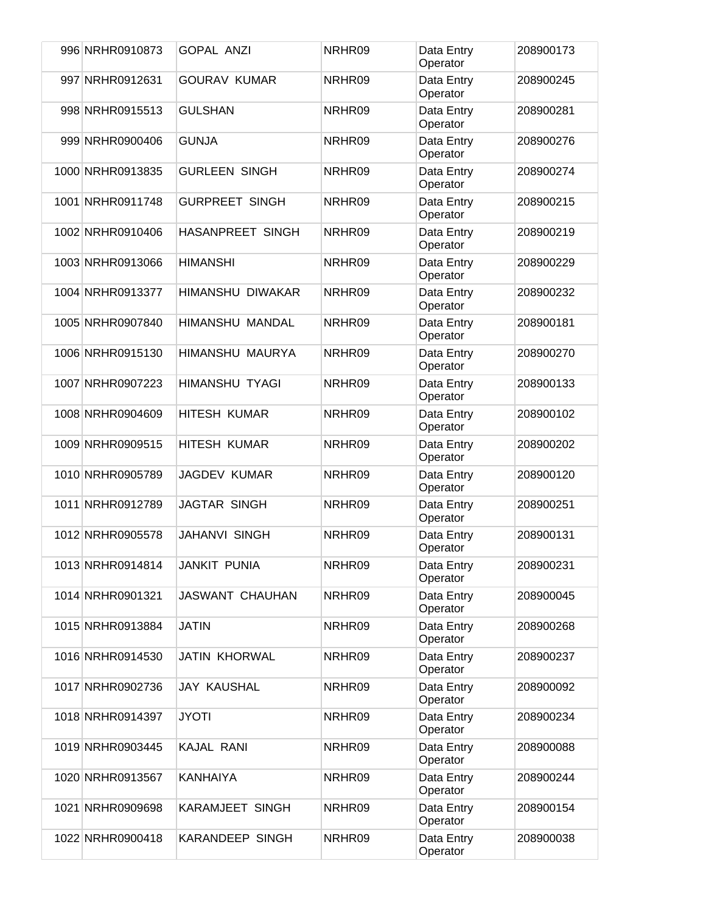| 996 NRHR0910873  | <b>GOPAL ANZI</b>       | NRHR09 | Data Entry<br>Operator | 208900173 |
|------------------|-------------------------|--------|------------------------|-----------|
| 997 NRHR0912631  | <b>GOURAV KUMAR</b>     | NRHR09 | Data Entry<br>Operator | 208900245 |
| 998 NRHR0915513  | <b>GULSHAN</b>          | NRHR09 | Data Entry<br>Operator | 208900281 |
| 999 NRHR0900406  | <b>GUNJA</b>            | NRHR09 | Data Entry<br>Operator | 208900276 |
| 1000 NRHR0913835 | <b>GURLEEN SINGH</b>    | NRHR09 | Data Entry<br>Operator | 208900274 |
| 1001 NRHR0911748 | <b>GURPREET SINGH</b>   | NRHR09 | Data Entry<br>Operator | 208900215 |
| 1002 NRHR0910406 | <b>HASANPREET SINGH</b> | NRHR09 | Data Entry<br>Operator | 208900219 |
| 1003 NRHR0913066 | <b>HIMANSHI</b>         | NRHR09 | Data Entry<br>Operator | 208900229 |
| 1004 NRHR0913377 | <b>HIMANSHU DIWAKAR</b> | NRHR09 | Data Entry<br>Operator | 208900232 |
| 1005 NRHR0907840 | HIMANSHU MANDAL         | NRHR09 | Data Entry<br>Operator | 208900181 |
| 1006 NRHR0915130 | HIMANSHU MAURYA         | NRHR09 | Data Entry<br>Operator | 208900270 |
| 1007 NRHR0907223 | <b>HIMANSHU TYAGI</b>   | NRHR09 | Data Entry<br>Operator | 208900133 |
| 1008 NRHR0904609 | <b>HITESH KUMAR</b>     | NRHR09 | Data Entry<br>Operator | 208900102 |
| 1009 NRHR0909515 | <b>HITESH KUMAR</b>     | NRHR09 | Data Entry<br>Operator | 208900202 |
| 1010 NRHR0905789 | <b>JAGDEV KUMAR</b>     | NRHR09 | Data Entry<br>Operator | 208900120 |
| 1011 NRHR0912789 | JAGTAR SINGH            | NRHR09 | Data Entry<br>Operator | 208900251 |
| 1012 NRHR0905578 | <b>JAHANVI SINGH</b>    | NRHR09 | Data Entry<br>Operator | 208900131 |
| 1013 NRHR0914814 | <b>JANKIT PUNIA</b>     | NRHR09 | Data Entry<br>Operator | 208900231 |
| 1014 NRHR0901321 | <b>JASWANT CHAUHAN</b>  | NRHR09 | Data Entry<br>Operator | 208900045 |
| 1015 NRHR0913884 | <b>JATIN</b>            | NRHR09 | Data Entry<br>Operator | 208900268 |
| 1016 NRHR0914530 | <b>JATIN KHORWAL</b>    | NRHR09 | Data Entry<br>Operator | 208900237 |
| 1017 NRHR0902736 | <b>JAY KAUSHAL</b>      | NRHR09 | Data Entry<br>Operator | 208900092 |
| 1018 NRHR0914397 | <b>JYOTI</b>            | NRHR09 | Data Entry<br>Operator | 208900234 |
| 1019 NRHR0903445 | KAJAL RANI              | NRHR09 | Data Entry<br>Operator | 208900088 |
| 1020 NRHR0913567 | <b>KANHAIYA</b>         | NRHR09 | Data Entry<br>Operator | 208900244 |
| 1021 NRHR0909698 | <b>KARAMJEET SINGH</b>  | NRHR09 | Data Entry<br>Operator | 208900154 |
| 1022 NRHR0900418 | <b>KARANDEEP SINGH</b>  | NRHR09 | Data Entry<br>Operator | 208900038 |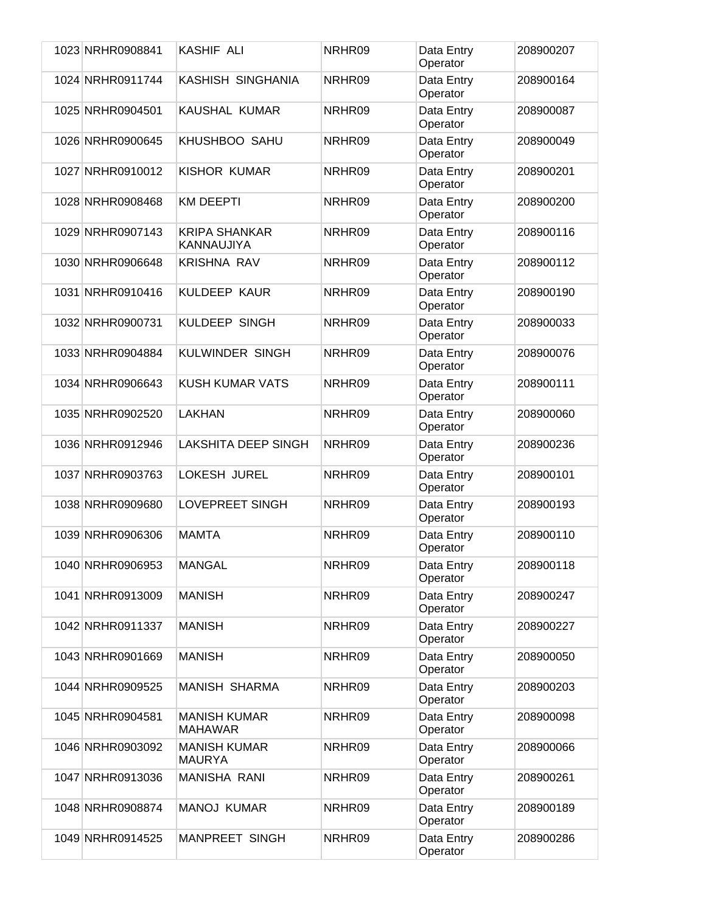| 1023 NRHR0908841 | KASHIF ALI                            | NRHR09 | Data Entry<br>Operator | 208900207 |
|------------------|---------------------------------------|--------|------------------------|-----------|
| 1024 NRHR0911744 | KASHISH SINGHANIA                     | NRHR09 | Data Entry<br>Operator | 208900164 |
| 1025 NRHR0904501 | KAUSHAL KUMAR                         | NRHR09 | Data Entry<br>Operator | 208900087 |
| 1026 NRHR0900645 | KHUSHBOO SAHU                         | NRHR09 | Data Entry<br>Operator | 208900049 |
| 1027 NRHR0910012 | KISHOR KUMAR                          | NRHR09 | Data Entry<br>Operator | 208900201 |
| 1028 NRHR0908468 | <b>KM DEEPTI</b>                      | NRHR09 | Data Entry<br>Operator | 208900200 |
| 1029 NRHR0907143 | <b>KRIPA SHANKAR</b><br>KANNAUJIYA    | NRHR09 | Data Entry<br>Operator | 208900116 |
| 1030 NRHR0906648 | KRISHNA RAV                           | NRHR09 | Data Entry<br>Operator | 208900112 |
| 1031 NRHR0910416 | KULDEEP KAUR                          | NRHR09 | Data Entry<br>Operator | 208900190 |
| 1032 NRHR0900731 | KULDEEP SINGH                         | NRHR09 | Data Entry<br>Operator | 208900033 |
| 1033 NRHR0904884 | <b>KULWINDER SINGH</b>                | NRHR09 | Data Entry<br>Operator | 208900076 |
| 1034 NRHR0906643 | <b>KUSH KUMAR VATS</b>                | NRHR09 | Data Entry<br>Operator | 208900111 |
| 1035 NRHR0902520 | LAKHAN                                | NRHR09 | Data Entry<br>Operator | 208900060 |
| 1036 NRHR0912946 | <b>LAKSHITA DEEP SINGH</b>            | NRHR09 | Data Entry<br>Operator | 208900236 |
| 1037 NRHR0903763 | LOKESH JUREL                          | NRHR09 | Data Entry<br>Operator | 208900101 |
| 1038 NRHR0909680 | <b>LOVEPREET SINGH</b>                | NRHR09 | Data Entry<br>Operator | 208900193 |
| 1039 NRHR0906306 | <b>MAMTA</b>                          | NRHR09 | Data Entry<br>Operator | 208900110 |
| 1040 NRHR0906953 | <b>MANGAL</b>                         | NRHR09 | Data Entry<br>Operator | 208900118 |
| 1041 NRHR0913009 | <b>MANISH</b>                         | NRHR09 | Data Entry<br>Operator | 208900247 |
| 1042 NRHR0911337 | <b>MANISH</b>                         | NRHR09 | Data Entry<br>Operator | 208900227 |
| 1043 NRHR0901669 | <b>MANISH</b>                         | NRHR09 | Data Entry<br>Operator | 208900050 |
| 1044 NRHR0909525 | <b>MANISH SHARMA</b>                  | NRHR09 | Data Entry<br>Operator | 208900203 |
| 1045 NRHR0904581 | <b>MANISH KUMAR</b><br><b>MAHAWAR</b> | NRHR09 | Data Entry<br>Operator | 208900098 |
| 1046 NRHR0903092 | <b>MANISH KUMAR</b><br>MAURYA         | NRHR09 | Data Entry<br>Operator | 208900066 |
| 1047 NRHR0913036 | <b>MANISHA RANI</b>                   | NRHR09 | Data Entry<br>Operator | 208900261 |
| 1048 NRHR0908874 | <b>MANOJ KUMAR</b>                    | NRHR09 | Data Entry<br>Operator | 208900189 |
| 1049 NRHR0914525 | <b>MANPREET SINGH</b>                 | NRHR09 | Data Entry<br>Operator | 208900286 |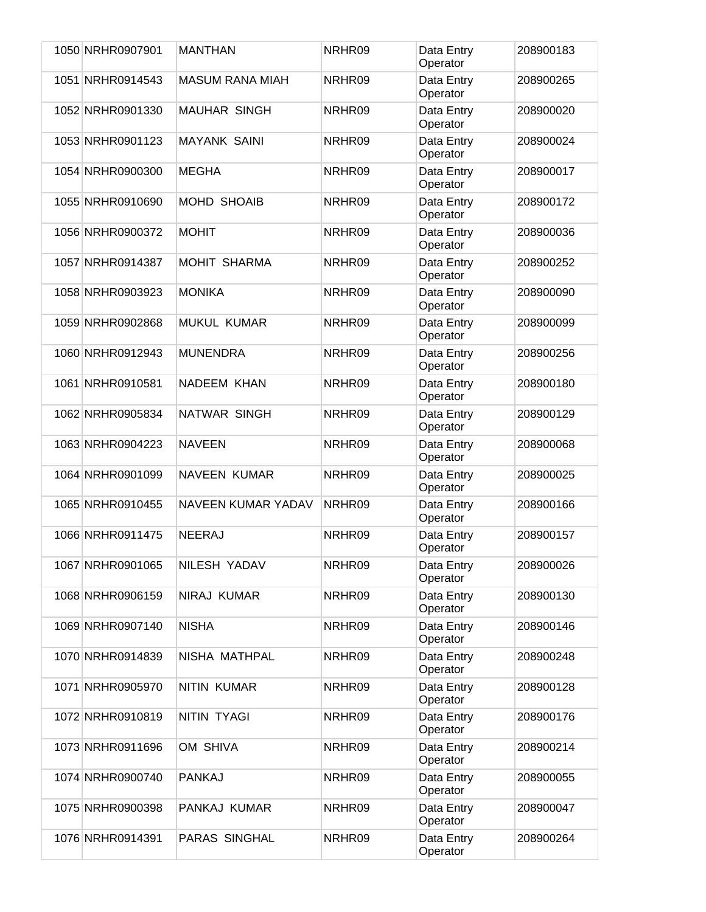| 1050 NRHR0907901 | <b>MANTHAN</b>            | NRHR09 | Data Entry<br>Operator | 208900183 |
|------------------|---------------------------|--------|------------------------|-----------|
| 1051 NRHR0914543 | <b>MASUM RANA MIAH</b>    | NRHR09 | Data Entry<br>Operator | 208900265 |
| 1052 NRHR0901330 | <b>MAUHAR SINGH</b>       | NRHR09 | Data Entry<br>Operator | 208900020 |
| 1053 NRHR0901123 | <b>MAYANK SAINI</b>       | NRHR09 | Data Entry<br>Operator | 208900024 |
| 1054 NRHR0900300 | <b>MEGHA</b>              | NRHR09 | Data Entry<br>Operator | 208900017 |
| 1055 NRHR0910690 | <b>MOHD SHOAIB</b>        | NRHR09 | Data Entry<br>Operator | 208900172 |
| 1056 NRHR0900372 | <b>MOHIT</b>              | NRHR09 | Data Entry<br>Operator | 208900036 |
| 1057 NRHR0914387 | <b>MOHIT SHARMA</b>       | NRHR09 | Data Entry<br>Operator | 208900252 |
| 1058 NRHR0903923 | <b>MONIKA</b>             | NRHR09 | Data Entry<br>Operator | 208900090 |
| 1059 NRHR0902868 | <b>MUKUL KUMAR</b>        | NRHR09 | Data Entry<br>Operator | 208900099 |
| 1060 NRHR0912943 | <b>MUNENDRA</b>           | NRHR09 | Data Entry<br>Operator | 208900256 |
| 1061 NRHR0910581 | NADEEM KHAN               | NRHR09 | Data Entry<br>Operator | 208900180 |
| 1062 NRHR0905834 | NATWAR SINGH              | NRHR09 | Data Entry<br>Operator | 208900129 |
| 1063 NRHR0904223 | <b>NAVEEN</b>             | NRHR09 | Data Entry<br>Operator | 208900068 |
| 1064 NRHR0901099 | <b>NAVEEN KUMAR</b>       | NRHR09 | Data Entry<br>Operator | 208900025 |
| 1065 NRHR0910455 | <b>NAVEEN KUMAR YADAV</b> | NRHR09 | Data Entry<br>Operator | 208900166 |
| 1066 NRHR0911475 | <b>NEERAJ</b>             | NRHR09 | Data Entry<br>Operator | 208900157 |
| 1067 NRHR0901065 | NILESH YADAV              | NRHR09 | Data Entry<br>Operator | 208900026 |
| 1068 NRHR0906159 | NIRAJ KUMAR               | NRHR09 | Data Entry<br>Operator | 208900130 |
| 1069 NRHR0907140 | <b>NISHA</b>              | NRHR09 | Data Entry<br>Operator | 208900146 |
| 1070 NRHR0914839 | NISHA MATHPAL             | NRHR09 | Data Entry<br>Operator | 208900248 |
| 1071 NRHR0905970 | <b>NITIN KUMAR</b>        | NRHR09 | Data Entry<br>Operator | 208900128 |
| 1072 NRHR0910819 | NITIN TYAGI               | NRHR09 | Data Entry<br>Operator | 208900176 |
| 1073 NRHR0911696 | OM SHIVA                  | NRHR09 | Data Entry<br>Operator | 208900214 |
| 1074 NRHR0900740 | <b>PANKAJ</b>             | NRHR09 | Data Entry<br>Operator | 208900055 |
| 1075 NRHR0900398 | PANKAJ KUMAR              | NRHR09 | Data Entry<br>Operator | 208900047 |
| 1076 NRHR0914391 | PARAS SINGHAL             | NRHR09 | Data Entry<br>Operator | 208900264 |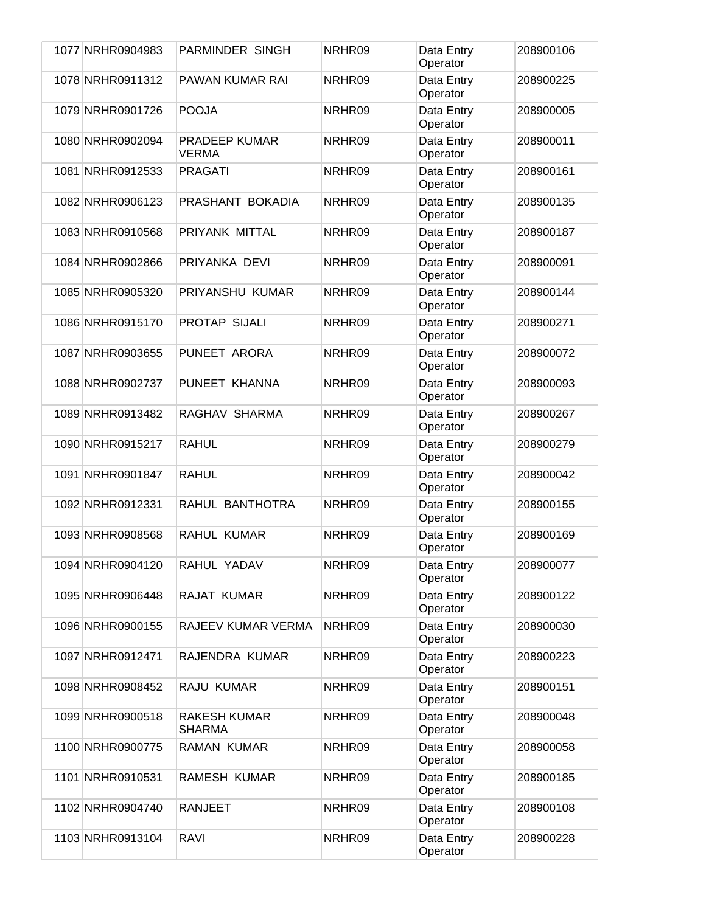| 1077 NRHR0904983 | <b>PARMINDER SINGH</b>               | NRHR09 | Data Entry<br>Operator | 208900106 |
|------------------|--------------------------------------|--------|------------------------|-----------|
| 1078 NRHR0911312 | <b>PAWAN KUMAR RAI</b>               | NRHR09 | Data Entry<br>Operator | 208900225 |
| 1079 NRHR0901726 | <b>POOJA</b>                         | NRHR09 | Data Entry<br>Operator | 208900005 |
| 1080 NRHR0902094 | <b>PRADEEP KUMAR</b><br><b>VERMA</b> | NRHR09 | Data Entry<br>Operator | 208900011 |
| 1081 NRHR0912533 | <b>PRAGATI</b>                       | NRHR09 | Data Entry<br>Operator | 208900161 |
| 1082 NRHR0906123 | PRASHANT BOKADIA                     | NRHR09 | Data Entry<br>Operator | 208900135 |
| 1083 NRHR0910568 | PRIYANK MITTAL                       | NRHR09 | Data Entry<br>Operator | 208900187 |
| 1084 NRHR0902866 | PRIYANKA DEVI                        | NRHR09 | Data Entry<br>Operator | 208900091 |
| 1085 NRHR0905320 | PRIYANSHU KUMAR                      | NRHR09 | Data Entry<br>Operator | 208900144 |
| 1086 NRHR0915170 | PROTAP SIJALI                        | NRHR09 | Data Entry<br>Operator | 208900271 |
| 1087 NRHR0903655 | PUNEET ARORA                         | NRHR09 | Data Entry<br>Operator | 208900072 |
| 1088 NRHR0902737 | PUNEET KHANNA                        | NRHR09 | Data Entry<br>Operator | 208900093 |
| 1089 NRHR0913482 | RAGHAV SHARMA                        | NRHR09 | Data Entry<br>Operator | 208900267 |
| 1090 NRHR0915217 | <b>RAHUL</b>                         | NRHR09 | Data Entry<br>Operator | 208900279 |
| 1091 NRHR0901847 | <b>RAHUL</b>                         | NRHR09 | Data Entry<br>Operator | 208900042 |
| 1092 NRHR0912331 | RAHUL BANTHOTRA                      | NRHR09 | Data Entry<br>Operator | 208900155 |
| 1093 NRHR0908568 | RAHUL KUMAR                          | NRHR09 | Data Entry<br>Operator | 208900169 |
| 1094 NRHR0904120 | RAHUL YADAV                          | NRHR09 | Data Entry<br>Operator | 208900077 |
| 1095 NRHR0906448 | RAJAT KUMAR                          | NRHR09 | Data Entry<br>Operator | 208900122 |
| 1096 NRHR0900155 | RAJEEV KUMAR VERMA                   | NRHR09 | Data Entry<br>Operator | 208900030 |
| 1097 NRHR0912471 | RAJENDRA KUMAR                       | NRHR09 | Data Entry<br>Operator | 208900223 |
| 1098 NRHR0908452 | RAJU KUMAR                           | NRHR09 | Data Entry<br>Operator | 208900151 |
| 1099 NRHR0900518 | <b>RAKESH KUMAR</b><br>SHARMA        | NRHR09 | Data Entry<br>Operator | 208900048 |
| 1100 NRHR0900775 | <b>RAMAN KUMAR</b>                   | NRHR09 | Data Entry<br>Operator | 208900058 |
| 1101 NRHR0910531 | RAMESH KUMAR                         | NRHR09 | Data Entry<br>Operator | 208900185 |
| 1102 NRHR0904740 | <b>RANJEET</b>                       | NRHR09 | Data Entry<br>Operator | 208900108 |
| 1103 NRHR0913104 | RAVI                                 | NRHR09 | Data Entry<br>Operator | 208900228 |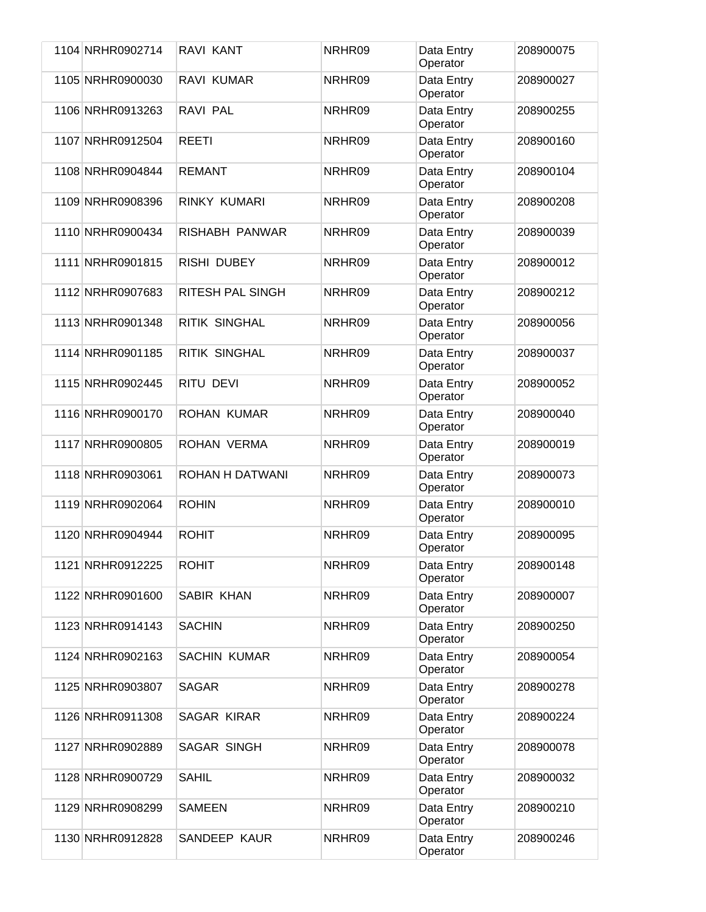| 1104 NRHR0902714 | RAVI KANT               | NRHR09 | Data Entry<br>Operator | 208900075 |
|------------------|-------------------------|--------|------------------------|-----------|
| 1105 NRHR0900030 | RAVI KUMAR              | NRHR09 | Data Entry<br>Operator | 208900027 |
| 1106 NRHR0913263 | RAVI PAL                | NRHR09 | Data Entry<br>Operator | 208900255 |
| 1107 NRHR0912504 | <b>REETI</b>            | NRHR09 | Data Entry<br>Operator | 208900160 |
| 1108 NRHR0904844 | <b>REMANT</b>           | NRHR09 | Data Entry<br>Operator | 208900104 |
| 1109 NRHR0908396 | RINKY KUMARI            | NRHR09 | Data Entry<br>Operator | 208900208 |
| 1110 NRHR0900434 | RISHABH PANWAR          | NRHR09 | Data Entry<br>Operator | 208900039 |
| 1111 NRHR0901815 | <b>RISHI DUBEY</b>      | NRHR09 | Data Entry<br>Operator | 208900012 |
| 1112 NRHR0907683 | <b>RITESH PAL SINGH</b> | NRHR09 | Data Entry<br>Operator | 208900212 |
| 1113 NRHR0901348 | <b>RITIK SINGHAL</b>    | NRHR09 | Data Entry<br>Operator | 208900056 |
| 1114 NRHR0901185 | <b>RITIK SINGHAL</b>    | NRHR09 | Data Entry<br>Operator | 208900037 |
| 1115 NRHR0902445 | RITU DEVI               | NRHR09 | Data Entry<br>Operator | 208900052 |
| 1116 NRHR0900170 | <b>ROHAN KUMAR</b>      | NRHR09 | Data Entry<br>Operator | 208900040 |
| 1117 NRHR0900805 | ROHAN VERMA             | NRHR09 | Data Entry<br>Operator | 208900019 |
| 1118 NRHR0903061 | ROHAN H DATWANI         | NRHR09 | Data Entry<br>Operator | 208900073 |
| 1119 NRHR0902064 | <b>ROHIN</b>            | NRHR09 | Data Entry<br>Operator | 208900010 |
| 1120 NRHR0904944 | <b>ROHIT</b>            | NRHR09 | Data Entry<br>Operator | 208900095 |
| 1121 NRHR0912225 | <b>ROHIT</b>            | NRHR09 | Data Entry<br>Operator | 208900148 |
| 1122 NRHR0901600 | SABIR KHAN              | NRHR09 | Data Entry<br>Operator | 208900007 |
| 1123 NRHR0914143 | <b>SACHIN</b>           | NRHR09 | Data Entry<br>Operator | 208900250 |
| 1124 NRHR0902163 | <b>SACHIN KUMAR</b>     | NRHR09 | Data Entry<br>Operator | 208900054 |
| 1125 NRHR0903807 | <b>SAGAR</b>            | NRHR09 | Data Entry<br>Operator | 208900278 |
| 1126 NRHR0911308 | SAGAR KIRAR             | NRHR09 | Data Entry<br>Operator | 208900224 |
| 1127 NRHR0902889 | SAGAR SINGH             | NRHR09 | Data Entry<br>Operator | 208900078 |
| 1128 NRHR0900729 | <b>SAHIL</b>            | NRHR09 | Data Entry<br>Operator | 208900032 |
| 1129 NRHR0908299 | <b>SAMEEN</b>           | NRHR09 | Data Entry<br>Operator | 208900210 |
| 1130 NRHR0912828 | SANDEEP KAUR            | NRHR09 | Data Entry<br>Operator | 208900246 |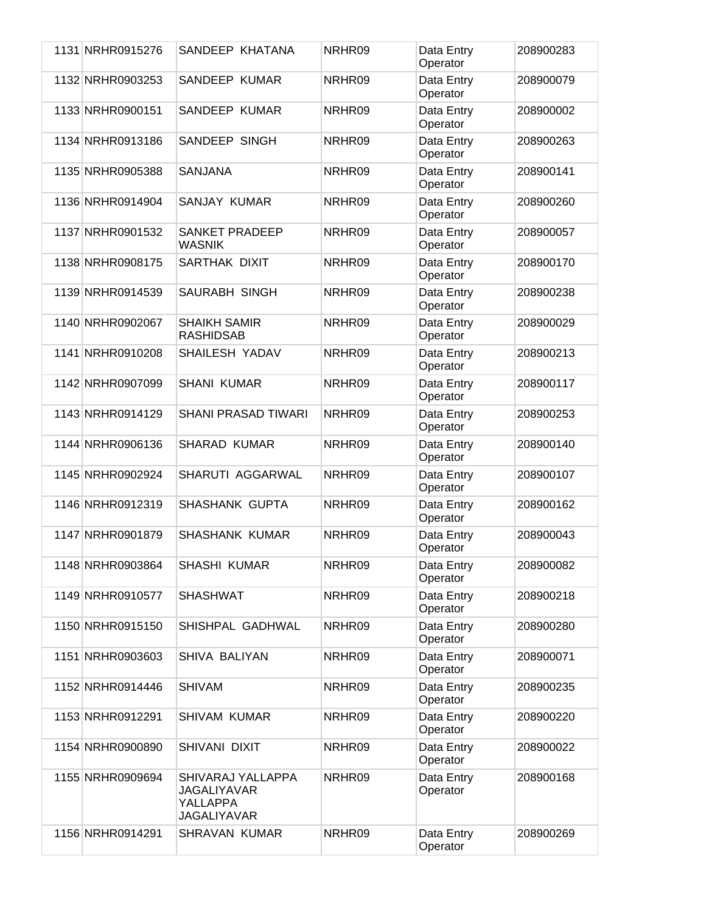| 1131 NRHR0915276 | SANDEEP KHATANA                                                           | NRHR09 | Data Entry<br>Operator | 208900283 |
|------------------|---------------------------------------------------------------------------|--------|------------------------|-----------|
| 1132 NRHR0903253 | <b>SANDEEP KUMAR</b>                                                      | NRHR09 | Data Entry<br>Operator | 208900079 |
| 1133 NRHR0900151 | SANDEEP KUMAR                                                             | NRHR09 | Data Entry<br>Operator | 208900002 |
| 1134 NRHR0913186 | SANDEEP SINGH                                                             | NRHR09 | Data Entry<br>Operator | 208900263 |
| 1135 NRHR0905388 | <b>SANJANA</b>                                                            | NRHR09 | Data Entry<br>Operator | 208900141 |
| 1136 NRHR0914904 | <b>SANJAY KUMAR</b>                                                       | NRHR09 | Data Entry<br>Operator | 208900260 |
| 1137 NRHR0901532 | SANKET PRADEEP<br><b>WASNIK</b>                                           | NRHR09 | Data Entry<br>Operator | 208900057 |
| 1138 NRHR0908175 | SARTHAK DIXIT                                                             | NRHR09 | Data Entry<br>Operator | 208900170 |
| 1139 NRHR0914539 | <b>SAURABH SINGH</b>                                                      | NRHR09 | Data Entry<br>Operator | 208900238 |
| 1140 NRHR0902067 | <b>SHAIKH SAMIR</b><br><b>RASHIDSAB</b>                                   | NRHR09 | Data Entry<br>Operator | 208900029 |
| 1141 NRHR0910208 | SHAILESH YADAV                                                            | NRHR09 | Data Entry<br>Operator | 208900213 |
| 1142 NRHR0907099 | <b>SHANI KUMAR</b>                                                        | NRHR09 | Data Entry<br>Operator | 208900117 |
| 1143 NRHR0914129 | <b>SHANI PRASAD TIWARI</b>                                                | NRHR09 | Data Entry<br>Operator | 208900253 |
| 1144 NRHR0906136 | <b>SHARAD KUMAR</b>                                                       | NRHR09 | Data Entry<br>Operator | 208900140 |
| 1145 NRHR0902924 | SHARUTI AGGARWAL                                                          | NRHR09 | Data Entry<br>Operator | 208900107 |
| 1146 NRHR0912319 | SHASHANK GUPTA                                                            | NRHR09 | Data Entry<br>Operator | 208900162 |
| 1147 NRHR0901879 | <b>SHASHANK KUMAR</b>                                                     | NRHR09 | Data Entry<br>Operator | 208900043 |
| 1148 NRHR0903864 | SHASHI KUMAR                                                              | NRHR09 | Data Entry<br>Operator | 208900082 |
| 1149 NRHR0910577 | <b>SHASHWAT</b>                                                           | NRHR09 | Data Entry<br>Operator | 208900218 |
| 1150 NRHR0915150 | SHISHPAL GADHWAL                                                          | NRHR09 | Data Entry<br>Operator | 208900280 |
| 1151 NRHR0903603 | SHIVA BALIYAN                                                             | NRHR09 | Data Entry<br>Operator | 208900071 |
| 1152 NRHR0914446 | <b>SHIVAM</b>                                                             | NRHR09 | Data Entry<br>Operator | 208900235 |
| 1153 NRHR0912291 | <b>SHIVAM KUMAR</b>                                                       | NRHR09 | Data Entry<br>Operator | 208900220 |
| 1154 NRHR0900890 | SHIVANI DIXIT                                                             | NRHR09 | Data Entry<br>Operator | 208900022 |
| 1155 NRHR0909694 | SHIVARAJ YALLAPPA<br><b>JAGALIYAVAR</b><br>YALLAPPA<br><b>JAGALIYAVAR</b> | NRHR09 | Data Entry<br>Operator | 208900168 |
| 1156 NRHR0914291 | <b>SHRAVAN KUMAR</b>                                                      | NRHR09 | Data Entry<br>Operator | 208900269 |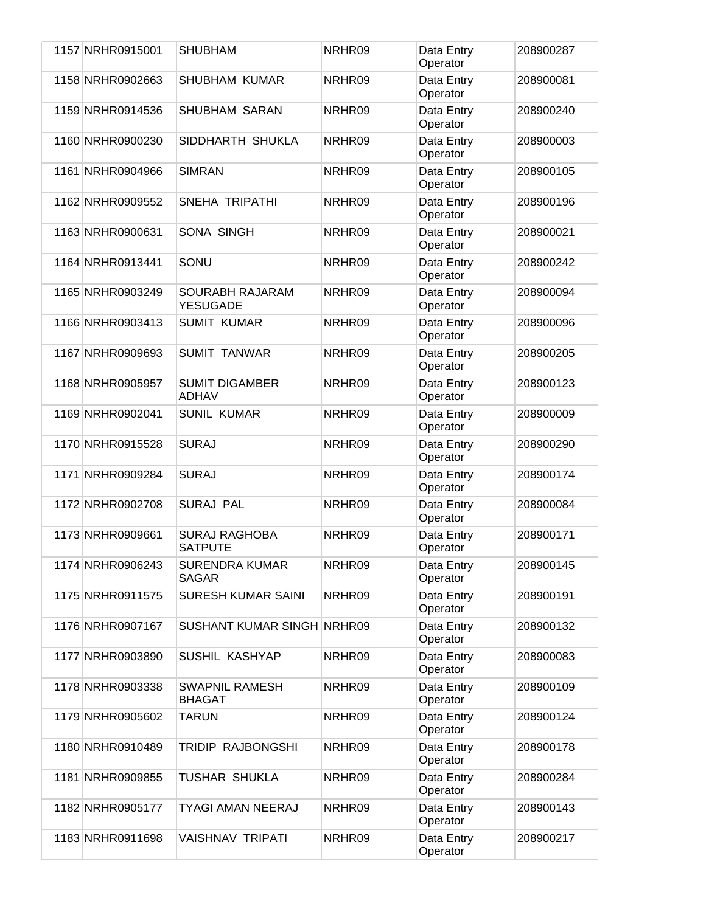| 1157 NRHR0915001 | <b>SHUBHAM</b>                         | NRHR09 | Data Entry<br>Operator | 208900287 |
|------------------|----------------------------------------|--------|------------------------|-----------|
| 1158 NRHR0902663 | <b>SHUBHAM KUMAR</b>                   | NRHR09 | Data Entry<br>Operator | 208900081 |
| 1159 NRHR0914536 | <b>SHUBHAM SARAN</b>                   | NRHR09 | Data Entry<br>Operator | 208900240 |
| 1160 NRHR0900230 | SIDDHARTH SHUKLA                       | NRHR09 | Data Entry<br>Operator | 208900003 |
| 1161 NRHR0904966 | <b>SIMRAN</b>                          | NRHR09 | Data Entry<br>Operator | 208900105 |
| 1162 NRHR0909552 | SNEHA TRIPATHI                         | NRHR09 | Data Entry<br>Operator | 208900196 |
| 1163 NRHR0900631 | <b>SONA SINGH</b>                      | NRHR09 | Data Entry<br>Operator | 208900021 |
| 1164 NRHR0913441 | SONU                                   | NRHR09 | Data Entry<br>Operator | 208900242 |
| 1165 NRHR0903249 | SOURABH RAJARAM<br><b>YESUGADE</b>     | NRHR09 | Data Entry<br>Operator | 208900094 |
| 1166 NRHR0903413 | <b>SUMIT KUMAR</b>                     | NRHR09 | Data Entry<br>Operator | 208900096 |
| 1167 NRHR0909693 | <b>SUMIT TANWAR</b>                    | NRHR09 | Data Entry<br>Operator | 208900205 |
| 1168 NRHR0905957 | <b>SUMIT DIGAMBER</b><br><b>ADHAV</b>  | NRHR09 | Data Entry<br>Operator | 208900123 |
| 1169 NRHR0902041 | <b>SUNIL KUMAR</b>                     | NRHR09 | Data Entry<br>Operator | 208900009 |
| 1170 NRHR0915528 | <b>SURAJ</b>                           | NRHR09 | Data Entry<br>Operator | 208900290 |
| 1171 NRHR0909284 | <b>SURAJ</b>                           | NRHR09 | Data Entry<br>Operator | 208900174 |
| 1172 NRHR0902708 | <b>SURAJ PAL</b>                       | NRHR09 | Data Entry<br>Operator | 208900084 |
| 1173 NRHR0909661 | <b>SURAJ RAGHOBA</b><br><b>SATPUTE</b> | NRHR09 | Data Entry<br>Operator | 208900171 |
| 1174 NRHR0906243 | <b>SURENDRA KUMAR</b><br><b>SAGAR</b>  | NRHR09 | Data Entry<br>Operator | 208900145 |
| 1175 NRHR0911575 | <b>SURESH KUMAR SAINI</b>              | NRHR09 | Data Entry<br>Operator | 208900191 |
| 1176 NRHR0907167 | <b>SUSHANT KUMAR SINGH NRHR09</b>      |        | Data Entry<br>Operator | 208900132 |
| 1177 NRHR0903890 | SUSHIL KASHYAP                         | NRHR09 | Data Entry<br>Operator | 208900083 |
| 1178 NRHR0903338 | <b>SWAPNIL RAMESH</b><br><b>BHAGAT</b> | NRHR09 | Data Entry<br>Operator | 208900109 |
| 1179 NRHR0905602 | <b>TARUN</b>                           | NRHR09 | Data Entry<br>Operator | 208900124 |
| 1180 NRHR0910489 | TRIDIP RAJBONGSHI                      | NRHR09 | Data Entry<br>Operator | 208900178 |
| 1181 NRHR0909855 | <b>TUSHAR SHUKLA</b>                   | NRHR09 | Data Entry<br>Operator | 208900284 |
| 1182 NRHR0905177 | <b>TYAGI AMAN NEERAJ</b>               | NRHR09 | Data Entry<br>Operator | 208900143 |
| 1183 NRHR0911698 | <b>VAISHNAV TRIPATI</b>                | NRHR09 | Data Entry<br>Operator | 208900217 |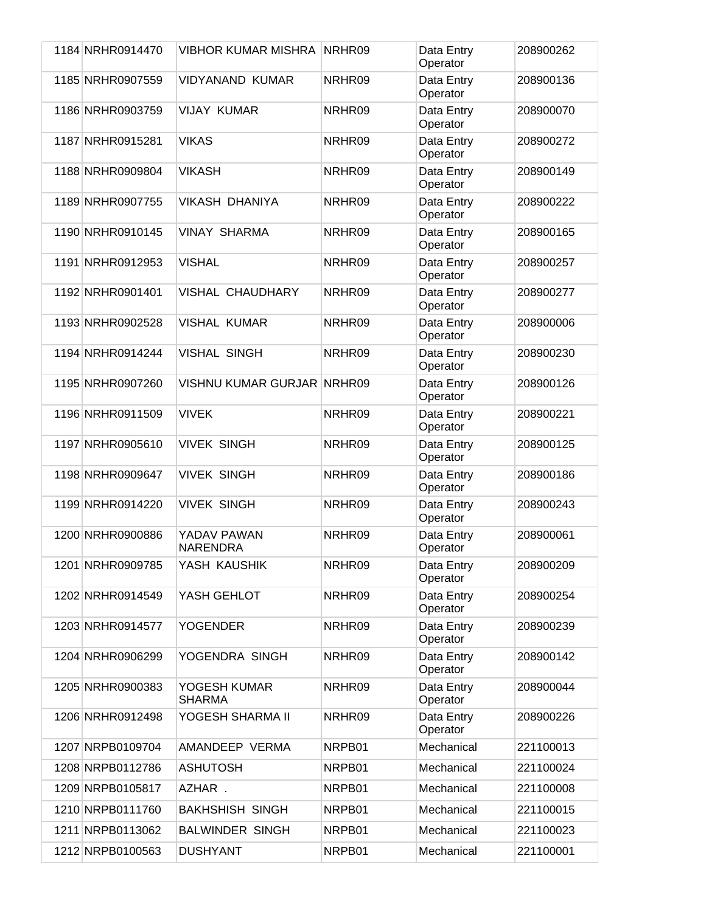| 1184 NRHR0914470 | <b>VIBHOR KUMAR MISHRA</b>        | NRHR09 | Data Entry<br>Operator | 208900262 |
|------------------|-----------------------------------|--------|------------------------|-----------|
| 1185 NRHR0907559 | <b>VIDYANAND KUMAR</b>            | NRHR09 | Data Entry<br>Operator | 208900136 |
| 1186 NRHR0903759 | <b>VIJAY KUMAR</b>                | NRHR09 | Data Entry<br>Operator | 208900070 |
| 1187 NRHR0915281 | <b>VIKAS</b>                      | NRHR09 | Data Entry<br>Operator | 208900272 |
| 1188 NRHR0909804 | <b>VIKASH</b>                     | NRHR09 | Data Entry<br>Operator | 208900149 |
| 1189 NRHR0907755 | <b>VIKASH DHANIYA</b>             | NRHR09 | Data Entry<br>Operator | 208900222 |
| 1190 NRHR0910145 | <b>VINAY SHARMA</b>               | NRHR09 | Data Entry<br>Operator | 208900165 |
| 1191 NRHR0912953 | <b>VISHAL</b>                     | NRHR09 | Data Entry<br>Operator | 208900257 |
| 1192 NRHR0901401 | <b>VISHAL CHAUDHARY</b>           | NRHR09 | Data Entry<br>Operator | 208900277 |
| 1193 NRHR0902528 | <b>VISHAL KUMAR</b>               | NRHR09 | Data Entry<br>Operator | 208900006 |
| 1194 NRHR0914244 | <b>VISHAL SINGH</b>               | NRHR09 | Data Entry<br>Operator | 208900230 |
| 1195 NRHR0907260 | <b>VISHNU KUMAR GURJAR NRHR09</b> |        | Data Entry<br>Operator | 208900126 |
| 1196 NRHR0911509 | <b>VIVEK</b>                      | NRHR09 | Data Entry<br>Operator | 208900221 |
| 1197 NRHR0905610 | <b>VIVEK SINGH</b>                | NRHR09 | Data Entry<br>Operator | 208900125 |
| 1198 NRHR0909647 | <b>VIVEK SINGH</b>                | NRHR09 | Data Entry<br>Operator | 208900186 |
| 1199 NRHR0914220 | <b>VIVEK SINGH</b>                | NRHR09 | Data Entry<br>Operator | 208900243 |
| 1200 NRHR0900886 | YADAV PAWAN<br><b>NARENDRA</b>    | NRHR09 | Data Entry<br>Operator | 208900061 |
| 1201 NRHR0909785 | YASH KAUSHIK                      | NRHR09 | Data Entry<br>Operator | 208900209 |
| 1202 NRHR0914549 | YASH GEHLOT                       | NRHR09 | Data Entry<br>Operator | 208900254 |
| 1203 NRHR0914577 | <b>YOGENDER</b>                   | NRHR09 | Data Entry<br>Operator | 208900239 |
| 1204 NRHR0906299 | YOGENDRA SINGH                    | NRHR09 | Data Entry<br>Operator | 208900142 |
| 1205 NRHR0900383 | YOGESH KUMAR<br><b>SHARMA</b>     | NRHR09 | Data Entry<br>Operator | 208900044 |
| 1206 NRHR0912498 | YOGESH SHARMA II                  | NRHR09 | Data Entry<br>Operator | 208900226 |
| 1207 NRPB0109704 | AMANDEEP VERMA                    | NRPB01 | Mechanical             | 221100013 |
| 1208 NRPB0112786 | <b>ASHUTOSH</b>                   | NRPB01 | Mechanical             | 221100024 |
| 1209 NRPB0105817 | AZHAR.                            | NRPB01 | Mechanical             | 221100008 |
| 1210 NRPB0111760 | <b>BAKHSHISH SINGH</b>            | NRPB01 | Mechanical             | 221100015 |
| 1211 NRPB0113062 | <b>BALWINDER SINGH</b>            | NRPB01 | Mechanical             | 221100023 |
| 1212 NRPB0100563 | <b>DUSHYANT</b>                   | NRPB01 | Mechanical             | 221100001 |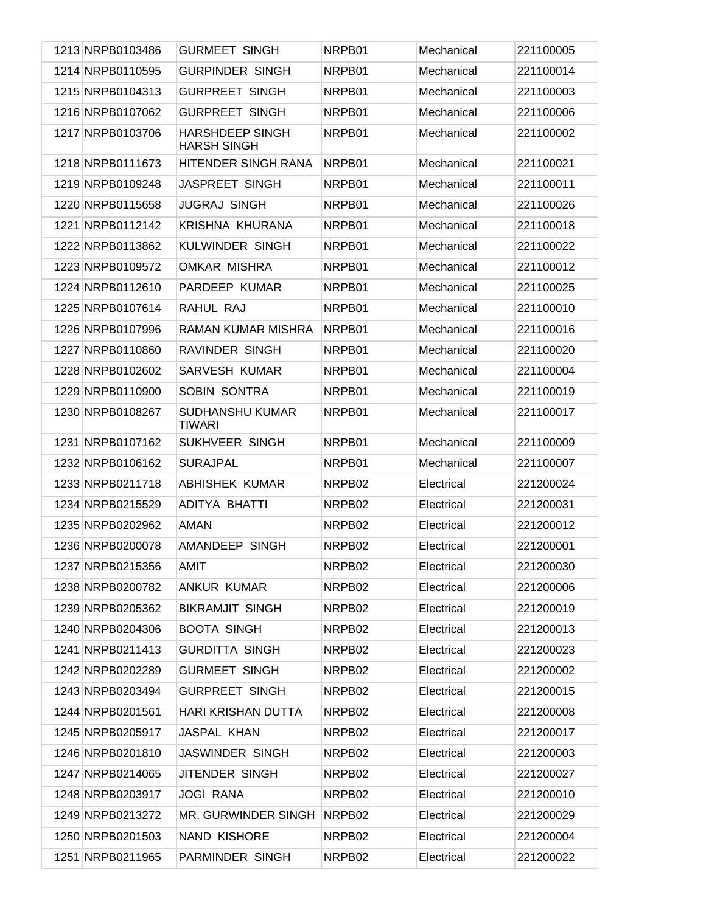| 1213 NRPB0103486 | <b>GURMEET SINGH</b>                         | NRPB01 | Mechanical | 221100005 |
|------------------|----------------------------------------------|--------|------------|-----------|
| 1214 NRPB0110595 | <b>GURPINDER SINGH</b>                       | NRPB01 | Mechanical | 221100014 |
| 1215 NRPB0104313 | <b>GURPREET SINGH</b>                        | NRPB01 | Mechanical | 221100003 |
| 1216 NRPB0107062 | <b>GURPREET SINGH</b>                        | NRPB01 | Mechanical | 221100006 |
| 1217 NRPB0103706 | <b>HARSHDEEP SINGH</b><br><b>HARSH SINGH</b> | NRPB01 | Mechanical | 221100002 |
| 1218 NRPB0111673 | HITENDER SINGH RANA                          | NRPB01 | Mechanical | 221100021 |
| 1219 NRPB0109248 | <b>JASPREET SINGH</b>                        | NRPB01 | Mechanical | 221100011 |
| 1220 NRPB0115658 | <b>JUGRAJ SINGH</b>                          | NRPB01 | Mechanical | 221100026 |
| 1221 NRPB0112142 | KRISHNA KHURANA                              | NRPB01 | Mechanical | 221100018 |
| 1222 NRPB0113862 | KULWINDER SINGH                              | NRPB01 | Mechanical | 221100022 |
| 1223 NRPB0109572 | <b>OMKAR MISHRA</b>                          | NRPB01 | Mechanical | 221100012 |
| 1224 NRPB0112610 | PARDEEP KUMAR                                | NRPB01 | Mechanical | 221100025 |
| 1225 NRPB0107614 | RAHUL RAJ                                    | NRPB01 | Mechanical | 221100010 |
| 1226 NRPB0107996 | RAMAN KUMAR MISHRA                           | NRPB01 | Mechanical | 221100016 |
| 1227 NRPB0110860 | RAVINDER SINGH                               | NRPB01 | Mechanical | 221100020 |
| 1228 NRPB0102602 | <b>SARVESH KUMAR</b>                         | NRPB01 | Mechanical | 221100004 |
| 1229 NRPB0110900 | SOBIN SONTRA                                 | NRPB01 | Mechanical | 221100019 |
| 1230 NRPB0108267 | <b>SUDHANSHU KUMAR</b><br><b>TIWARI</b>      | NRPB01 | Mechanical | 221100017 |
| 1231 NRPB0107162 | SUKHVEER SINGH                               | NRPB01 | Mechanical | 221100009 |
| 1232 NRPB0106162 | <b>SURAJPAL</b>                              | NRPB01 | Mechanical | 221100007 |
| 1233 NRPB0211718 | <b>ABHISHEK KUMAR</b>                        | NRPB02 | Electrical | 221200024 |
| 1234 NRPB0215529 | ADITYA BHATTI                                | NRPB02 | Electrical | 221200031 |
| 1235 NRPB0202962 | AMAN                                         | NRPB02 | Electrical | 221200012 |
| 1236 NRPB0200078 | AMANDEEP SINGH                               | NRPB02 | Electrical | 221200001 |
| 1237 NRPB0215356 | AMIT                                         | NRPB02 | Electrical | 221200030 |
| 1238 NRPB0200782 | <b>ANKUR KUMAR</b>                           | NRPB02 | Electrical | 221200006 |
| 1239 NRPB0205362 | <b>BIKRAMJIT SINGH</b>                       | NRPB02 | Electrical | 221200019 |
| 1240 NRPB0204306 | <b>BOOTA SINGH</b>                           | NRPB02 | Electrical | 221200013 |
| 1241 NRPB0211413 | <b>GURDITTA SINGH</b>                        | NRPB02 | Electrical | 221200023 |
| 1242 NRPB0202289 | <b>GURMEET SINGH</b>                         | NRPB02 | Electrical | 221200002 |
| 1243 NRPB0203494 | <b>GURPREET SINGH</b>                        | NRPB02 | Electrical | 221200015 |
| 1244 NRPB0201561 | <b>HARI KRISHAN DUTTA</b>                    | NRPB02 | Electrical | 221200008 |
| 1245 NRPB0205917 | <b>JASPAL KHAN</b>                           | NRPB02 | Electrical | 221200017 |
| 1246 NRPB0201810 | <b>JASWINDER SINGH</b>                       | NRPB02 | Electrical | 221200003 |
| 1247 NRPB0214065 | JITENDER SINGH                               | NRPB02 | Electrical | 221200027 |
| 1248 NRPB0203917 | <b>JOGI RANA</b>                             | NRPB02 | Electrical | 221200010 |
| 1249 NRPB0213272 | MR. GURWINDER SINGH                          | NRPB02 | Electrical | 221200029 |
| 1250 NRPB0201503 | NAND KISHORE                                 | NRPB02 | Electrical | 221200004 |
| 1251 NRPB0211965 | PARMINDER SINGH                              | NRPB02 | Electrical | 221200022 |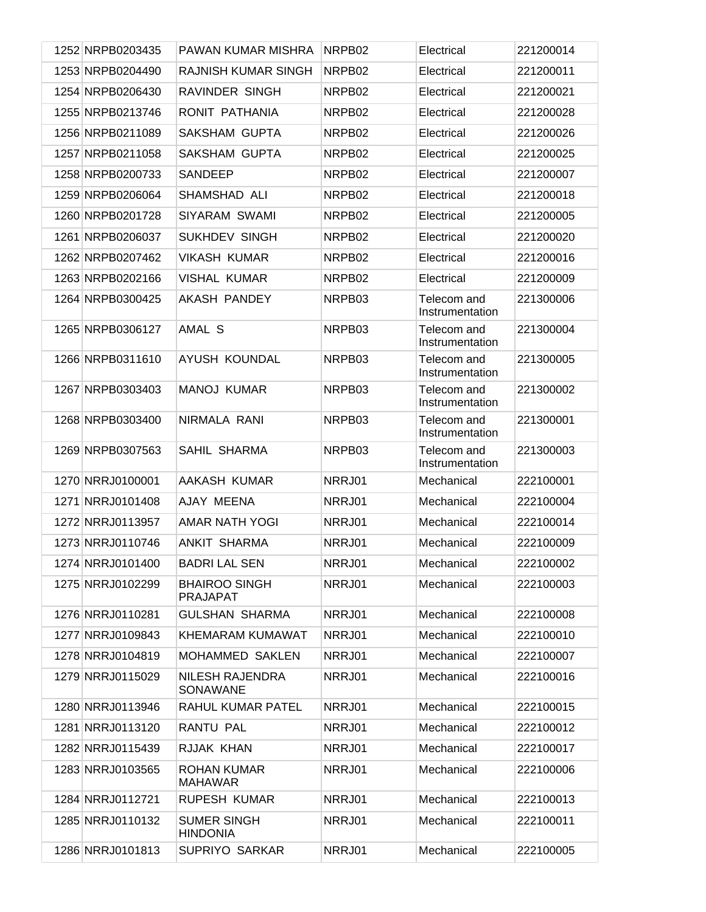| 1252 NRPB0203435 | PAWAN KUMAR MISHRA                      | NRPB02 | Electrical                     | 221200014 |
|------------------|-----------------------------------------|--------|--------------------------------|-----------|
| 1253 NRPB0204490 | RAJNISH KUMAR SINGH                     | NRPB02 | Electrical                     | 221200011 |
| 1254 NRPB0206430 | RAVINDER SINGH                          | NRPB02 | Electrical                     | 221200021 |
| 1255 NRPB0213746 | RONIT PATHANIA                          | NRPB02 | Electrical                     | 221200028 |
| 1256 NRPB0211089 | SAKSHAM GUPTA                           | NRPB02 | Electrical                     | 221200026 |
| 1257 NRPB0211058 | SAKSHAM GUPTA                           | NRPB02 | Electrical                     | 221200025 |
| 1258 NRPB0200733 | <b>SANDEEP</b>                          | NRPB02 | Electrical                     | 221200007 |
| 1259 NRPB0206064 | SHAMSHAD ALI                            | NRPB02 | Electrical                     | 221200018 |
| 1260 NRPB0201728 | SIYARAM SWAMI                           | NRPB02 | Electrical                     | 221200005 |
| 1261 NRPB0206037 | <b>SUKHDEV SINGH</b>                    | NRPB02 | Electrical                     | 221200020 |
| 1262 NRPB0207462 | <b>VIKASH KUMAR</b>                     | NRPB02 | Electrical                     | 221200016 |
| 1263 NRPB0202166 | <b>VISHAL KUMAR</b>                     | NRPB02 | Electrical                     | 221200009 |
| 1264 NRPB0300425 | AKASH PANDEY                            | NRPB03 | Telecom and<br>Instrumentation | 221300006 |
| 1265 NRPB0306127 | AMAL S                                  | NRPB03 | Telecom and<br>Instrumentation | 221300004 |
| 1266 NRPB0311610 | AYUSH KOUNDAL                           | NRPB03 | Telecom and<br>Instrumentation | 221300005 |
| 1267 NRPB0303403 | <b>MANOJ KUMAR</b>                      | NRPB03 | Telecom and<br>Instrumentation | 221300002 |
| 1268 NRPB0303400 | NIRMALA RANI                            | NRPB03 | Telecom and<br>Instrumentation | 221300001 |
| 1269 NRPB0307563 | SAHIL SHARMA                            | NRPB03 | Telecom and<br>Instrumentation | 221300003 |
| 1270 NRRJ0100001 | AAKASH KUMAR                            | NRRJ01 | Mechanical                     | 222100001 |
| 1271 NRRJ0101408 | AJAY MEENA                              | NRRJ01 | Mechanical                     | 222100004 |
| 1272 NRRJ0113957 | <b>AMAR NATH YOGI</b>                   | NRRJ01 | Mechanical                     | 222100014 |
| 1273 NRRJ0110746 | <b>ANKIT SHARMA</b>                     | NRRJ01 | Mechanical                     | 222100009 |
| 1274 NRRJ0101400 | <b>BADRI LAL SEN</b>                    | NRRJ01 | Mechanical                     | 222100002 |
| 1275 NRRJ0102299 | <b>BHAIROO SINGH</b><br><b>PRAJAPAT</b> | NRRJ01 | Mechanical                     | 222100003 |
| 1276 NRRJ0110281 | <b>GULSHAN SHARMA</b>                   | NRRJ01 | Mechanical                     | 222100008 |
| 1277 NRRJ0109843 | KHEMARAM KUMAWAT                        | NRRJ01 | Mechanical                     | 222100010 |
| 1278 NRRJ0104819 | <b>MOHAMMED SAKLEN</b>                  | NRRJ01 | Mechanical                     | 222100007 |
| 1279 NRRJ0115029 | NILESH RAJENDRA<br>SONAWANE             | NRRJ01 | Mechanical                     | 222100016 |
| 1280 NRRJ0113946 | RAHUL KUMAR PATEL                       | NRRJ01 | Mechanical                     | 222100015 |
| 1281 NRRJ0113120 | RANTU PAL                               | NRRJ01 | Mechanical                     | 222100012 |
| 1282 NRRJ0115439 | RJJAK KHAN                              | NRRJ01 | Mechanical                     | 222100017 |
| 1283 NRRJ0103565 | ROHAN KUMAR<br><b>MAHAWAR</b>           | NRRJ01 | Mechanical                     | 222100006 |
| 1284 NRRJ0112721 | <b>RUPESH KUMAR</b>                     | NRRJ01 | Mechanical                     | 222100013 |
| 1285 NRRJ0110132 | <b>SUMER SINGH</b><br><b>HINDONIA</b>   | NRRJ01 | Mechanical                     | 222100011 |
| 1286 NRRJ0101813 | SUPRIYO SARKAR                          | NRRJ01 | Mechanical                     | 222100005 |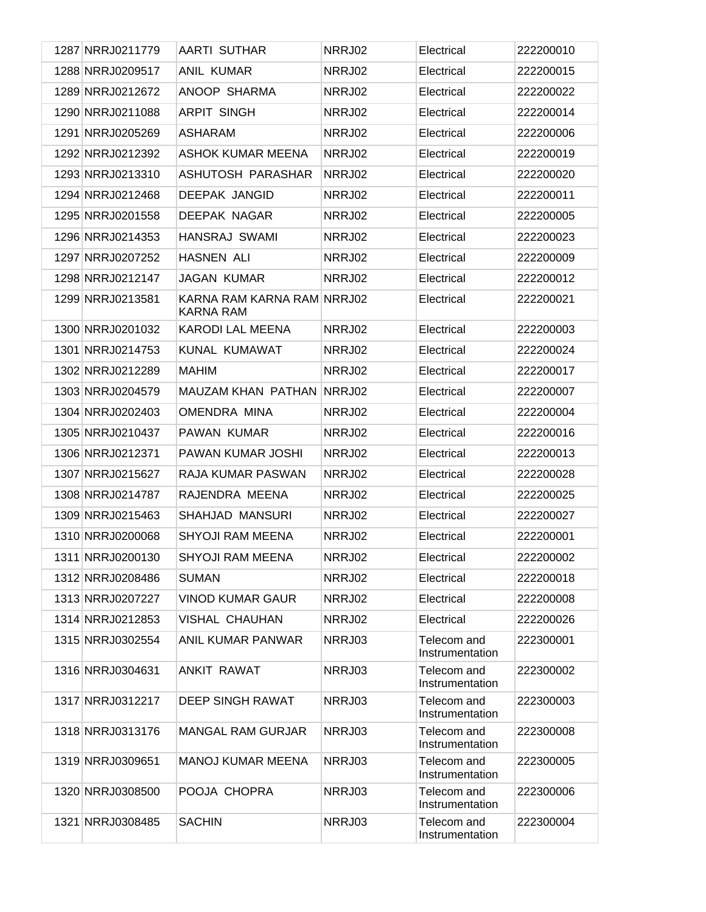| 1287 NRRJ0211779 | <b>AARTI SUTHAR</b>                            | NRRJ02 | Electrical                     | 222200010 |
|------------------|------------------------------------------------|--------|--------------------------------|-----------|
| 1288 NRRJ0209517 | <b>ANIL KUMAR</b>                              | NRRJ02 | Electrical                     | 222200015 |
| 1289 NRRJ0212672 | ANOOP SHARMA                                   | NRRJ02 | Electrical                     | 222200022 |
| 1290 NRRJ0211088 | <b>ARPIT SINGH</b>                             | NRRJ02 | Electrical                     | 222200014 |
| 1291 NRRJ0205269 | <b>ASHARAM</b>                                 | NRRJ02 | Electrical                     | 222200006 |
| 1292 NRRJ0212392 | <b>ASHOK KUMAR MEENA</b>                       | NRRJ02 | Electrical                     | 222200019 |
| 1293 NRRJ0213310 | ASHUTOSH PARASHAR                              | NRRJ02 | Electrical                     | 222200020 |
| 1294 NRRJ0212468 | <b>DEEPAK JANGID</b>                           | NRRJ02 | Electrical                     | 222200011 |
| 1295 NRRJ0201558 | <b>DEEPAK NAGAR</b>                            | NRRJ02 | Electrical                     | 222200005 |
| 1296 NRRJ0214353 | HANSRAJ SWAMI                                  | NRRJ02 | Electrical                     | 222200023 |
| 1297 NRRJ0207252 | <b>HASNEN ALI</b>                              | NRRJ02 | Electrical                     | 222200009 |
| 1298 NRRJ0212147 | <b>JAGAN KUMAR</b>                             | NRRJ02 | Electrical                     | 222200012 |
| 1299 NRRJ0213581 | KARNA RAM KARNA RAM NRRJ02<br><b>KARNA RAM</b> |        | Electrical                     | 222200021 |
| 1300 NRRJ0201032 | <b>KARODI LAL MEENA</b>                        | NRRJ02 | Electrical                     | 222200003 |
| 1301 NRRJ0214753 | KUNAL KUMAWAT                                  | NRRJ02 | Electrical                     | 222200024 |
| 1302 NRRJ0212289 | <b>MAHIM</b>                                   | NRRJ02 | Electrical                     | 222200017 |
| 1303 NRRJ0204579 | MAUZAM KHAN PATHAN                             | NRRJ02 | Electrical                     | 222200007 |
| 1304 NRRJ0202403 | OMENDRA MINA                                   | NRRJ02 | Electrical                     | 222200004 |
| 1305 NRRJ0210437 | PAWAN KUMAR                                    | NRRJ02 | Electrical                     | 222200016 |
| 1306 NRRJ0212371 | PAWAN KUMAR JOSHI                              | NRRJ02 | Electrical                     | 222200013 |
| 1307 NRRJ0215627 | RAJA KUMAR PASWAN                              | NRRJ02 | Electrical                     | 222200028 |
| 1308 NRRJ0214787 | RAJENDRA MEENA                                 | NRRJ02 | Electrical                     | 222200025 |
| 1309 NRRJ0215463 | SHAHJAD MANSURI                                | NRRJ02 | Electrical                     | 222200027 |
| 1310 NRRJ0200068 | <b>SHYOJI RAM MEENA</b>                        | NRRJ02 | Electrical                     | 222200001 |
| 1311 NRRJ0200130 | SHYOJI RAM MEENA                               | NRRJ02 | Electrical                     | 222200002 |
| 1312 NRRJ0208486 | <b>SUMAN</b>                                   | NRRJ02 | Electrical                     | 222200018 |
| 1313 NRRJ0207227 | <b>VINOD KUMAR GAUR</b>                        | NRRJ02 | Electrical                     | 222200008 |
| 1314 NRRJ0212853 | <b>VISHAL CHAUHAN</b>                          | NRRJ02 | Electrical                     | 222200026 |
| 1315 NRRJ0302554 | ANIL KUMAR PANWAR                              | NRRJ03 | Telecom and<br>Instrumentation | 222300001 |
| 1316 NRRJ0304631 | <b>ANKIT RAWAT</b>                             | NRRJ03 | Telecom and<br>Instrumentation | 222300002 |
| 1317 NRRJ0312217 | <b>DEEP SINGH RAWAT</b>                        | NRRJ03 | Telecom and<br>Instrumentation | 222300003 |
| 1318 NRRJ0313176 | <b>MANGAL RAM GURJAR</b>                       | NRRJ03 | Telecom and<br>Instrumentation | 222300008 |
| 1319 NRRJ0309651 | <b>MANOJ KUMAR MEENA</b>                       | NRRJ03 | Telecom and<br>Instrumentation | 222300005 |
| 1320 NRRJ0308500 | POOJA CHOPRA                                   | NRRJ03 | Telecom and<br>Instrumentation | 222300006 |
| 1321 NRRJ0308485 | <b>SACHIN</b>                                  | NRRJ03 | Telecom and<br>Instrumentation | 222300004 |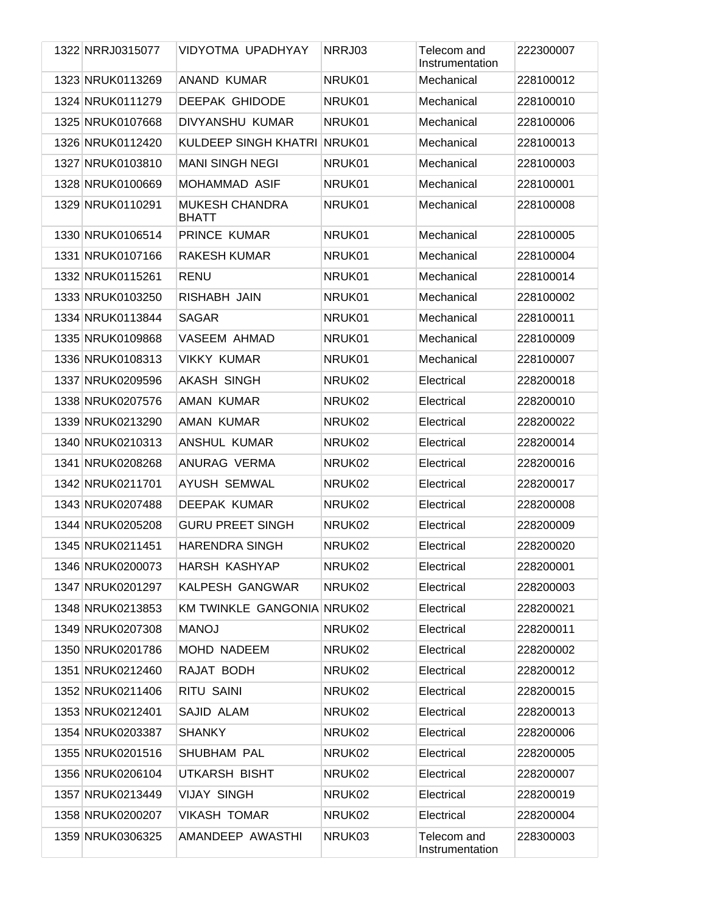| 1322 NRRJ0315077 | VIDYOTMA UPADHYAY                     | NRRJ03 | Telecom and<br>Instrumentation | 222300007 |
|------------------|---------------------------------------|--------|--------------------------------|-----------|
| 1323 NRUK0113269 | ANAND KUMAR                           | NRUK01 | Mechanical                     | 228100012 |
| 1324 NRUK0111279 | <b>DEEPAK GHIDODE</b>                 | NRUK01 | Mechanical                     | 228100010 |
| 1325 NRUK0107668 | DIVYANSHU KUMAR                       | NRUK01 | Mechanical                     | 228100006 |
| 1326 NRUK0112420 | KULDEEP SINGH KHATRI NRUK01           |        | Mechanical                     | 228100013 |
| 1327 NRUK0103810 | <b>MANI SINGH NEGI</b>                | NRUK01 | Mechanical                     | 228100003 |
| 1328 NRUK0100669 | MOHAMMAD ASIF                         | NRUK01 | Mechanical                     | 228100001 |
| 1329 NRUK0110291 | <b>MUKESH CHANDRA</b><br><b>BHATT</b> | NRUK01 | Mechanical                     | 228100008 |
| 1330 NRUK0106514 | PRINCE KUMAR                          | NRUK01 | Mechanical                     | 228100005 |
| 1331 NRUK0107166 | RAKESH KUMAR                          | NRUK01 | Mechanical                     | 228100004 |
| 1332 NRUK0115261 | <b>RENU</b>                           | NRUK01 | Mechanical                     | 228100014 |
| 1333 NRUK0103250 | RISHABH JAIN                          | NRUK01 | Mechanical                     | 228100002 |
| 1334 NRUK0113844 | <b>SAGAR</b>                          | NRUK01 | Mechanical                     | 228100011 |
| 1335 NRUK0109868 | <b>VASEEM AHMAD</b>                   | NRUK01 | Mechanical                     | 228100009 |
| 1336 NRUK0108313 | <b>VIKKY KUMAR</b>                    | NRUK01 | Mechanical                     | 228100007 |
| 1337 NRUK0209596 | AKASH SINGH                           | NRUK02 | Electrical                     | 228200018 |
| 1338 NRUK0207576 | AMAN KUMAR                            | NRUK02 | Electrical                     | 228200010 |
| 1339 NRUK0213290 | AMAN KUMAR                            | NRUK02 | Electrical                     | 228200022 |
| 1340 NRUK0210313 | ANSHUL KUMAR                          | NRUK02 | Electrical                     | 228200014 |
| 1341 NRUK0208268 | ANURAG VERMA                          | NRUK02 | Electrical                     | 228200016 |
| 1342 NRUK0211701 | AYUSH SEMWAL                          | NRUK02 | Electrical                     | 228200017 |
| 1343 NRUK0207488 | DEEPAK KUMAR                          | NRUK02 | Electrical                     | 228200008 |
| 1344 NRUK0205208 | <b>GURU PREET SINGH</b>               | NRUK02 | Electrical                     | 228200009 |
| 1345 NRUK0211451 | <b>HARENDRA SINGH</b>                 | NRUK02 | Electrical                     | 228200020 |
| 1346 NRUK0200073 | <b>HARSH KASHYAP</b>                  | NRUK02 | Electrical                     | 228200001 |
| 1347 NRUK0201297 | KALPESH GANGWAR                       | NRUK02 | Electrical                     | 228200003 |
| 1348 NRUK0213853 | KM TWINKLE GANGONIA NRUK02            |        | Electrical                     | 228200021 |
| 1349 NRUK0207308 | <b>MANOJ</b>                          | NRUK02 | Electrical                     | 228200011 |
| 1350 NRUK0201786 | MOHD NADEEM                           | NRUK02 | Electrical                     | 228200002 |
| 1351 NRUK0212460 | RAJAT BODH                            | NRUK02 | Electrical                     | 228200012 |
| 1352 NRUK0211406 | <b>RITU SAINI</b>                     | NRUK02 | Electrical                     | 228200015 |
| 1353 NRUK0212401 | SAJID ALAM                            | NRUK02 | Electrical                     | 228200013 |
| 1354 NRUK0203387 | <b>SHANKY</b>                         | NRUK02 | Electrical                     | 228200006 |
| 1355 NRUK0201516 | SHUBHAM PAL                           | NRUK02 | Electrical                     | 228200005 |
| 1356 NRUK0206104 | <b>UTKARSH BISHT</b>                  | NRUK02 | Electrical                     | 228200007 |
| 1357 NRUK0213449 | <b>VIJAY SINGH</b>                    | NRUK02 | Electrical                     | 228200019 |
| 1358 NRUK0200207 | <b>VIKASH TOMAR</b>                   | NRUK02 | Electrical                     | 228200004 |
| 1359 NRUK0306325 | AMANDEEP AWASTHI                      | NRUK03 | Telecom and<br>Instrumentation | 228300003 |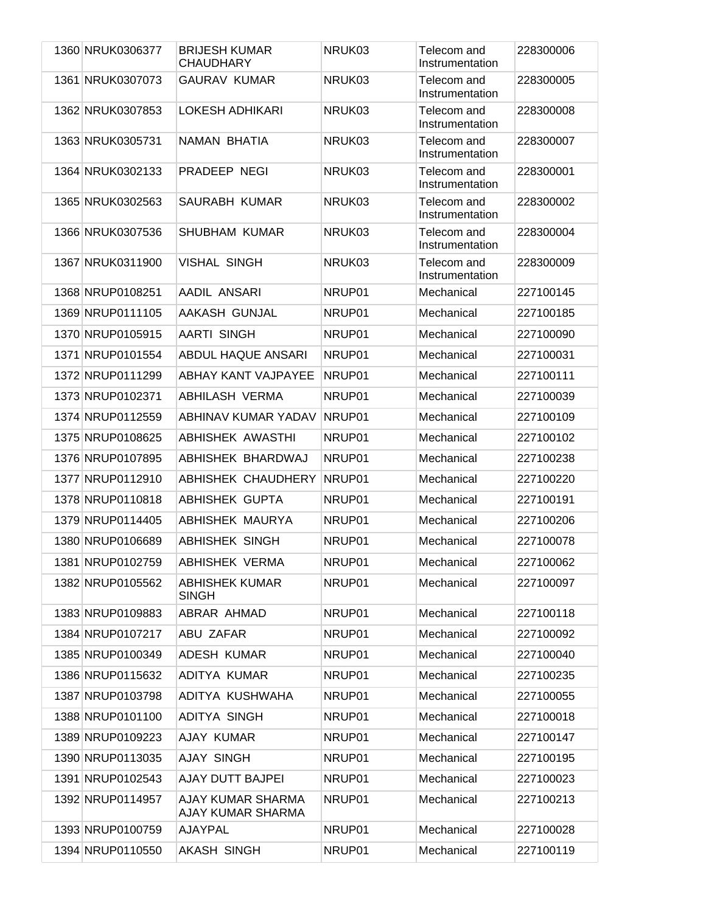| 1360 NRUK0306377 | <b>BRIJESH KUMAR</b><br><b>CHAUDHARY</b>      | NRUK03 | Telecom and<br>Instrumentation | 228300006 |
|------------------|-----------------------------------------------|--------|--------------------------------|-----------|
| 1361 NRUK0307073 | <b>GAURAV KUMAR</b>                           | NRUK03 | Telecom and<br>Instrumentation | 228300005 |
| 1362 NRUK0307853 | <b>LOKESH ADHIKARI</b>                        | NRUK03 | Telecom and<br>Instrumentation | 228300008 |
| 1363 NRUK0305731 | NAMAN BHATIA                                  | NRUK03 | Telecom and<br>Instrumentation | 228300007 |
| 1364 NRUK0302133 | PRADEEP NEGI                                  | NRUK03 | Telecom and<br>Instrumentation | 228300001 |
| 1365 NRUK0302563 | SAURABH KUMAR                                 | NRUK03 | Telecom and<br>Instrumentation | 228300002 |
| 1366 NRUK0307536 | <b>SHUBHAM KUMAR</b>                          | NRUK03 | Telecom and<br>Instrumentation | 228300004 |
| 1367 NRUK0311900 | <b>VISHAL SINGH</b>                           | NRUK03 | Telecom and<br>Instrumentation | 228300009 |
| 1368 NRUP0108251 | AADIL ANSARI                                  | NRUP01 | Mechanical                     | 227100145 |
| 1369 NRUP0111105 | AAKASH GUNJAL                                 | NRUP01 | Mechanical                     | 227100185 |
| 1370 NRUP0105915 | <b>AARTI SINGH</b>                            | NRUP01 | Mechanical                     | 227100090 |
| 1371 NRUP0101554 | <b>ABDUL HAQUE ANSARI</b>                     | NRUP01 | Mechanical                     | 227100031 |
| 1372 NRUP0111299 | <b>ABHAY KANT VAJPAYEE</b>                    | NRUP01 | Mechanical                     | 227100111 |
| 1373 NRUP0102371 | ABHILASH VERMA                                | NRUP01 | Mechanical                     | 227100039 |
| 1374 NRUP0112559 | ABHINAV KUMAR YADAV                           | NRUP01 | Mechanical                     | 227100109 |
| 1375 NRUP0108625 | <b>ABHISHEK AWASTHI</b>                       | NRUP01 | Mechanical                     | 227100102 |
| 1376 NRUP0107895 | ABHISHEK BHARDWAJ                             | NRUP01 | Mechanical                     | 227100238 |
| 1377 NRUP0112910 | ABHISHEK CHAUDHERY                            | NRUP01 | Mechanical                     | 227100220 |
| 1378 NRUP0110818 | ABHISHEK GUPTA                                | NRUP01 | Mechanical                     | 227100191 |
| 1379 NRUP0114405 | ABHISHEK MAURYA                               | NRUP01 | Mechanical                     | 227100206 |
| 1380 NRUP0106689 | <b>ABHISHEK SINGH</b>                         | NRUP01 | Mechanical                     | 227100078 |
| 1381 NRUP0102759 | <b>ABHISHEK VERMA</b>                         | NRUP01 | Mechanical                     | 227100062 |
| 1382 NRUP0105562 | <b>ABHISHEK KUMAR</b><br><b>SINGH</b>         | NRUP01 | Mechanical                     | 227100097 |
| 1383 NRUP0109883 | ABRAR AHMAD                                   | NRUP01 | Mechanical                     | 227100118 |
| 1384 NRUP0107217 | ABU ZAFAR                                     | NRUP01 | Mechanical                     | 227100092 |
| 1385 NRUP0100349 | <b>ADESH KUMAR</b>                            | NRUP01 | Mechanical                     | 227100040 |
| 1386 NRUP0115632 | ADITYA KUMAR                                  | NRUP01 | Mechanical                     | 227100235 |
| 1387 NRUP0103798 | ADITYA KUSHWAHA                               | NRUP01 | Mechanical                     | 227100055 |
| 1388 NRUP0101100 | <b>ADITYA SINGH</b>                           | NRUP01 | Mechanical                     | 227100018 |
| 1389 NRUP0109223 | AJAY KUMAR                                    | NRUP01 | Mechanical                     | 227100147 |
| 1390 NRUP0113035 | <b>AJAY SINGH</b>                             | NRUP01 | Mechanical                     | 227100195 |
| 1391 NRUP0102543 | AJAY DUTT BAJPEI                              | NRUP01 | Mechanical                     | 227100023 |
| 1392 NRUP0114957 | AJAY KUMAR SHARMA<br><b>AJAY KUMAR SHARMA</b> | NRUP01 | Mechanical                     | 227100213 |
| 1393 NRUP0100759 | <b>AJAYPAL</b>                                | NRUP01 | Mechanical                     | 227100028 |
| 1394 NRUP0110550 | <b>AKASH SINGH</b>                            | NRUP01 | Mechanical                     | 227100119 |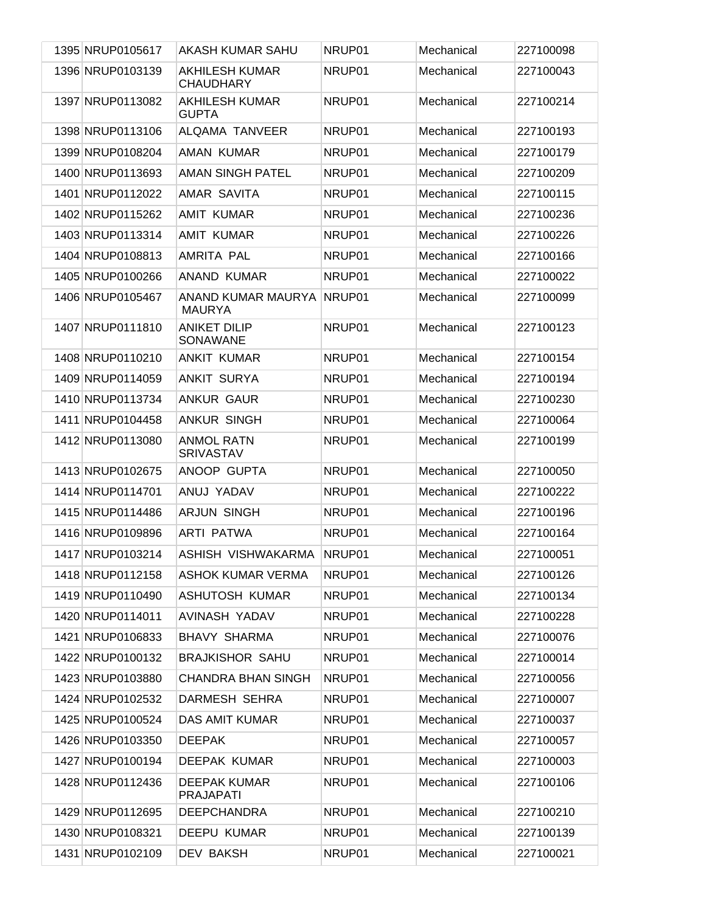| 1395 NRUP0105617 | AKASH KUMAR SAHU                          | NRUP01 | Mechanical | 227100098 |
|------------------|-------------------------------------------|--------|------------|-----------|
| 1396 NRUP0103139 | <b>AKHILESH KUMAR</b><br><b>CHAUDHARY</b> | NRUP01 | Mechanical | 227100043 |
| 1397 NRUP0113082 | <b>AKHILESH KUMAR</b><br><b>GUPTA</b>     | NRUP01 | Mechanical | 227100214 |
| 1398 NRUP0113106 | ALQAMA TANVEER                            | NRUP01 | Mechanical | 227100193 |
| 1399 NRUP0108204 | AMAN KUMAR                                | NRUP01 | Mechanical | 227100179 |
| 1400 NRUP0113693 | <b>AMAN SINGH PATEL</b>                   | NRUP01 | Mechanical | 227100209 |
| 1401 NRUP0112022 | AMAR SAVITA                               | NRUP01 | Mechanical | 227100115 |
| 1402 NRUP0115262 | AMIT KUMAR                                | NRUP01 | Mechanical | 227100236 |
| 1403 NRUP0113314 | AMIT KUMAR                                | NRUP01 | Mechanical | 227100226 |
| 1404 NRUP0108813 | AMRITA PAL                                | NRUP01 | Mechanical | 227100166 |
| 1405 NRUP0100266 | ANAND KUMAR                               | NRUP01 | Mechanical | 227100022 |
| 1406 NRUP0105467 | ANAND KUMAR MAURYA<br><b>MAURYA</b>       | NRUP01 | Mechanical | 227100099 |
| 1407 NRUP0111810 | <b>ANIKET DILIP</b><br><b>SONAWANE</b>    | NRUP01 | Mechanical | 227100123 |
| 1408 NRUP0110210 | <b>ANKIT KUMAR</b>                        | NRUP01 | Mechanical | 227100154 |
| 1409 NRUP0114059 | <b>ANKIT SURYA</b>                        | NRUP01 | Mechanical | 227100194 |
| 1410 NRUP0113734 | <b>ANKUR GAUR</b>                         | NRUP01 | Mechanical | 227100230 |
| 1411 NRUP0104458 | <b>ANKUR SINGH</b>                        | NRUP01 | Mechanical | 227100064 |
| 1412 NRUP0113080 | <b>ANMOL RATN</b><br><b>SRIVASTAV</b>     | NRUP01 | Mechanical | 227100199 |
| 1413 NRUP0102675 | ANOOP GUPTA                               | NRUP01 | Mechanical | 227100050 |
| 1414 NRUP0114701 | ANUJ YADAV                                | NRUP01 | Mechanical | 227100222 |
| 1415 NRUP0114486 | <b>ARJUN SINGH</b>                        | NRUP01 | Mechanical | 227100196 |
| 1416 NRUP0109896 | ARTI PATWA                                | NRUP01 | Mechanical | 227100164 |
| 1417 NRUP0103214 | ASHISH VISHWAKARMA                        | NRUP01 | Mechanical | 227100051 |
| 1418 NRUP0112158 | ASHOK KUMAR VERMA                         | NRUP01 | Mechanical | 227100126 |
| 1419 NRUP0110490 | ASHUTOSH KUMAR                            | NRUP01 | Mechanical | 227100134 |
| 1420 NRUP0114011 | AVINASH YADAV                             | NRUP01 | Mechanical | 227100228 |
| 1421 NRUP0106833 | <b>BHAVY SHARMA</b>                       | NRUP01 | Mechanical | 227100076 |
| 1422 NRUP0100132 | <b>BRAJKISHOR SAHU</b>                    | NRUP01 | Mechanical | 227100014 |
| 1423 NRUP0103880 | <b>CHANDRA BHAN SINGH</b>                 | NRUP01 | Mechanical | 227100056 |
| 1424 NRUP0102532 | DARMESH SEHRA                             | NRUP01 | Mechanical | 227100007 |
| 1425 NRUP0100524 | DAS AMIT KUMAR                            | NRUP01 | Mechanical | 227100037 |
| 1426 NRUP0103350 | <b>DEEPAK</b>                             | NRUP01 | Mechanical | 227100057 |
| 1427 NRUP0100194 | DEEPAK KUMAR                              | NRUP01 | Mechanical | 227100003 |
| 1428 NRUP0112436 | <b>DEEPAK KUMAR</b><br><b>PRAJAPATI</b>   | NRUP01 | Mechanical | 227100106 |
| 1429 NRUP0112695 | <b>DEEPCHANDRA</b>                        | NRUP01 | Mechanical | 227100210 |
| 1430 NRUP0108321 | DEEPU KUMAR                               | NRUP01 | Mechanical | 227100139 |
| 1431 NRUP0102109 | <b>DEV BAKSH</b>                          | NRUP01 | Mechanical | 227100021 |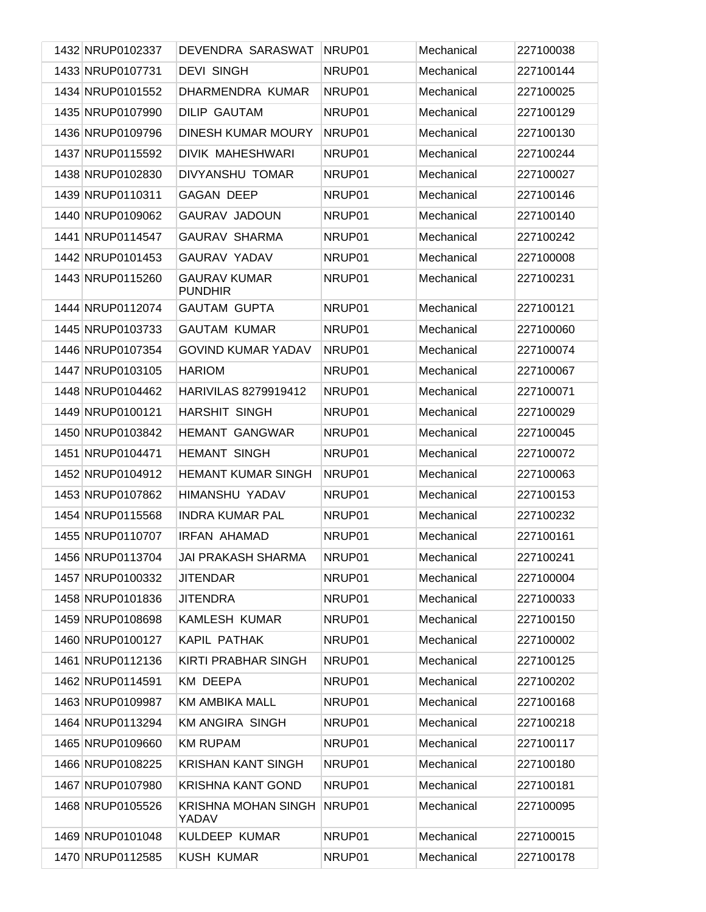| 1432 NRUP0102337 | DEVENDRA SARASWAT                     | NRUP01 | Mechanical | 227100038 |
|------------------|---------------------------------------|--------|------------|-----------|
| 1433 NRUP0107731 | <b>DEVI SINGH</b>                     | NRUP01 | Mechanical | 227100144 |
| 1434 NRUP0101552 | DHARMENDRA KUMAR                      | NRUP01 | Mechanical | 227100025 |
| 1435 NRUP0107990 | <b>DILIP GAUTAM</b>                   | NRUP01 | Mechanical | 227100129 |
| 1436 NRUP0109796 | DINESH KUMAR MOURY                    | NRUP01 | Mechanical | 227100130 |
| 1437 NRUP0115592 | <b>DIVIK MAHESHWARI</b>               | NRUP01 | Mechanical | 227100244 |
| 1438 NRUP0102830 | DIVYANSHU TOMAR                       | NRUP01 | Mechanical | 227100027 |
| 1439 NRUP0110311 | <b>GAGAN DEEP</b>                     | NRUP01 | Mechanical | 227100146 |
| 1440 NRUP0109062 | <b>GAURAV JADOUN</b>                  | NRUP01 | Mechanical | 227100140 |
| 1441 NRUP0114547 | <b>GAURAV SHARMA</b>                  | NRUP01 | Mechanical | 227100242 |
| 1442 NRUP0101453 | <b>GAURAV YADAV</b>                   | NRUP01 | Mechanical | 227100008 |
| 1443 NRUP0115260 | <b>GAURAV KUMAR</b><br><b>PUNDHIR</b> | NRUP01 | Mechanical | 227100231 |
| 1444 NRUP0112074 | <b>GAUTAM GUPTA</b>                   | NRUP01 | Mechanical | 227100121 |
| 1445 NRUP0103733 | <b>GAUTAM KUMAR</b>                   | NRUP01 | Mechanical | 227100060 |
| 1446 NRUP0107354 | <b>GOVIND KUMAR YADAV</b>             | NRUP01 | Mechanical | 227100074 |
| 1447 NRUP0103105 | <b>HARIOM</b>                         | NRUP01 | Mechanical | 227100067 |
| 1448 NRUP0104462 | HARIVILAS 8279919412                  | NRUP01 | Mechanical | 227100071 |
| 1449 NRUP0100121 | <b>HARSHIT SINGH</b>                  | NRUP01 | Mechanical | 227100029 |
| 1450 NRUP0103842 | <b>HEMANT GANGWAR</b>                 | NRUP01 | Mechanical | 227100045 |
| 1451 NRUP0104471 | <b>HEMANT SINGH</b>                   | NRUP01 | Mechanical | 227100072 |
| 1452 NRUP0104912 | <b>HEMANT KUMAR SINGH</b>             | NRUP01 | Mechanical | 227100063 |
| 1453 NRUP0107862 | HIMANSHU YADAV                        | NRUP01 | Mechanical | 227100153 |
| 1454 NRUP0115568 | <b>INDRA KUMAR PAL</b>                | NRUP01 | Mechanical | 227100232 |
| 1455 NRUP0110707 | <b>IRFAN AHAMAD</b>                   | NRUP01 | Mechanical | 227100161 |
| 1456 NRUP0113704 | JAI PRAKASH SHARMA                    | NRUP01 | Mechanical | 227100241 |
| 1457 NRUP0100332 | <b>JITENDAR</b>                       | NRUP01 | Mechanical | 227100004 |
| 1458 NRUP0101836 | JITENDRA                              | NRUP01 | Mechanical | 227100033 |
| 1459 NRUP0108698 | <b>KAMLESH KUMAR</b>                  | NRUP01 | Mechanical | 227100150 |
| 1460 NRUP0100127 | KAPIL PATHAK                          | NRUP01 | Mechanical | 227100002 |
| 1461 NRUP0112136 | KIRTI PRABHAR SINGH                   | NRUP01 | Mechanical | 227100125 |
| 1462 NRUP0114591 | KM DEEPA                              | NRUP01 | Mechanical | 227100202 |
| 1463 NRUP0109987 | <b>KM AMBIKA MALL</b>                 | NRUP01 | Mechanical | 227100168 |
| 1464 NRUP0113294 | <b>KM ANGIRA SINGH</b>                | NRUP01 | Mechanical | 227100218 |
| 1465 NRUP0109660 | <b>KM RUPAM</b>                       | NRUP01 | Mechanical | 227100117 |
| 1466 NRUP0108225 | <b>KRISHAN KANT SINGH</b>             | NRUP01 | Mechanical | 227100180 |
| 1467 NRUP0107980 | <b>KRISHNA KANT GOND</b>              | NRUP01 | Mechanical | 227100181 |
| 1468 NRUP0105526 | <b>KRISHNA MOHAN SINGH</b><br>YADAV   | NRUP01 | Mechanical | 227100095 |
| 1469 NRUP0101048 | KULDEEP KUMAR                         | NRUP01 | Mechanical | 227100015 |
| 1470 NRUP0112585 | KUSH KUMAR                            | NRUP01 | Mechanical | 227100178 |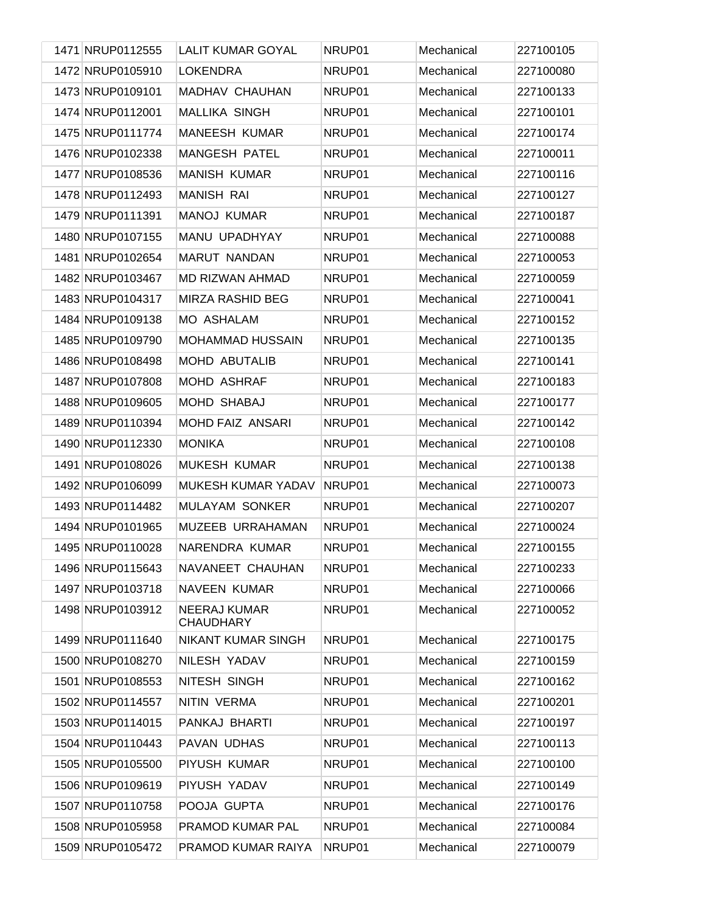| 1471 NRUP0112555 | <b>LALIT KUMAR GOYAL</b>                | NRUP01 | Mechanical | 227100105 |
|------------------|-----------------------------------------|--------|------------|-----------|
| 1472 NRUP0105910 | <b>LOKENDRA</b>                         | NRUP01 | Mechanical | 227100080 |
| 1473 NRUP0109101 | MADHAV CHAUHAN                          | NRUP01 | Mechanical | 227100133 |
| 1474 NRUP0112001 | MALLIKA SINGH                           | NRUP01 | Mechanical | 227100101 |
| 1475 NRUP0111774 | <b>MANEESH KUMAR</b>                    | NRUP01 | Mechanical | 227100174 |
| 1476 NRUP0102338 | <b>MANGESH PATEL</b>                    | NRUP01 | Mechanical | 227100011 |
| 1477 NRUP0108536 | <b>MANISH KUMAR</b>                     | NRUP01 | Mechanical | 227100116 |
| 1478 NRUP0112493 | <b>MANISH RAI</b>                       | NRUP01 | Mechanical | 227100127 |
| 1479 NRUP0111391 | <b>MANOJ KUMAR</b>                      | NRUP01 | Mechanical | 227100187 |
| 1480 NRUP0107155 | MANU UPADHYAY                           | NRUP01 | Mechanical | 227100088 |
| 1481 NRUP0102654 | MARUT NANDAN                            | NRUP01 | Mechanical | 227100053 |
| 1482 NRUP0103467 | MD RIZWAN AHMAD                         | NRUP01 | Mechanical | 227100059 |
| 1483 NRUP0104317 | MIRZA RASHID BEG                        | NRUP01 | Mechanical | 227100041 |
| 1484 NRUP0109138 | <b>MO ASHALAM</b>                       | NRUP01 | Mechanical | 227100152 |
| 1485 NRUP0109790 | <b>MOHAMMAD HUSSAIN</b>                 | NRUP01 | Mechanical | 227100135 |
| 1486 NRUP0108498 | <b>MOHD ABUTALIB</b>                    | NRUP01 | Mechanical | 227100141 |
| 1487 NRUP0107808 | MOHD ASHRAF                             | NRUP01 | Mechanical | 227100183 |
| 1488 NRUP0109605 | <b>MOHD SHABAJ</b>                      | NRUP01 | Mechanical | 227100177 |
| 1489 NRUP0110394 | MOHD FAIZ ANSARI                        | NRUP01 | Mechanical | 227100142 |
| 1490 NRUP0112330 | <b>MONIKA</b>                           | NRUP01 | Mechanical | 227100108 |
| 1491 NRUP0108026 | <b>MUKESH KUMAR</b>                     | NRUP01 | Mechanical | 227100138 |
| 1492 NRUP0106099 | MUKESH KUMAR YADAV                      | NRUP01 | Mechanical | 227100073 |
| 1493 NRUP0114482 | MULAYAM SONKER                          | NRUP01 | Mechanical | 227100207 |
| 1494 NRUP0101965 | MUZEEB URRAHAMAN                        | NRUP01 | Mechanical | 227100024 |
| 1495 NRUP0110028 | NARENDRA KUMAR                          | NRUP01 | Mechanical | 227100155 |
| 1496 NRUP0115643 | NAVANEET CHAUHAN                        | NRUP01 | Mechanical | 227100233 |
| 1497 NRUP0103718 | NAVEEN KUMAR                            | NRUP01 | Mechanical | 227100066 |
| 1498 NRUP0103912 | <b>NEERAJ KUMAR</b><br><b>CHAUDHARY</b> | NRUP01 | Mechanical | 227100052 |
| 1499 NRUP0111640 | <b>NIKANT KUMAR SINGH</b>               | NRUP01 | Mechanical | 227100175 |
| 1500 NRUP0108270 | NILESH YADAV                            | NRUP01 | Mechanical | 227100159 |
| 1501 NRUP0108553 | NITESH SINGH                            | NRUP01 | Mechanical | 227100162 |
| 1502 NRUP0114557 | NITIN VERMA                             | NRUP01 | Mechanical | 227100201 |
| 1503 NRUP0114015 | PANKAJ BHARTI                           | NRUP01 | Mechanical | 227100197 |
| 1504 NRUP0110443 | PAVAN UDHAS                             | NRUP01 | Mechanical | 227100113 |
| 1505 NRUP0105500 | PIYUSH KUMAR                            | NRUP01 | Mechanical | 227100100 |
| 1506 NRUP0109619 | PIYUSH YADAV                            | NRUP01 | Mechanical | 227100149 |
| 1507 NRUP0110758 | POOJA GUPTA                             | NRUP01 | Mechanical | 227100176 |
| 1508 NRUP0105958 | PRAMOD KUMAR PAL                        | NRUP01 | Mechanical | 227100084 |
| 1509 NRUP0105472 | PRAMOD KUMAR RAIYA                      | NRUP01 | Mechanical | 227100079 |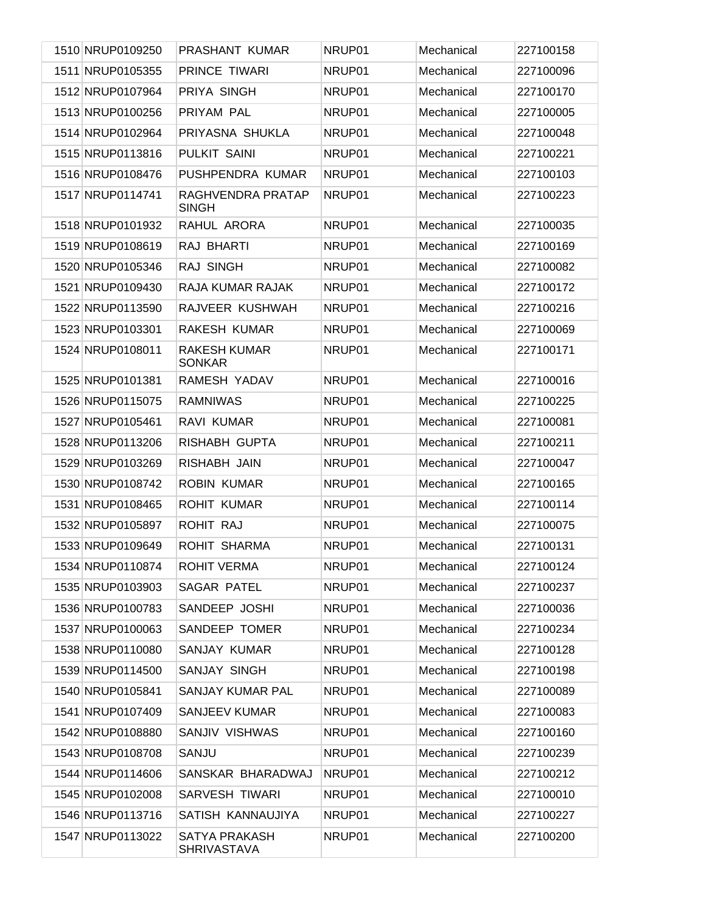| 1510 NRUP0109250 | PRASHANT KUMAR                       | NRUP01 | Mechanical | 227100158 |
|------------------|--------------------------------------|--------|------------|-----------|
| 1511 NRUP0105355 | <b>PRINCE TIWARI</b>                 | NRUP01 | Mechanical | 227100096 |
| 1512 NRUP0107964 | PRIYA SINGH                          | NRUP01 | Mechanical | 227100170 |
| 1513 NRUP0100256 | PRIYAM PAL                           | NRUP01 | Mechanical | 227100005 |
| 1514 NRUP0102964 | PRIYASNA SHUKLA                      | NRUP01 | Mechanical | 227100048 |
| 1515 NRUP0113816 | PULKIT SAINI                         | NRUP01 | Mechanical | 227100221 |
| 1516 NRUP0108476 | PUSHPENDRA KUMAR                     | NRUP01 | Mechanical | 227100103 |
| 1517 NRUP0114741 | RAGHVENDRA PRATAP<br><b>SINGH</b>    | NRUP01 | Mechanical | 227100223 |
| 1518 NRUP0101932 | RAHUL ARORA                          | NRUP01 | Mechanical | 227100035 |
| 1519 NRUP0108619 | RAJ BHARTI                           | NRUP01 | Mechanical | 227100169 |
| 1520 NRUP0105346 | RAJ SINGH                            | NRUP01 | Mechanical | 227100082 |
| 1521 NRUP0109430 | RAJA KUMAR RAJAK                     | NRUP01 | Mechanical | 227100172 |
| 1522 NRUP0113590 | RAJVEER KUSHWAH                      | NRUP01 | Mechanical | 227100216 |
| 1523 NRUP0103301 | RAKESH KUMAR                         | NRUP01 | Mechanical | 227100069 |
| 1524 NRUP0108011 | <b>RAKESH KUMAR</b><br><b>SONKAR</b> | NRUP01 | Mechanical | 227100171 |
| 1525 NRUP0101381 | RAMESH YADAV                         | NRUP01 | Mechanical | 227100016 |
| 1526 NRUP0115075 | <b>RAMNIWAS</b>                      | NRUP01 | Mechanical | 227100225 |
| 1527 NRUP0105461 | RAVI KUMAR                           | NRUP01 | Mechanical | 227100081 |
| 1528 NRUP0113206 | RISHABH GUPTA                        | NRUP01 | Mechanical | 227100211 |
| 1529 NRUP0103269 | RISHABH JAIN                         | NRUP01 | Mechanical | 227100047 |
| 1530 NRUP0108742 | <b>ROBIN KUMAR</b>                   | NRUP01 | Mechanical | 227100165 |
| 1531 NRUP0108465 | <b>ROHIT KUMAR</b>                   | NRUP01 | Mechanical | 227100114 |
| 1532 NRUP0105897 | ROHIT RAJ                            | NRUP01 | Mechanical | 227100075 |
| 1533 NRUP0109649 | ROHIT SHARMA                         | NRUP01 | Mechanical | 227100131 |
| 1534 NRUP0110874 | <b>ROHIT VERMA</b>                   | NRUP01 | Mechanical | 227100124 |
| 1535 NRUP0103903 | <b>SAGAR PATEL</b>                   | NRUP01 | Mechanical | 227100237 |
| 1536 NRUP0100783 | SANDEEP JOSHI                        | NRUP01 | Mechanical | 227100036 |
| 1537 NRUP0100063 | <b>SANDEEP TOMER</b>                 | NRUP01 | Mechanical | 227100234 |
| 1538 NRUP0110080 | SANJAY KUMAR                         | NRUP01 | Mechanical | 227100128 |
| 1539 NRUP0114500 | SANJAY SINGH                         | NRUP01 | Mechanical | 227100198 |
| 1540 NRUP0105841 | <b>SANJAY KUMAR PAL</b>              | NRUP01 | Mechanical | 227100089 |
| 1541 NRUP0107409 | <b>SANJEEV KUMAR</b>                 | NRUP01 | Mechanical | 227100083 |
| 1542 NRUP0108880 | SANJIV VISHWAS                       | NRUP01 | Mechanical | 227100160 |
| 1543 NRUP0108708 | SANJU                                | NRUP01 | Mechanical | 227100239 |
| 1544 NRUP0114606 | SANSKAR BHARADWAJ                    | NRUP01 | Mechanical | 227100212 |
| 1545 NRUP0102008 | SARVESH TIWARI                       | NRUP01 | Mechanical | 227100010 |
| 1546 NRUP0113716 | SATISH KANNAUJIYA                    | NRUP01 | Mechanical | 227100227 |
| 1547 NRUP0113022 | SATYA PRAKASH<br><b>SHRIVASTAVA</b>  | NRUP01 | Mechanical | 227100200 |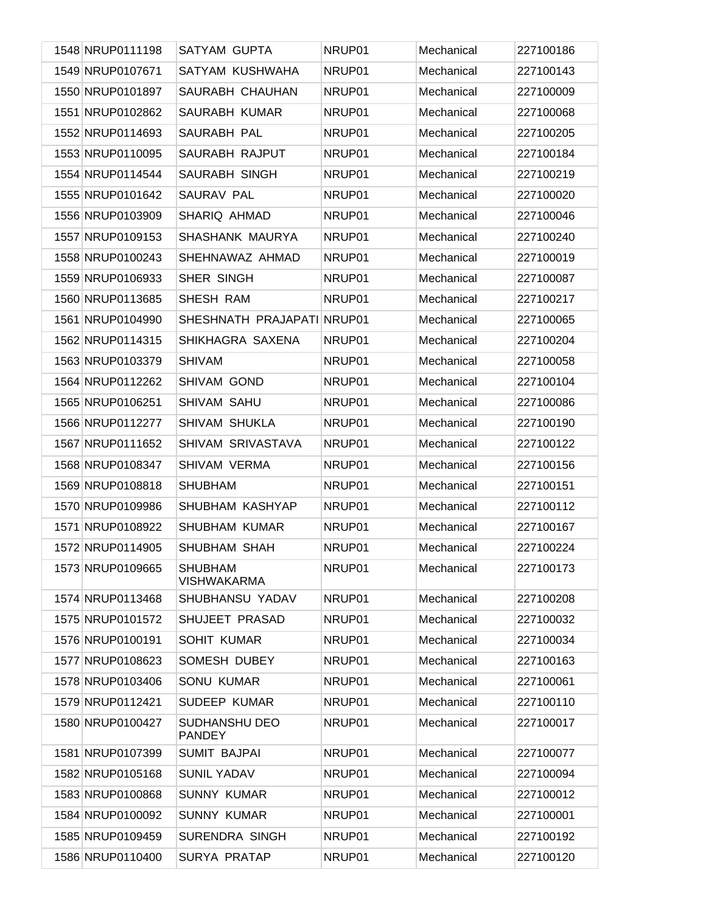| 1548 NRUP0111198 | <b>SATYAM GUPTA</b>                   | NRUP01 | Mechanical | 227100186 |
|------------------|---------------------------------------|--------|------------|-----------|
| 1549 NRUP0107671 | SATYAM KUSHWAHA                       | NRUP01 | Mechanical | 227100143 |
| 1550 NRUP0101897 | SAURABH CHAUHAN                       | NRUP01 | Mechanical | 227100009 |
| 1551 NRUP0102862 | SAURABH KUMAR                         | NRUP01 | Mechanical | 227100068 |
| 1552 NRUP0114693 | SAURABH PAL                           | NRUP01 | Mechanical | 227100205 |
| 1553 NRUP0110095 | SAURABH RAJPUT                        | NRUP01 | Mechanical | 227100184 |
| 1554 NRUP0114544 | <b>SAURABH SINGH</b>                  | NRUP01 | Mechanical | 227100219 |
| 1555 NRUP0101642 | SAURAV PAL                            | NRUP01 | Mechanical | 227100020 |
| 1556 NRUP0103909 | SHARIQ AHMAD                          | NRUP01 | Mechanical | 227100046 |
| 1557 NRUP0109153 | SHASHANK MAURYA                       | NRUP01 | Mechanical | 227100240 |
| 1558 NRUP0100243 | SHEHNAWAZ AHMAD                       | NRUP01 | Mechanical | 227100019 |
| 1559 NRUP0106933 | SHER SINGH                            | NRUP01 | Mechanical | 227100087 |
| 1560 NRUP0113685 | SHESH RAM                             | NRUP01 | Mechanical | 227100217 |
| 1561 NRUP0104990 | SHESHNATH PRAJAPATI NRUP01            |        | Mechanical | 227100065 |
| 1562 NRUP0114315 | SHIKHAGRA SAXENA                      | NRUP01 | Mechanical | 227100204 |
| 1563 NRUP0103379 | <b>SHIVAM</b>                         | NRUP01 | Mechanical | 227100058 |
| 1564 NRUP0112262 | SHIVAM GOND                           | NRUP01 | Mechanical | 227100104 |
| 1565 NRUP0106251 | SHIVAM SAHU                           | NRUP01 | Mechanical | 227100086 |
| 1566 NRUP0112277 | <b>SHIVAM SHUKLA</b>                  | NRUP01 | Mechanical | 227100190 |
| 1567 NRUP0111652 | SHIVAM SRIVASTAVA                     | NRUP01 | Mechanical | 227100122 |
| 1568 NRUP0108347 | SHIVAM VERMA                          | NRUP01 | Mechanical | 227100156 |
| 1569 NRUP0108818 | <b>SHUBHAM</b>                        | NRUP01 | Mechanical | 227100151 |
| 1570 NRUP0109986 | SHUBHAM KASHYAP                       | NRUP01 | Mechanical | 227100112 |
| 1571 NRUP0108922 | <b>SHUBHAM KUMAR</b>                  | NRUP01 | Mechanical | 227100167 |
| 1572 NRUP0114905 | SHUBHAM SHAH                          | NRUP01 | Mechanical | 227100224 |
| 1573 NRUP0109665 | <b>SHUBHAM</b><br><b>VISHWAKARMA</b>  | NRUP01 | Mechanical | 227100173 |
| 1574 NRUP0113468 | SHUBHANSU YADAV                       | NRUP01 | Mechanical | 227100208 |
| 1575 NRUP0101572 | SHUJEET PRASAD                        | NRUP01 | Mechanical | 227100032 |
| 1576 NRUP0100191 | <b>SOHIT KUMAR</b>                    | NRUP01 | Mechanical | 227100034 |
| 1577 NRUP0108623 | SOMESH DUBEY                          | NRUP01 | Mechanical | 227100163 |
| 1578 NRUP0103406 | <b>SONU KUMAR</b>                     | NRUP01 | Mechanical | 227100061 |
| 1579 NRUP0112421 | SUDEEP KUMAR                          | NRUP01 | Mechanical | 227100110 |
| 1580 NRUP0100427 | <b>SUDHANSHU DEO</b><br><b>PANDEY</b> | NRUP01 | Mechanical | 227100017 |
| 1581 NRUP0107399 | <b>SUMIT BAJPAI</b>                   | NRUP01 | Mechanical | 227100077 |
| 1582 NRUP0105168 | <b>SUNIL YADAV</b>                    | NRUP01 | Mechanical | 227100094 |
| 1583 NRUP0100868 | <b>SUNNY KUMAR</b>                    | NRUP01 | Mechanical | 227100012 |
| 1584 NRUP0100092 | <b>SUNNY KUMAR</b>                    | NRUP01 | Mechanical | 227100001 |
| 1585 NRUP0109459 | <b>SURENDRA SINGH</b>                 | NRUP01 | Mechanical | 227100192 |
| 1586 NRUP0110400 | <b>SURYA PRATAP</b>                   | NRUP01 | Mechanical | 227100120 |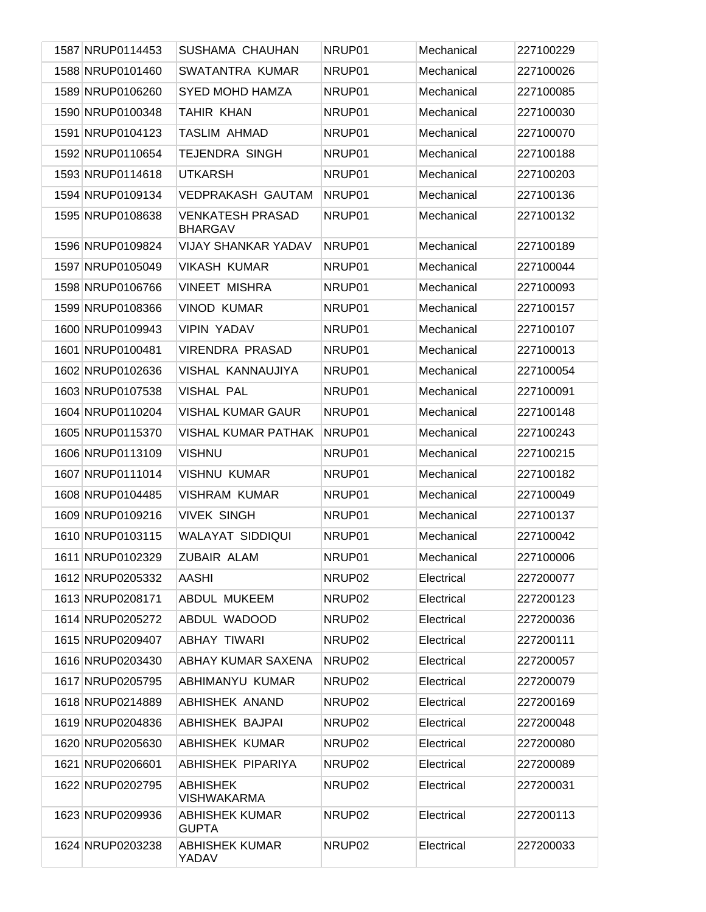| 1587 NRUP0114453 | SUSHAMA CHAUHAN                           | NRUP01             | Mechanical | 227100229 |
|------------------|-------------------------------------------|--------------------|------------|-----------|
| 1588 NRUP0101460 | SWATANTRA KUMAR                           | NRUP01             | Mechanical | 227100026 |
| 1589 NRUP0106260 | <b>SYED MOHD HAMZA</b>                    | NRUP01             | Mechanical | 227100085 |
| 1590 NRUP0100348 | <b>TAHIR KHAN</b>                         | NRUP01             | Mechanical | 227100030 |
| 1591 NRUP0104123 | <b>TASLIM AHMAD</b>                       | NRUP01             | Mechanical | 227100070 |
| 1592 NRUP0110654 | <b>TEJENDRA SINGH</b>                     | NRUP01             | Mechanical | 227100188 |
| 1593 NRUP0114618 | <b>UTKARSH</b>                            | NRUP01             | Mechanical | 227100203 |
| 1594 NRUP0109134 | <b>VEDPRAKASH GAUTAM</b>                  | NRUP01             | Mechanical | 227100136 |
| 1595 NRUP0108638 | <b>VENKATESH PRASAD</b><br><b>BHARGAV</b> | NRUP01             | Mechanical | 227100132 |
| 1596 NRUP0109824 | <b>VIJAY SHANKAR YADAV</b>                | NRUP01             | Mechanical | 227100189 |
| 1597 NRUP0105049 | <b>VIKASH KUMAR</b>                       | NRUP01             | Mechanical | 227100044 |
| 1598 NRUP0106766 | <b>VINEET MISHRA</b>                      | NRUP01             | Mechanical | 227100093 |
| 1599 NRUP0108366 | <b>VINOD KUMAR</b>                        | NRUP01             | Mechanical | 227100157 |
| 1600 NRUP0109943 | <b>VIPIN YADAV</b>                        | NRUP01             | Mechanical | 227100107 |
| 1601 NRUP0100481 | <b>VIRENDRA PRASAD</b>                    | NRUP01             | Mechanical | 227100013 |
| 1602 NRUP0102636 | VISHAL KANNAUJIYA                         | NRUP01             | Mechanical | 227100054 |
| 1603 NRUP0107538 | <b>VISHAL PAL</b>                         | NRUP01             | Mechanical | 227100091 |
| 1604 NRUP0110204 | <b>VISHAL KUMAR GAUR</b>                  | NRUP01             | Mechanical | 227100148 |
| 1605 NRUP0115370 | <b>VISHAL KUMAR PATHAK</b>                | NRUP01             | Mechanical | 227100243 |
| 1606 NRUP0113109 | <b>VISHNU</b>                             | NRUP01             | Mechanical | 227100215 |
| 1607 NRUP0111014 | <b>VISHNU KUMAR</b>                       | NRUP01             | Mechanical | 227100182 |
| 1608 NRUP0104485 | <b>VISHRAM KUMAR</b>                      | NRUP01             | Mechanical | 227100049 |
| 1609 NRUP0109216 | <b>VIVEK SINGH</b>                        | NRUP01             | Mechanical | 227100137 |
| 1610 NRUP0103115 | <b>WALAYAT SIDDIQUI</b>                   | NRUP01             | Mechanical | 227100042 |
| 1611 NRUP0102329 | ZUBAIR ALAM                               | NRUP01             | Mechanical | 227100006 |
| 1612 NRUP0205332 | <b>AASHI</b>                              | NRUP <sub>02</sub> | Electrical | 227200077 |
| 1613 NRUP0208171 | <b>ABDUL MUKEEM</b>                       | NRUP <sub>02</sub> | Electrical | 227200123 |
| 1614 NRUP0205272 | ABDUL WADOOD                              | NRUP <sub>02</sub> | Electrical | 227200036 |
| 1615 NRUP0209407 | <b>ABHAY TIWARI</b>                       | NRUP02             | Electrical | 227200111 |
| 1616 NRUP0203430 | ABHAY KUMAR SAXENA                        | NRUP <sub>02</sub> | Electrical | 227200057 |
| 1617 NRUP0205795 | ABHIMANYU KUMAR                           | NRUP <sub>02</sub> | Electrical | 227200079 |
| 1618 NRUP0214889 | ABHISHEK ANAND                            | NRUP <sub>02</sub> | Electrical | 227200169 |
| 1619 NRUP0204836 | <b>ABHISHEK BAJPAI</b>                    | NRUP <sub>02</sub> | Electrical | 227200048 |
| 1620 NRUP0205630 | <b>ABHISHEK KUMAR</b>                     | NRUP <sub>02</sub> | Electrical | 227200080 |
| 1621 NRUP0206601 | ABHISHEK PIPARIYA                         | NRUP <sub>02</sub> | Electrical | 227200089 |
| 1622 NRUP0202795 | ABHISHEK<br><b>VISHWAKARMA</b>            | NRUP <sub>02</sub> | Electrical | 227200031 |
| 1623 NRUP0209936 | <b>ABHISHEK KUMAR</b><br><b>GUPTA</b>     | NRUP <sub>02</sub> | Electrical | 227200113 |
| 1624 NRUP0203238 | <b>ABHISHEK KUMAR</b><br>YADAV            | NRUP <sub>02</sub> | Electrical | 227200033 |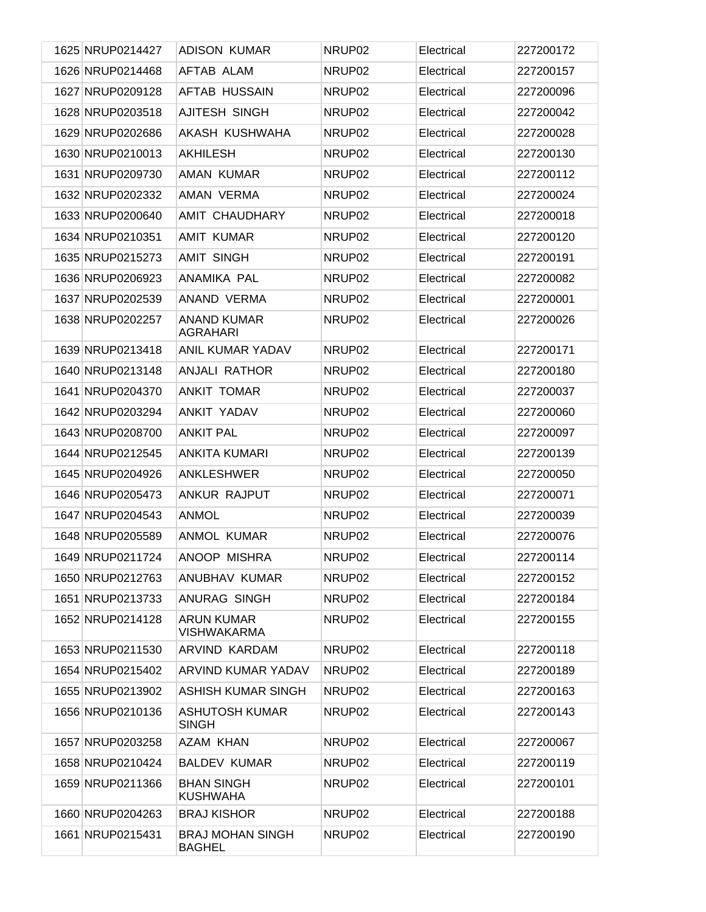| 1625 NRUP0214427 | <b>ADISON KUMAR</b>                      | NRUP <sub>02</sub> | Electrical | 227200172 |
|------------------|------------------------------------------|--------------------|------------|-----------|
| 1626 NRUP0214468 | AFTAB ALAM                               | NRUP <sub>02</sub> | Electrical | 227200157 |
| 1627 NRUP0209128 | <b>AFTAB HUSSAIN</b>                     | NRUP <sub>02</sub> | Electrical | 227200096 |
| 1628 NRUP0203518 | AJITESH SINGH                            | NRUP <sub>02</sub> | Electrical | 227200042 |
| 1629 NRUP0202686 | AKASH KUSHWAHA                           | NRUP <sub>02</sub> | Electrical | 227200028 |
| 1630 NRUP0210013 | <b>AKHILESH</b>                          | NRUP <sub>02</sub> | Electrical | 227200130 |
| 1631 NRUP0209730 | <b>AMAN KUMAR</b>                        | NRUP <sub>02</sub> | Electrical | 227200112 |
| 1632 NRUP0202332 | AMAN VERMA                               | NRUP <sub>02</sub> | Electrical | 227200024 |
| 1633 NRUP0200640 | AMIT CHAUDHARY                           | NRUP <sub>02</sub> | Electrical | 227200018 |
| 1634 NRUP0210351 | AMIT KUMAR                               | NRUP <sub>02</sub> | Electrical | 227200120 |
| 1635 NRUP0215273 | <b>AMIT SINGH</b>                        | NRUP <sub>02</sub> | Electrical | 227200191 |
| 1636 NRUP0206923 | ANAMIKA PAL                              | NRUP <sub>02</sub> | Electrical | 227200082 |
| 1637 NRUP0202539 | ANAND VERMA                              | NRUP <sub>02</sub> | Electrical | 227200001 |
| 1638 NRUP0202257 | ANAND KUMAR<br><b>AGRAHARI</b>           | NRUP <sub>02</sub> | Electrical | 227200026 |
| 1639 NRUP0213418 | ANIL KUMAR YADAV                         | NRUP <sub>02</sub> | Electrical | 227200171 |
| 1640 NRUP0213148 | <b>ANJALI RATHOR</b>                     | NRUP <sub>02</sub> | Electrical | 227200180 |
| 1641 NRUP0204370 | <b>ANKIT TOMAR</b>                       | NRUP <sub>02</sub> | Electrical | 227200037 |
| 1642 NRUP0203294 | <b>ANKIT YADAV</b>                       | NRUP <sub>02</sub> | Electrical | 227200060 |
| 1643 NRUP0208700 | <b>ANKIT PAL</b>                         | NRUP <sub>02</sub> | Electrical | 227200097 |
| 1644 NRUP0212545 | <b>ANKITA KUMARI</b>                     | NRUP <sub>02</sub> | Electrical | 227200139 |
| 1645 NRUP0204926 | <b>ANKLESHWER</b>                        | NRUP <sub>02</sub> | Electrical | 227200050 |
| 1646 NRUP0205473 | ANKUR RAJPUT                             | NRUP <sub>02</sub> | Electrical | 227200071 |
| 1647 NRUP0204543 | <b>ANMOL</b>                             | NRUP <sub>02</sub> | Electrical | 227200039 |
| 1648 NRUP0205589 | <b>ANMOL KUMAR</b>                       | NRUP <sub>02</sub> | Electrical | 227200076 |
| 1649 NRUP0211724 | ANOOP MISHRA                             | NRUP02             | Electrical | 227200114 |
| 1650 NRUP0212763 | ANUBHAV KUMAR                            | NRUP02             | Electrical | 227200152 |
| 1651 NRUP0213733 | ANURAG SINGH                             | NRUP <sub>02</sub> | Electrical | 227200184 |
| 1652 NRUP0214128 | <b>ARUN KUMAR</b><br><b>VISHWAKARMA</b>  | NRUP <sub>02</sub> | Electrical | 227200155 |
| 1653 NRUP0211530 | ARVIND KARDAM                            | NRUP02             | Electrical | 227200118 |
| 1654 NRUP0215402 | <b>ARVIND KUMAR YADAV</b>                | NRUP02             | Electrical | 227200189 |
| 1655 NRUP0213902 | ASHISH KUMAR SINGH                       | NRUP02             | Electrical | 227200163 |
| 1656 NRUP0210136 | ASHUTOSH KUMAR<br><b>SINGH</b>           | NRUP02             | Electrical | 227200143 |
| 1657 NRUP0203258 | AZAM KHAN                                | NRUP02             | Electrical | 227200067 |
| 1658 NRUP0210424 | <b>BALDEV KUMAR</b>                      | NRUP02             | Electrical | 227200119 |
| 1659 NRUP0211366 | <b>BHAN SINGH</b><br><b>KUSHWAHA</b>     | NRUP02             | Electrical | 227200101 |
| 1660 NRUP0204263 | <b>BRAJ KISHOR</b>                       | NRUP02             | Electrical | 227200188 |
| 1661 NRUP0215431 | <b>BRAJ MOHAN SINGH</b><br><b>BAGHEL</b> | NRUP02             | Electrical | 227200190 |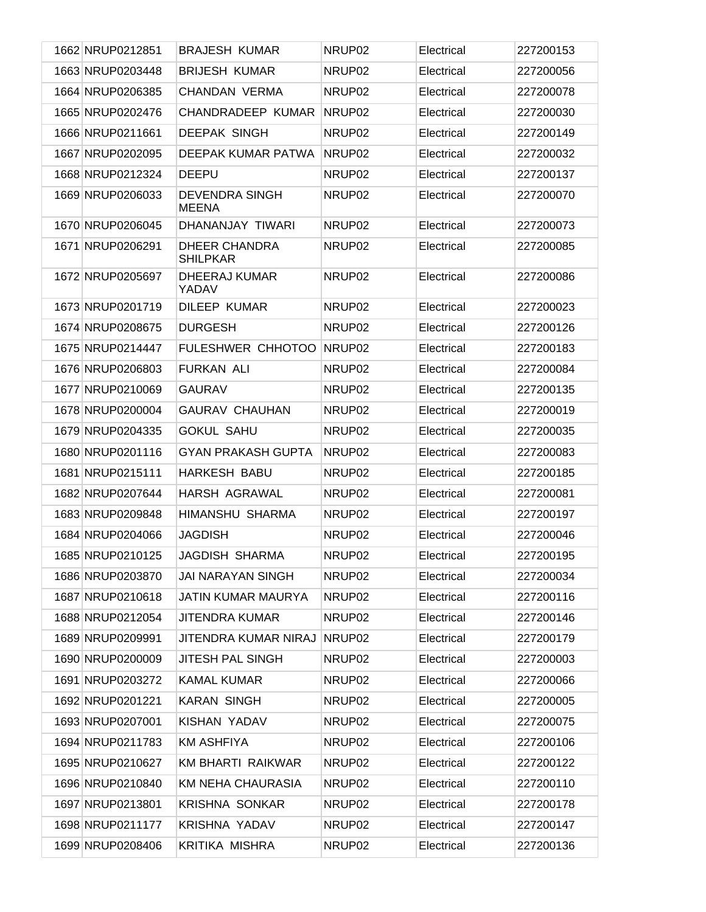| 1662 NRUP0212851 | <b>BRAJESH KUMAR</b>                  | NRUP <sub>02</sub> | Electrical | 227200153 |
|------------------|---------------------------------------|--------------------|------------|-----------|
| 1663 NRUP0203448 | <b>BRIJESH KUMAR</b>                  | NRUP <sub>02</sub> | Electrical | 227200056 |
| 1664 NRUP0206385 | <b>CHANDAN VERMA</b>                  | NRUP <sub>02</sub> | Electrical | 227200078 |
| 1665 NRUP0202476 | <b>CHANDRADEEP KUMAR</b>              | NRUP <sub>02</sub> | Electrical | 227200030 |
| 1666 NRUP0211661 | <b>DEEPAK SINGH</b>                   | NRUP <sub>02</sub> | Electrical | 227200149 |
| 1667 NRUP0202095 | DEEPAK KUMAR PATWA                    | NRUP <sub>02</sub> | Electrical | 227200032 |
| 1668 NRUP0212324 | <b>DEEPU</b>                          | NRUP <sub>02</sub> | Electrical | 227200137 |
| 1669 NRUP0206033 | <b>DEVENDRA SINGH</b><br><b>MEENA</b> | NRUP <sub>02</sub> | Electrical | 227200070 |
| 1670 NRUP0206045 | DHANANJAY TIWARI                      | NRUP <sub>02</sub> | Electrical | 227200073 |
| 1671 NRUP0206291 | DHEER CHANDRA<br><b>SHILPKAR</b>      | NRUP <sub>02</sub> | Electrical | 227200085 |
| 1672 NRUP0205697 | DHEERAJ KUMAR<br>YADAV                | NRUP <sub>02</sub> | Electrical | 227200086 |
| 1673 NRUP0201719 | DILEEP KUMAR                          | NRUP <sub>02</sub> | Electrical | 227200023 |
| 1674 NRUP0208675 | <b>DURGESH</b>                        | NRUP <sub>02</sub> | Electrical | 227200126 |
| 1675 NRUP0214447 | FULESHWER CHHOTOO                     | NRUP <sub>02</sub> | Electrical | 227200183 |
| 1676 NRUP0206803 | <b>FURKAN ALI</b>                     | NRUP <sub>02</sub> | Electrical | 227200084 |
| 1677 NRUP0210069 | <b>GAURAV</b>                         | NRUP <sub>02</sub> | Electrical | 227200135 |
| 1678 NRUP0200004 | <b>GAURAV CHAUHAN</b>                 | NRUP <sub>02</sub> | Electrical | 227200019 |
| 1679 NRUP0204335 | <b>GOKUL SAHU</b>                     | NRUP <sub>02</sub> | Electrical | 227200035 |
| 1680 NRUP0201116 | <b>GYAN PRAKASH GUPTA</b>             | NRUP <sub>02</sub> | Electrical | 227200083 |
| 1681 NRUP0215111 | <b>HARKESH BABU</b>                   | NRUP <sub>02</sub> | Electrical | 227200185 |
| 1682 NRUP0207644 | <b>HARSH AGRAWAL</b>                  | NRUP <sub>02</sub> | Electrical | 227200081 |
| 1683 NRUP0209848 | HIMANSHU SHARMA                       | NRUP <sub>02</sub> | Electrical | 227200197 |
| 1684 NRUP0204066 | <b>JAGDISH</b>                        | NRUP <sub>02</sub> | Electrical | 227200046 |
| 1685 NRUP0210125 | <b>JAGDISH SHARMA</b>                 | NRUP02             | Electrical | 227200195 |
| 1686 NRUP0203870 | <b>JAI NARAYAN SINGH</b>              | NRUP02             | Electrical | 227200034 |
| 1687 NRUP0210618 | <b>JATIN KUMAR MAURYA</b>             | NRUP02             | Electrical | 227200116 |
| 1688 NRUP0212054 | <b>JITENDRA KUMAR</b>                 | NRUP02             | Electrical | 227200146 |
| 1689 NRUP0209991 | JITENDRA KUMAR NIRAJ                  | NRUP02             | Electrical | 227200179 |
| 1690 NRUP0200009 | <b>JITESH PAL SINGH</b>               | NRUP02             | Electrical | 227200003 |
| 1691 NRUP0203272 | <b>KAMAL KUMAR</b>                    | NRUP02             | Electrical | 227200066 |
| 1692 NRUP0201221 | <b>KARAN SINGH</b>                    | NRUP02             | Electrical | 227200005 |
| 1693 NRUP0207001 | KISHAN YADAV                          | NRUP02             | Electrical | 227200075 |
| 1694 NRUP0211783 | <b>KM ASHFIYA</b>                     | NRUP02             | Electrical | 227200106 |
| 1695 NRUP0210627 | KM BHARTI RAIKWAR                     | NRUP02             | Electrical | 227200122 |
| 1696 NRUP0210840 | <b>KM NEHA CHAURASIA</b>              | NRUP02             | Electrical | 227200110 |
| 1697 NRUP0213801 | <b>KRISHNA SONKAR</b>                 | NRUP02             | Electrical | 227200178 |
| 1698 NRUP0211177 | <b>KRISHNA YADAV</b>                  | NRUP02             | Electrical | 227200147 |
| 1699 NRUP0208406 | KRITIKA MISHRA                        | NRUP02             | Electrical | 227200136 |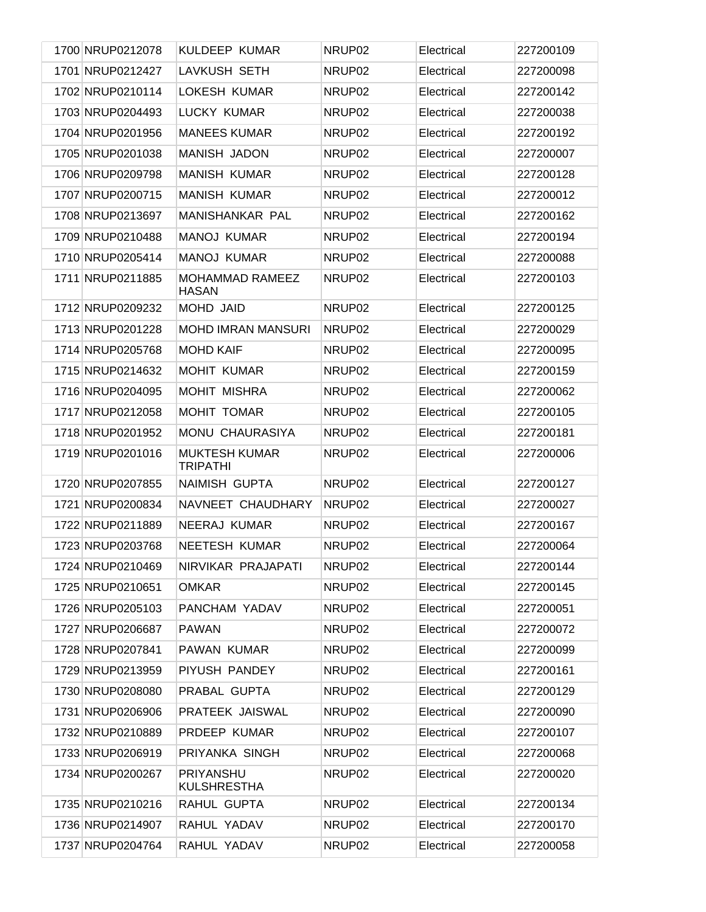| 1700 NRUP0212078 | <b>KULDEEP KUMAR</b>                    | NRUP <sub>02</sub> | Electrical | 227200109 |
|------------------|-----------------------------------------|--------------------|------------|-----------|
| 1701 NRUP0212427 | LAVKUSH SETH                            | NRUP <sub>02</sub> | Electrical | 227200098 |
| 1702 NRUP0210114 | LOKESH KUMAR                            | NRUP <sub>02</sub> | Electrical | 227200142 |
| 1703 NRUP0204493 | LUCKY KUMAR                             | NRUP <sub>02</sub> | Electrical | 227200038 |
| 1704 NRUP0201956 | <b>MANEES KUMAR</b>                     | NRUP <sub>02</sub> | Electrical | 227200192 |
| 1705 NRUP0201038 | <b>MANISH JADON</b>                     | NRUP <sub>02</sub> | Electrical | 227200007 |
| 1706 NRUP0209798 | <b>MANISH KUMAR</b>                     | NRUP <sub>02</sub> | Electrical | 227200128 |
| 1707 NRUP0200715 | <b>MANISH KUMAR</b>                     | NRUP <sub>02</sub> | Electrical | 227200012 |
| 1708 NRUP0213697 | <b>MANISHANKAR PAL</b>                  | NRUP <sub>02</sub> | Electrical | 227200162 |
| 1709 NRUP0210488 | <b>MANOJ KUMAR</b>                      | NRUP <sub>02</sub> | Electrical | 227200194 |
| 1710 NRUP0205414 | <b>MANOJ KUMAR</b>                      | NRUP <sub>02</sub> | Electrical | 227200088 |
| 1711 NRUP0211885 | <b>MOHAMMAD RAMEEZ</b><br><b>HASAN</b>  | NRUP <sub>02</sub> | Electrical | 227200103 |
| 1712 NRUP0209232 | MOHD JAID                               | NRUP <sub>02</sub> | Electrical | 227200125 |
| 1713 NRUP0201228 | <b>MOHD IMRAN MANSURI</b>               | NRUP <sub>02</sub> | Electrical | 227200029 |
| 1714 NRUP0205768 | <b>MOHD KAIF</b>                        | NRUP <sub>02</sub> | Electrical | 227200095 |
| 1715 NRUP0214632 | <b>MOHIT KUMAR</b>                      | NRUP02             | Electrical | 227200159 |
| 1716 NRUP0204095 | <b>MOHIT MISHRA</b>                     | NRUP <sub>02</sub> | Electrical | 227200062 |
| 1717 NRUP0212058 | <b>MOHIT TOMAR</b>                      | NRUP <sub>02</sub> | Electrical | 227200105 |
| 1718 NRUP0201952 | MONU CHAURASIYA                         | NRUP <sub>02</sub> | Electrical | 227200181 |
| 1719 NRUP0201016 | <b>MUKTESH KUMAR</b><br><b>TRIPATHI</b> | NRUP <sub>02</sub> | Electrical | 227200006 |
| 1720 NRUP0207855 | NAIMISH GUPTA                           | NRUP <sub>02</sub> | Electrical | 227200127 |
| 1721 NRUP0200834 | NAVNEET CHAUDHARY                       | NRUP <sub>02</sub> | Electrical | 227200027 |
| 1722 NRUP0211889 | NEERAJ KUMAR                            | NRUP02             | Electrical | 227200167 |
| 1723 NRUP0203768 | <b>NEETESH KUMAR</b>                    | NRUP <sub>02</sub> | Electrical | 227200064 |
| 1724 NRUP0210469 | NIRVIKAR PRAJAPATI                      | NRUP <sub>02</sub> | Electrical | 227200144 |
| 1725 NRUP0210651 | <b>OMKAR</b>                            | NRUP02             | Electrical | 227200145 |
| 1726 NRUP0205103 | PANCHAM YADAV                           | NRUP02             | Electrical | 227200051 |
| 1727 NRUP0206687 | <b>PAWAN</b>                            | NRUP02             | Electrical | 227200072 |
| 1728 NRUP0207841 | PAWAN KUMAR                             | NRUP02             | Electrical | 227200099 |
| 1729 NRUP0213959 | PIYUSH PANDEY                           | NRUP02             | Electrical | 227200161 |
| 1730 NRUP0208080 | PRABAL GUPTA                            | NRUP02             | Electrical | 227200129 |
| 1731 NRUP0206906 | PRATEEK JAISWAL                         | NRUP02             | Electrical | 227200090 |
| 1732 NRUP0210889 | PRDEEP KUMAR                            | NRUP02             | Electrical | 227200107 |
| 1733 NRUP0206919 | PRIYANKA SINGH                          | NRUP02             | Electrical | 227200068 |
| 1734 NRUP0200267 | PRIYANSHU<br><b>KULSHRESTHA</b>         | NRUP02             | Electrical | 227200020 |
| 1735 NRUP0210216 | RAHUL GUPTA                             | NRUP02             | Electrical | 227200134 |
| 1736 NRUP0214907 | RAHUL YADAV                             | NRUP02             | Electrical | 227200170 |
| 1737 NRUP0204764 | RAHUL YADAV                             | NRUP02             | Electrical | 227200058 |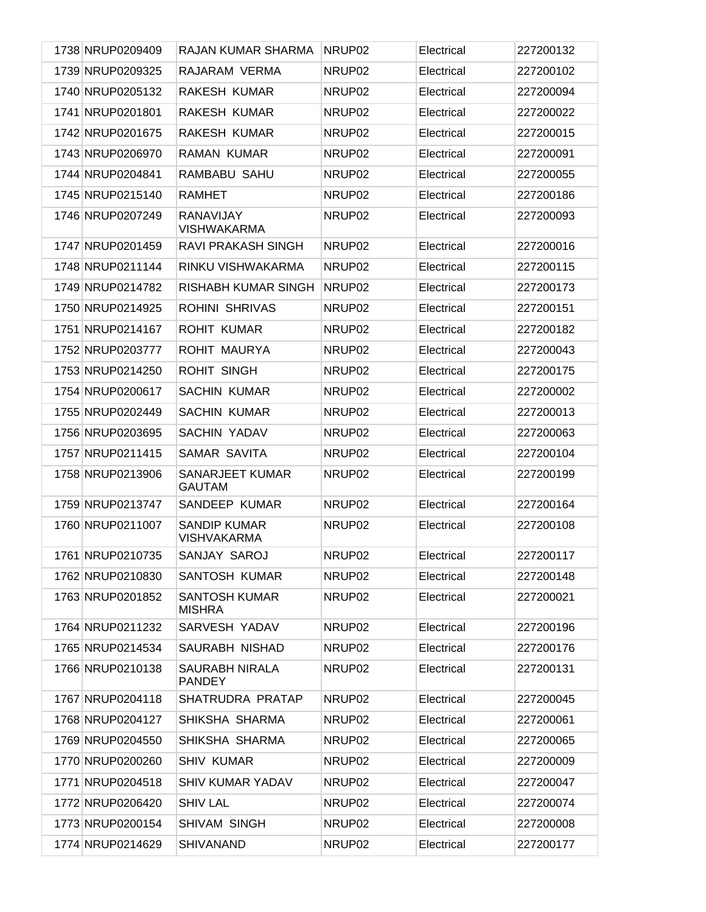| 1738 NRUP0209409 | RAJAN KUMAR SHARMA                        | NRUP <sub>02</sub> | Electrical | 227200132 |
|------------------|-------------------------------------------|--------------------|------------|-----------|
| 1739 NRUP0209325 | RAJARAM VERMA                             | NRUP02             | Electrical | 227200102 |
| 1740 NRUP0205132 | <b>RAKESH KUMAR</b>                       | NRUP02             | Electrical | 227200094 |
| 1741 NRUP0201801 | <b>RAKESH KUMAR</b>                       | NRUP02             | Electrical | 227200022 |
| 1742 NRUP0201675 | RAKESH KUMAR                              | NRUP02             | Electrical | 227200015 |
| 1743 NRUP0206970 | <b>RAMAN KUMAR</b>                        | NRUP02             | Electrical | 227200091 |
| 1744 NRUP0204841 | RAMBABU SAHU                              | NRUP02             | Electrical | 227200055 |
| 1745 NRUP0215140 | <b>RAMHET</b>                             | NRUP02             | Electrical | 227200186 |
| 1746 NRUP0207249 | RANAVIJAY<br><b>VISHWAKARMA</b>           | NRUP02             | Electrical | 227200093 |
| 1747 NRUP0201459 | RAVI PRAKASH SINGH                        | NRUP <sub>02</sub> | Electrical | 227200016 |
| 1748 NRUP0211144 | RINKU VISHWAKARMA                         | NRUP <sub>02</sub> | Electrical | 227200115 |
| 1749 NRUP0214782 | RISHABH KUMAR SINGH                       | NRUP <sub>02</sub> | Electrical | 227200173 |
| 1750 NRUP0214925 | <b>ROHINI SHRIVAS</b>                     | NRUP <sub>02</sub> | Electrical | 227200151 |
| 1751 NRUP0214167 | <b>ROHIT KUMAR</b>                        | NRUP <sub>02</sub> | Electrical | 227200182 |
| 1752 NRUP0203777 | ROHIT MAURYA                              | NRUP <sub>02</sub> | Electrical | 227200043 |
| 1753 NRUP0214250 | <b>ROHIT SINGH</b>                        | NRUP <sub>02</sub> | Electrical | 227200175 |
| 1754 NRUP0200617 | <b>SACHIN KUMAR</b>                       | NRUP02             | Electrical | 227200002 |
| 1755 NRUP0202449 | <b>SACHIN KUMAR</b>                       | NRUP <sub>02</sub> | Electrical | 227200013 |
| 1756 NRUP0203695 | <b>SACHIN YADAV</b>                       | NRUP02             | Electrical | 227200063 |
| 1757 NRUP0211415 | SAMAR SAVITA                              | NRUP <sub>02</sub> | Electrical | 227200104 |
| 1758 NRUP0213906 | SANARJEET KUMAR<br><b>GAUTAM</b>          | NRUP <sub>02</sub> | Electrical | 227200199 |
| 1759 NRUP0213747 | SANDEEP KUMAR                             | NRUP02             | Electrical | 227200164 |
| 1760 NRUP0211007 | <b>SANDIP KUMAR</b><br><b>VISHVAKARMA</b> | NRUP02             | Electrical | 227200108 |
| 1761 NRUP0210735 | SANJAY SAROJ                              | NRUP02             | Electrical | 227200117 |
| 1762 NRUP0210830 | SANTOSH KUMAR                             | NRUP02             | Electrical | 227200148 |
| 1763 NRUP0201852 | SANTOSH KUMAR<br><b>MISHRA</b>            | NRUP02             | Electrical | 227200021 |
| 1764 NRUP0211232 | SARVESH YADAV                             | NRUP02             | Electrical | 227200196 |
| 1765 NRUP0214534 | SAURABH NISHAD                            | NRUP02             | Electrical | 227200176 |
| 1766 NRUP0210138 | SAURABH NIRALA<br><b>PANDEY</b>           | NRUP02             | Electrical | 227200131 |
| 1767 NRUP0204118 | SHATRUDRA PRATAP                          | NRUP02             | Electrical | 227200045 |
| 1768 NRUP0204127 | SHIKSHA SHARMA                            | NRUP02             | Electrical | 227200061 |
| 1769 NRUP0204550 | SHIKSHA SHARMA                            | NRUP02             | Electrical | 227200065 |
| 1770 NRUP0200260 | <b>SHIV KUMAR</b>                         | NRUP02             | Electrical | 227200009 |
| 1771 NRUP0204518 | <b>SHIV KUMAR YADAV</b>                   | NRUP02             | Electrical | 227200047 |
| 1772 NRUP0206420 | <b>SHIV LAL</b>                           | NRUP02             | Electrical | 227200074 |
| 1773 NRUP0200154 | SHIVAM SINGH                              | NRUP02             | Electrical | 227200008 |
| 1774 NRUP0214629 | <b>SHIVANAND</b>                          | NRUP02             | Electrical | 227200177 |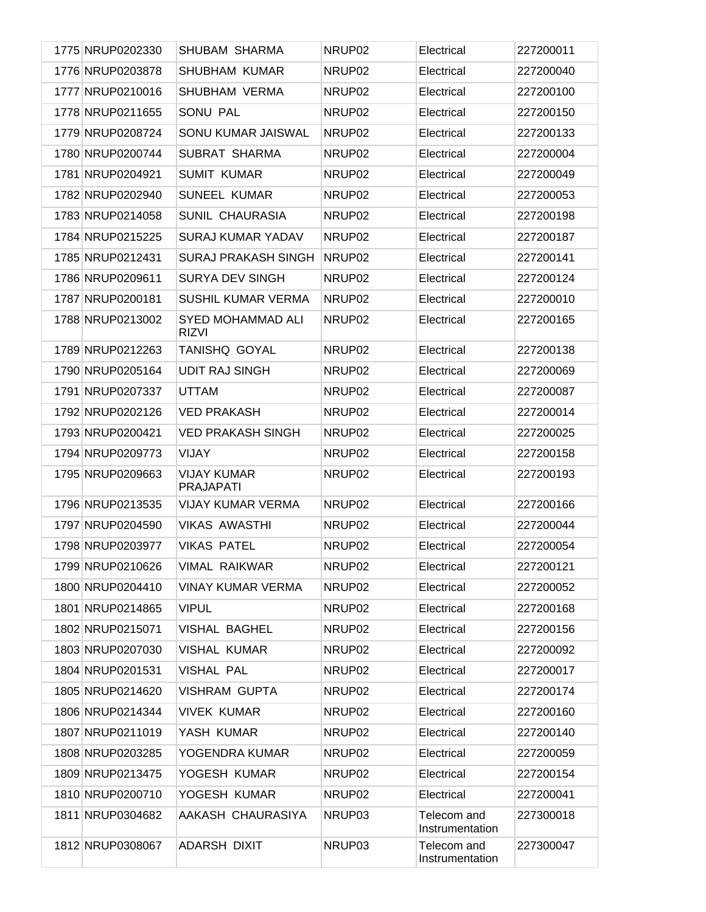| 1775 NRUP0202330 | SHUBAM SHARMA                            | NRUP02             | Electrical                     | 227200011 |
|------------------|------------------------------------------|--------------------|--------------------------------|-----------|
| 1776 NRUP0203878 | <b>SHUBHAM KUMAR</b>                     | NRUP02             | Electrical                     | 227200040 |
| 1777 NRUP0210016 | <b>SHUBHAM VERMA</b>                     | NRUP02             | Electrical                     | 227200100 |
| 1778 NRUP0211655 | SONU PAL                                 | NRUP02             | Electrical                     | 227200150 |
| 1779 NRUP0208724 | SONU KUMAR JAISWAL                       | NRUP02             | Electrical                     | 227200133 |
| 1780 NRUP0200744 | SUBRAT SHARMA                            | NRUP02             | Electrical                     | 227200004 |
| 1781 NRUP0204921 | <b>SUMIT KUMAR</b>                       | NRUP02             | Electrical                     | 227200049 |
| 1782 NRUP0202940 | <b>SUNEEL KUMAR</b>                      | NRUP02             | Electrical                     | 227200053 |
| 1783 NRUP0214058 | <b>SUNIL CHAURASIA</b>                   | NRUP02             | Electrical                     | 227200198 |
| 1784 NRUP0215225 | <b>SURAJ KUMAR YADAV</b>                 | NRUP02             | Electrical                     | 227200187 |
| 1785 NRUP0212431 | <b>SURAJ PRAKASH SINGH</b>               | NRUP02             | Electrical                     | 227200141 |
| 1786 NRUP0209611 | <b>SURYA DEV SINGH</b>                   | NRUP02             | Electrical                     | 227200124 |
| 1787 NRUP0200181 | <b>SUSHIL KUMAR VERMA</b>                | NRUP02             | Electrical                     | 227200010 |
| 1788 NRUP0213002 | <b>SYED MOHAMMAD ALI</b><br><b>RIZVI</b> | NRUP02             | Electrical                     | 227200165 |
| 1789 NRUP0212263 | <b>TANISHQ GOYAL</b>                     | NRUP <sub>02</sub> | Electrical                     | 227200138 |
| 1790 NRUP0205164 | <b>UDIT RAJ SINGH</b>                    | NRUP02             | Electrical                     | 227200069 |
| 1791 NRUP0207337 | <b>UTTAM</b>                             | NRUP <sub>02</sub> | Electrical                     | 227200087 |
| 1792 NRUP0202126 | <b>VED PRAKASH</b>                       | NRUP <sub>02</sub> | Electrical                     | 227200014 |
| 1793 NRUP0200421 | <b>VED PRAKASH SINGH</b>                 | NRUP <sub>02</sub> | Electrical                     | 227200025 |
| 1794 NRUP0209773 | VIJAY                                    | NRUP02             | Electrical                     | 227200158 |
| 1795 NRUP0209663 | <b>VIJAY KUMAR</b><br><b>PRAJAPATI</b>   | NRUP02             | Electrical                     | 227200193 |
| 1796 NRUP0213535 | <b>VIJAY KUMAR VERMA</b>                 | NRUP02             | Electrical                     | 227200166 |
| 1797 NRUP0204590 | <b>VIKAS AWASTHI</b>                     | NRUP02             | Electrical                     | 227200044 |
| 1798 NRUP0203977 | <b>VIKAS PATEL</b>                       | NRUP <sub>02</sub> | Electrical                     | 227200054 |
| 1799 NRUP0210626 | <b>VIMAL RAIKWAR</b>                     | NRUP <sub>02</sub> | Electrical                     | 227200121 |
| 1800 NRUP0204410 | <b>VINAY KUMAR VERMA</b>                 | NRUP02             | Electrical                     | 227200052 |
| 1801 NRUP0214865 | <b>VIPUL</b>                             | NRUP02             | Electrical                     | 227200168 |
| 1802 NRUP0215071 | VISHAL BAGHEL                            | NRUP02             | Electrical                     | 227200156 |
| 1803 NRUP0207030 | <b>VISHAL KUMAR</b>                      | NRUP02             | Electrical                     | 227200092 |
| 1804 NRUP0201531 | <b>VISHAL PAL</b>                        | NRUP02             | Electrical                     | 227200017 |
| 1805 NRUP0214620 | <b>VISHRAM GUPTA</b>                     | NRUP02             | Electrical                     | 227200174 |
| 1806 NRUP0214344 | <b>VIVEK KUMAR</b>                       | NRUP02             | Electrical                     | 227200160 |
| 1807 NRUP0211019 | YASH KUMAR                               | NRUP02             | Electrical                     | 227200140 |
| 1808 NRUP0203285 | YOGENDRA KUMAR                           | NRUP02             | Electrical                     | 227200059 |
| 1809 NRUP0213475 | YOGESH KUMAR                             | NRUP02             | Electrical                     | 227200154 |
| 1810 NRUP0200710 | YOGESH KUMAR                             | NRUP02             | Electrical                     | 227200041 |
| 1811 NRUP0304682 | AAKASH CHAURASIYA                        | NRUP03             | Telecom and<br>Instrumentation | 227300018 |
| 1812 NRUP0308067 | <b>ADARSH DIXIT</b>                      | NRUP03             | Telecom and<br>Instrumentation | 227300047 |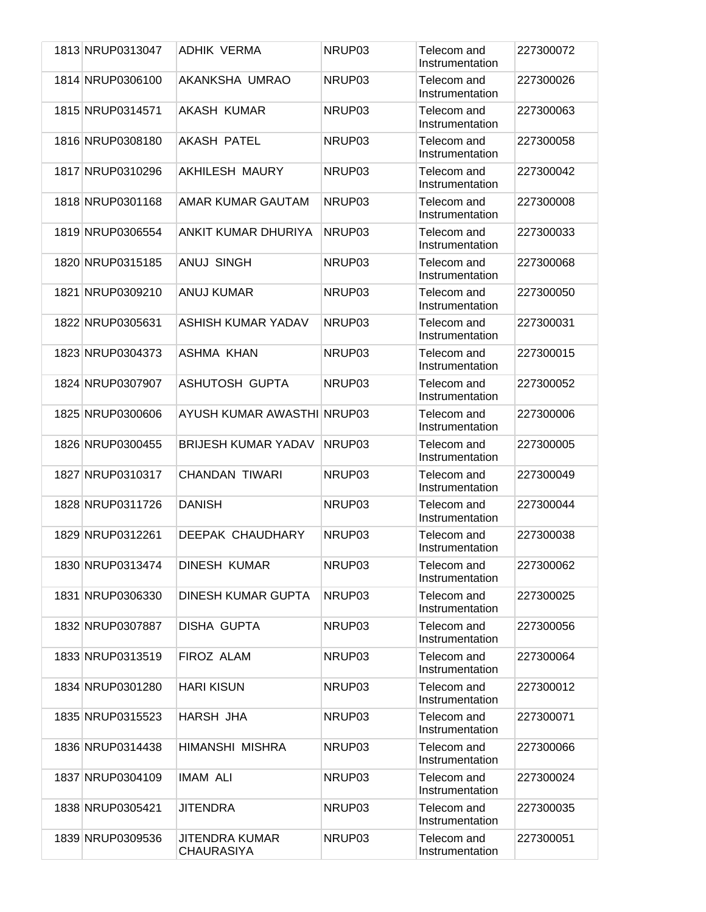| 1813 NRUP0313047 | ADHIK VERMA                                | NRUP03 | Telecom and<br>Instrumentation | 227300072 |
|------------------|--------------------------------------------|--------|--------------------------------|-----------|
| 1814 NRUP0306100 | AKANKSHA UMRAO                             | NRUP03 | Telecom and<br>Instrumentation | 227300026 |
| 1815 NRUP0314571 | <b>AKASH KUMAR</b>                         | NRUP03 | Telecom and<br>Instrumentation | 227300063 |
| 1816 NRUP0308180 | <b>AKASH PATEL</b>                         | NRUP03 | Telecom and<br>Instrumentation | 227300058 |
| 1817 NRUP0310296 | <b>AKHILESH MAURY</b>                      | NRUP03 | Telecom and<br>Instrumentation | 227300042 |
| 1818 NRUP0301168 | AMAR KUMAR GAUTAM                          | NRUP03 | Telecom and<br>Instrumentation | 227300008 |
| 1819 NRUP0306554 | ANKIT KUMAR DHURIYA                        | NRUP03 | Telecom and<br>Instrumentation | 227300033 |
| 1820 NRUP0315185 | <b>ANUJ SINGH</b>                          | NRUP03 | Telecom and<br>Instrumentation | 227300068 |
| 1821 NRUP0309210 | <b>ANUJ KUMAR</b>                          | NRUP03 | Telecom and<br>Instrumentation | 227300050 |
| 1822 NRUP0305631 | ASHISH KUMAR YADAV                         | NRUP03 | Telecom and<br>Instrumentation | 227300031 |
| 1823 NRUP0304373 | ASHMA KHAN                                 | NRUP03 | Telecom and<br>Instrumentation | 227300015 |
| 1824 NRUP0307907 | <b>ASHUTOSH GUPTA</b>                      | NRUP03 | Telecom and<br>Instrumentation | 227300052 |
| 1825 NRUP0300606 | AYUSH KUMAR AWASTHI NRUP03                 |        | Telecom and<br>Instrumentation | 227300006 |
| 1826 NRUP0300455 | <b>BRIJESH KUMAR YADAV</b>                 | NRUP03 | Telecom and<br>Instrumentation | 227300005 |
| 1827 NRUP0310317 | <b>CHANDAN TIWARI</b>                      | NRUP03 | Telecom and<br>Instrumentation | 227300049 |
| 1828 NRUP0311726 | <b>DANISH</b>                              | NRUP03 | Telecom and<br>Instrumentation | 227300044 |
| 1829 NRUP0312261 | DEEPAK CHAUDHARY                           | NRUP03 | Telecom and<br>Instrumentation | 227300038 |
| 1830 NRUP0313474 | <b>DINESH KUMAR</b>                        | NRUP03 | Telecom and<br>Instrumentation | 227300062 |
| 1831 NRUP0306330 | <b>DINESH KUMAR GUPTA</b>                  | NRUP03 | Telecom and<br>Instrumentation | 227300025 |
| 1832 NRUP0307887 | DISHA GUPTA                                | NRUP03 | Telecom and<br>Instrumentation | 227300056 |
| 1833 NRUP0313519 | FIROZ ALAM                                 | NRUP03 | Telecom and<br>Instrumentation | 227300064 |
| 1834 NRUP0301280 | <b>HARI KISUN</b>                          | NRUP03 | Telecom and<br>Instrumentation | 227300012 |
| 1835 NRUP0315523 | HARSH JHA                                  | NRUP03 | Telecom and<br>Instrumentation | 227300071 |
| 1836 NRUP0314438 | HIMANSHI MISHRA                            | NRUP03 | Telecom and<br>Instrumentation | 227300066 |
| 1837 NRUP0304109 | IMAM ALI                                   | NRUP03 | Telecom and<br>Instrumentation | 227300024 |
| 1838 NRUP0305421 | <b>JITENDRA</b>                            | NRUP03 | Telecom and<br>Instrumentation | 227300035 |
| 1839 NRUP0309536 | <b>JITENDRA KUMAR</b><br><b>CHAURASIYA</b> | NRUP03 | Telecom and<br>Instrumentation | 227300051 |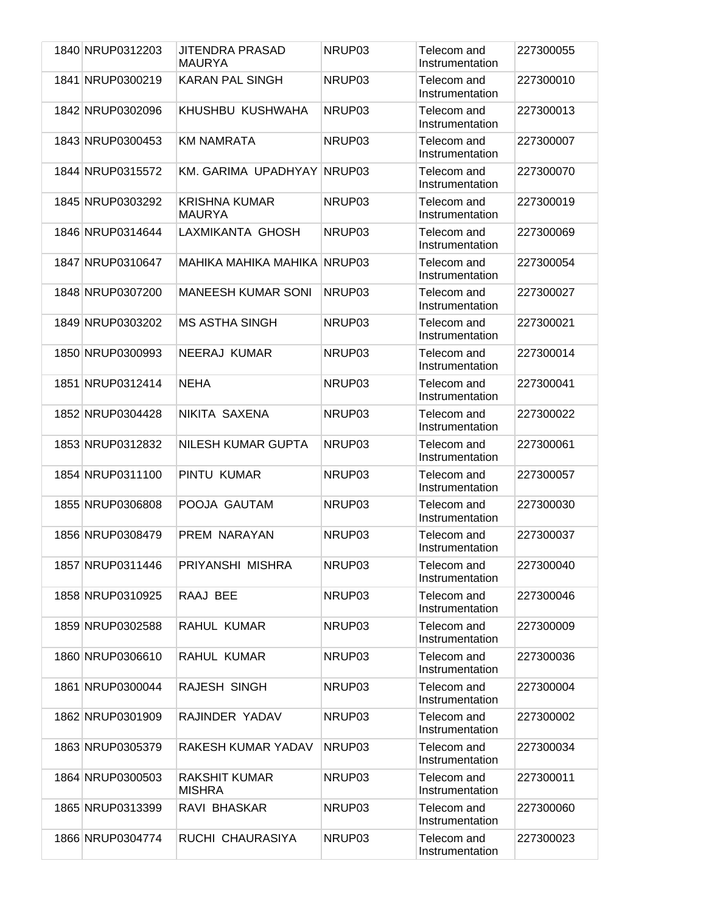| 1840 NRUP0312203 | <b>JITENDRA PRASAD</b><br><b>MAURYA</b> | NRUP03 | Telecom and<br>Instrumentation | 227300055 |
|------------------|-----------------------------------------|--------|--------------------------------|-----------|
| 1841 NRUP0300219 | <b>KARAN PAL SINGH</b>                  | NRUP03 | Telecom and<br>Instrumentation | 227300010 |
| 1842 NRUP0302096 | KHUSHBU KUSHWAHA                        | NRUP03 | Telecom and<br>Instrumentation | 227300013 |
| 1843 NRUP0300453 | <b>KM NAMRATA</b>                       | NRUP03 | Telecom and<br>Instrumentation | 227300007 |
| 1844 NRUP0315572 | KM. GARIMA UPADHYAY                     | NRUP03 | Telecom and<br>Instrumentation | 227300070 |
| 1845 NRUP0303292 | <b>KRISHNA KUMAR</b><br><b>MAURYA</b>   | NRUP03 | Telecom and<br>Instrumentation | 227300019 |
| 1846 NRUP0314644 | LAXMIKANTA GHOSH                        | NRUP03 | Telecom and<br>Instrumentation | 227300069 |
| 1847 NRUP0310647 | MAHIKA MAHIKA MAHIKA NRUP03             |        | Telecom and<br>Instrumentation | 227300054 |
| 1848 NRUP0307200 | <b>MANEESH KUMAR SONI</b>               | NRUP03 | Telecom and<br>Instrumentation | 227300027 |
| 1849 NRUP0303202 | <b>MS ASTHA SINGH</b>                   | NRUP03 | Telecom and<br>Instrumentation | 227300021 |
| 1850 NRUP0300993 | NEERAJ KUMAR                            | NRUP03 | Telecom and<br>Instrumentation | 227300014 |
| 1851 NRUP0312414 | <b>NEHA</b>                             | NRUP03 | Telecom and<br>Instrumentation | 227300041 |
| 1852 NRUP0304428 | NIKITA SAXENA                           | NRUP03 | Telecom and<br>Instrumentation | 227300022 |
| 1853 NRUP0312832 | NILESH KUMAR GUPTA                      | NRUP03 | Telecom and<br>Instrumentation | 227300061 |
| 1854 NRUP0311100 | PINTU KUMAR                             | NRUP03 | Telecom and<br>Instrumentation | 227300057 |
| 1855 NRUP0306808 | POOJA GAUTAM                            | NRUP03 | Telecom and<br>Instrumentation | 227300030 |
| 1856 NRUP0308479 | PREM NARAYAN                            | NRUP03 | Telecom and<br>Instrumentation | 227300037 |
| 1857 NRUP0311446 | PRIYANSHI MISHRA                        | NRUP03 | Telecom and<br>Instrumentation | 227300040 |
| 1858 NRUP0310925 | RAAJ BEE                                | NRUP03 | Telecom and<br>Instrumentation | 227300046 |
| 1859 NRUP0302588 | RAHUL KUMAR                             | NRUP03 | Telecom and<br>Instrumentation | 227300009 |
| 1860 NRUP0306610 | RAHUL KUMAR                             | NRUP03 | Telecom and<br>Instrumentation | 227300036 |
| 1861 NRUP0300044 | RAJESH SINGH                            | NRUP03 | Telecom and<br>Instrumentation | 227300004 |
| 1862 NRUP0301909 | RAJINDER YADAV                          | NRUP03 | Telecom and<br>Instrumentation | 227300002 |
| 1863 NRUP0305379 | RAKESH KUMAR YADAV                      | NRUP03 | Telecom and<br>Instrumentation | 227300034 |
| 1864 NRUP0300503 | <b>RAKSHIT KUMAR</b><br><b>MISHRA</b>   | NRUP03 | Telecom and<br>Instrumentation | 227300011 |
| 1865 NRUP0313399 | RAVI BHASKAR                            | NRUP03 | Telecom and<br>Instrumentation | 227300060 |
| 1866 NRUP0304774 | RUCHI CHAURASIYA                        | NRUP03 | Telecom and<br>Instrumentation | 227300023 |